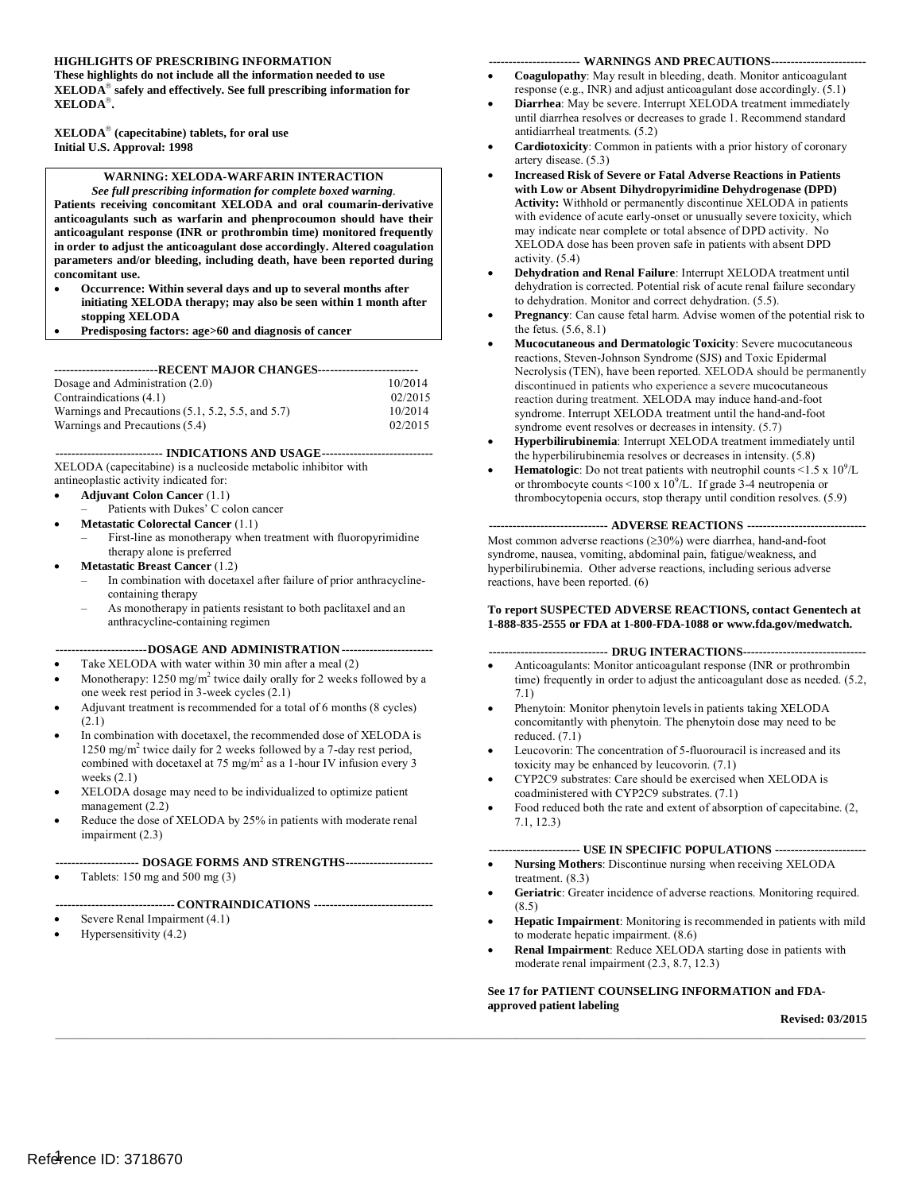#### **HIGHLIGHTS OF PRESCRIBING INFORMATION ----------------------- WARNINGS AND PRECAUTIONS------------------------**

These highlights do not include all the information needed to use  **XELODA safely and effectively. See full prescribing information for**  XELODA<sup>®</sup>.  $\bold {XELODA}^{\boldsymbol{\otimes}}.$  XELODA $^{\boldsymbol{\otimes}}$  (capecitabine) tablets, for oral use

## **Initial U.S. Approval: 1998**

#### **WARNING: XELODA-WARFARIN INTERACTION**

*See full prescribing information for complete boxed warning.*  **Patients receiving concomitant XELODA and oral coumarin-derivative**  anticoagulants such as warfarin and phenprocoumon should have their **anticoagulant response (INR or prothrombin time) monitored frequently in order to adjust the anticoagulant dose accordingly. Altered coagulation**  parameters and/or bleeding, including death, have been reported during **concomitant use.** 

- Occurrence: Within several days and up to several months after **initiating XELODA therapy; may also be seen within 1 month after stopping XELODA**
- • **Predisposing factors: age>60 and diagnosis of cancer**

**--------------------------RECENT MAJOR CHANGES------------------------**

| Dosage and Administration $(2.0)$                           | 10/2014 |
|-------------------------------------------------------------|---------|
| Contraindications (4.1)                                     | 02/2015 |
| Warnings and Precautions $(5.1, 5.2, 5.5, \text{and } 5.7)$ | 10/2014 |
| Warnings and Precautions (5.4)                              | 02/2015 |

**--------------------------- INDICATIONS AND USAGE ----------------------------** 

 XELODA (capecitabine) is a nucleoside metabolic inhibitor with antineoplastic activity indicated for:

- • **Adjuv ant Colon Cancer** [\(1.1\)](#page-2-0)
- – Patients with Dukes' C colon cancer
- **Metastatic Colorectal Cancer (1.1)** First-line as monotherapy when treatment with fluoropyrimidine
- • **Metastatic Breast Cancer** [\(1.2\)](#page-2-1)  therapy alone is preferred
	- In combination with docetaxel after failure of prior anthracyclinecontaining therapy
	- – As monotherapy in patients resistant to both paclitaxel and an anthracycline-containing regimen

#### **----------------------- DOSAGE AND ADMINISTRATION -----------------------**

- Take XELODA with water within 30 min after a meal (2)
- Monotherapy:  $1250 \text{ mg/m}^2$  twice daily orally for 2 weeks followed by a one week rest period in 3-week cycle[s \(2.1\)](#page-3-1)
- Adjuvant treatment is recommended for a total of 6 months (8 cycles) [\(2.1\)](#page-3-1)
- In combination with docetaxel, the recommended dose of XELODA is 1250 mg/m<sup>2</sup> twice daily for 2 weeks followed by a 7-day rest period, combined with docetaxel at 75 mg/m<sup>2</sup> as a 1-hour IV infusion every 3 weeks [\(2.1\)](#page-3-1)
- • XELODA dosage may need to be individualized to optimize patient management [\(2.2\)](#page-3-2)
- Reduce the dose of XELODA by 25% in patients with moderate renal impairment [\(2.3\)](#page-5-0)
- **--------------------- DOSAGE FORMS AND STRENGTHS----------------------**
- Tablets:  $150 \text{ mg}$  and  $500 \text{ mg}$   $(3)$

#### **------------------------------ CONTRAINDICATIONS ------------------------------**

- Severe Renal Impairment (4.1)
- **Hypersensitivity** (4.2)

- Coagulopathy: May result in bleeding, death. Monitor anticoagulant response (e.g., INR) and adjust anticoagulant dose accordingly. [\(5.1\)](#page-6-2)
- • **Diarrhea**: May be severe. Interrupt XELODA treatment immediately until diarrhea resolves or decreases to grade 1. Recommend standard antidiarrheal treatments[. \(5.2\)](#page-6-3)
- • **Cardiotoxicity**: Common in patients with a prior history of coronary artery disease. [\(5.3\)](#page-6-4)
- **Increased Risk of Severe or Fatal Adverse Reactions in Patients Activity:** Withhold or permanently discontinue XELODA in patients with evidence of acute early-onset or unusually severe toxicity, which may indicate near complete or total absence of DPD activity. No XELODA dose has been proven safe in patients with absent DPD with Low or Absent Dihydropyrimidine Dehydrogenase (DPD) activity. (5.4)
- dehydration is corrected. Potential risk of acute renal failure secondary to dehydration. Monitor and correct dehydration. (5.5). **Dehydration and Renal Failure**: Interrupt XELODA treatment until
- • **Pregnancy**: Can cause fetal harm. Advise women of the potential risk to the fetus. [\(5.6,](#page-7-0) [8.1\)](#page-20-0)
- reactions, Steven-Johnson Syndrome (SJS) and Toxic Epidermal Necrolysis (TEN), have been reported. XELODA should be permanently discontinued in patients who experience a severe mucocutaneous reaction during treatment. XELODA may induce hand-and-foot syndrome. Interrupt XELODA treatment until the hand-and-foot syndrome event resolves or decreases in intensity. (5.7) **The Hypersensitivit[y \(4.2\)](#page-6-1) • Coaguly 12)** • **Conservation in the Conservation Conservation in the Conservation in the Conservation in the Conservation in the Conservation in the Conservation in the Conservation in the Mucocutaneous and Dermatologic Toxicity**: Severe mucocutaneous
	- • **Hyperbilirubinemia**: Interrupt XELODA treatment immediately until the hyperbilirubinemia resolves or decreases in intensity[. \(5.8\)](#page-8-0)
	- **Hematologic**: Do not treat patients with neutrophil counts  $\leq 1.5 \times 10^9$ /L or thrombocyte counts <100 x  $10^9$ /L. If grade 3-4 neutropenia or thrombocytopenia occurs, stop therapy until condition resolves[. \(5.9\)](#page-9-0)

#### **------------------------------ ADVERSE REACTIONS ------------------------------**

 Most common adverse reactions (≥30%) were diarrhea, hand-and-foot syndrome, nausea, vomiting, abdominal pain, fatigue/weakness, and hyperbilirubinemia. Other adverse reactions, including serious adverse reactions, have been reported[. \(6\)](#page-10-0) 

#### **To report SUSPECTED ADVERSE REACTIONS, contact Genentech at 1-888-835-2555 or FDA at 1-800-FDA-1088 or www.fda.gov/medwatch.**

#### **------------------------------ DRUG INTERACTIONS-------------------------------**

- Anticoagulants: Monitor anticoagulant response (INR or prothrombin time) frequently in order to adjust the anticoagulant dose as needed. [\(5.2,](#page-6-2)  [7.1\)](#page-20-1)
- • Phenytoin: Monitor phenytoin levels in patients taking XELODA concomitantly with phenytoin. The phenytoin dose may need to be reduced. [\(7.1\)](#page-20-1)
- Leucovorin: The concentration of 5-fluorouracil is increased and its toxicity may be enhanced by leucovorin. [\(7.1\)](#page-20-1)
- • CYP2C9 substrates: Care should be exercised when XELODA is coadministered with CYP2C9 substrates[. \(7.1\)](#page-20-1)
- Food reduced both the rate and extent of absorption of capecitabine. (2, [7.1,](#page-20-1) [12.3\)](#page-23-0)

#### **----------------------- USE IN SPECIFIC POPULATIONS -----------------------**

- • **Nursing Mothers**: Discontinue nursing when receiving XELODA treatment. [\(8.3\)](#page-21-0)
- • **Geriatric**: Greater incidence of adverse reactions. Monitoring required.  $(8.5)$
- • **Hepatic Impairment**: Monitoring is recommended in patients with mild to moderate hepatic impairment. [\(8.6\)](#page-22-1)
- **Renal Impairment**: Reduce XELODA starting dose in patients with moderate renal impairment [\(2.3,](#page-5-0) [8.7,](#page-22-2) [12.3\)](#page-23-0)

#### **Se[e 17 f](#page-37-0)or PATIENT COUNSELING INFORMATION and FDAapproved patient labeling**

 $\mathcal{L}_\mathcal{L} = \{ \mathcal{L}_\mathcal{L} = \{ \mathcal{L}_\mathcal{L} = \{ \mathcal{L}_\mathcal{L} = \{ \mathcal{L}_\mathcal{L} = \{ \mathcal{L}_\mathcal{L} = \{ \mathcal{L}_\mathcal{L} = \{ \mathcal{L}_\mathcal{L} = \{ \mathcal{L}_\mathcal{L} = \{ \mathcal{L}_\mathcal{L} = \{ \mathcal{L}_\mathcal{L} = \{ \mathcal{L}_\mathcal{L} = \{ \mathcal{L}_\mathcal{L} = \{ \mathcal{L}_\mathcal{L} = \{ \mathcal{L}_\mathcal{$ **Revised: 03/2015**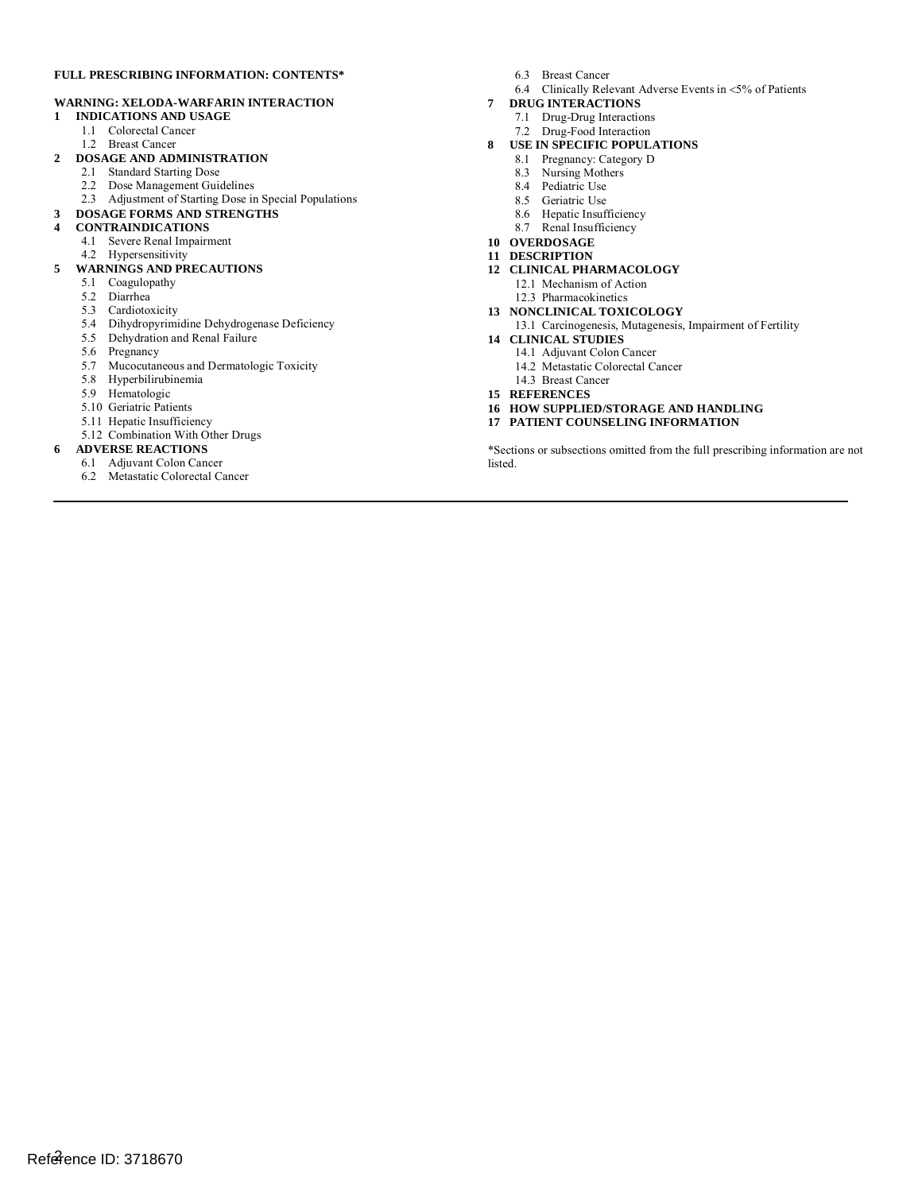#### **FULL PRESCRIBING INFORMATION: CONTENTS\***

#### **WARNING: XELODA-WARFARIN INTERACTION**

- **1 INDICATIONS AND USAGE** 
	- 1.1 Colorectal Cancer
	- 1.2 Breast Cancer
- **2 DOSAGE AND ADMINISTRATION** 
	- 2.1 Standard Starting Dose
	- 2.2 Dose Management Guidelines
	- Ì 2.3 Adjustment of Starting Dose in Special Populations

#### **3 DOSAGE FORMS AND STRENGTHS**

- **4 CONTRAINDICATIONS**
	- 4.1 Severe Renal Impairment
	- 4.2 Hypersensitivity

#### **5 WARNINGS AND PRECAUTIONS**

- 5.1 Coagulopathy
- 5.2 Diarrhea
- 5.3 Cardiotoxicity
- 5.4 Dihydropyrimidine Dehydrogenase Deficiency
- 5.5 Dehydration and Renal Failure
- 5.6 Pregnancy
- 5.7 Mucocutaneous and Dermatologic Toxicity
- 5.8 Hyperbilirubinemia
- 5.9 Hematologic
- 5.10 Geriatric Patients
- 5.11 Hepatic Insufficiency
- 5.12 Combination With Other Drugs
- **6 ADVERSE REACTIONS**
- 6.1 Adjuvant Colon Cancer
	- 6.2 Metastatic Colorectal Cancer
- 6.3 Breast Cancer
- 6.4 Clinically Relevant Adverse Events in <5% of Patients
- **7 DRUG INTERACTIONS** 
	- 7.1 Drug-Drug Interactions
	- 7.2 Drug-Food Interaction
- **8 USE IN SPECIFIC POPULATIONS**
- 8.1 Pregnancy: Category D
	- 8.3 Nursing Mothers
	- 8.4 Pediatric Use
	- 8.5 Geriatric Use
	- 8.6 Hepatic Insufficiency
	- 8.7 Renal Insufficiency
- **10 OVERDOSAGE**
- **11 DESCRIPTION**
- **12 CLINICAL PHARMACOLOGY** 
	- 12.1 Mechanism of Action
	- 12.3 Pharmacokinetics
- **13 NONCLINICAL TOXICOLOGY**
- 13.1 Carcinogenesis, Mutagenesis, Impairment of Fertility **14 CLINICAL STUDIES**
- - 14.1 Adjuvant Colon Cancer
	- 14.2 Metastatic Colorectal Cancer
	- 14.3 Breast Cancer
- **15 REFERENCES**
- **16 HOW SUPPLIED/STORAGE AND HANDLING**
- **17 PATIENT COUNSELING INFORMATION**

 \*Sections or subsections omitted from the full prescribing information are not listed.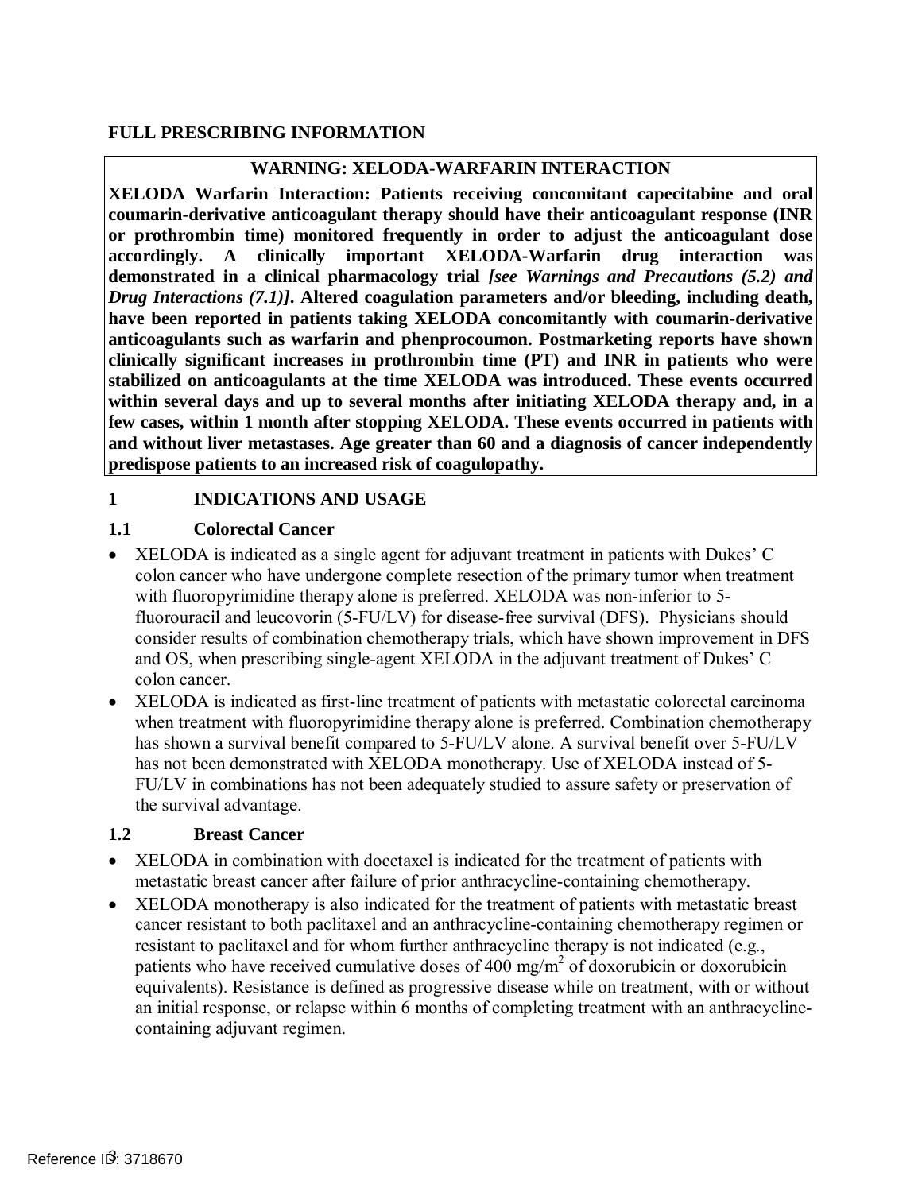### **FULL PRESCRIBING INFORMATION**

### **WARNING: XELODA-WARFARIN INTERACTION**

<span id="page-2-2"></span> **or prothrombin time) monitored frequently in order to adjust the anticoagulant dose XELODA Warfarin Interaction: Patients receiving concomitant capecitabine and oral coumarin-derivative anticoagulant therapy should have their anticoagulant response (INR accordingly. A clinically important XELODA-Warfarin drug interaction was demonstrated in a clinical pharmacology trial** *[see Warnings and Precautions [\(5.2\)](#page-6-2) and Drug Interactions [\(7.1\)\]](#page-20-1)***. Altered coagulation parameters and/or bleeding, including death, have been reported in patients taking XELODA concomitantly with coumarin-derivative anticoagulants such as warfarin and phenprocoumon. Postmarketing reports have shown clinically significant increases in prothrombin time (PT) and INR in patients who were stabilized on anticoagulants at the time XELODA was introduced. These events occurred within several days and up to several months after initiating XELODA therapy and, in a few cases, within 1 month after stopping XELODA. These events occurred in patients with and without liver metastases. Age greater than 60 and a diagnosis of cancer independently predispose patients to an increased risk of coagulopathy.** 

### **1 INDICATIONS AND USAGE**

### <span id="page-2-0"></span>**1.1 Colorectal Cancer**

- XELODA is indicated as a single agent for adjuvant treatment in patients with Dukes' C colon cancer who have undergone complete resection of the primary tumor when treatment with fluoropyrimidine therapy alone is preferred. XELODA was non-inferior to 5- fluorouracil and leucovorin (5-FU/LV) for disease-free survival (DFS). Physicians should consider results of combination chemotherapy trials, which have shown improvement in DFS and OS, when prescribing single-agent XELODA in the adjuvant treatment of Dukes' C colon cancer.
- XELODA is indicated as first-line treatment of patients with metastatic colorectal carcinoma when treatment with fluoropyrimidine therapy alone is preferred. Combination chemotherapy has shown a survival benefit compared to 5-FU/LV alone. A survival benefit over 5-FU/LV has not been demonstrated with XELODA monotherapy. Use of XELODA instead of 5- FU/LV in combinations has not been adequately studied to assure safety or preservation of the survival advantage.

### <span id="page-2-1"></span>**1.2 Breast Cancer**

- XELODA in combination with docetaxel is indicated for the treatment of patients with metastatic breast cancer after failure of prior anthracycline-containing chemotherapy.
- • XELODA monotherapy is also indicated for the treatment of patients with metastatic breast cancer resistant to both paclitaxel and an anthracycline-containing chemotherapy regimen or resistant to paclitaxel and for whom further anthracycline therapy is not indicated (e.g., patients who have received cumulative doses of 400 mg/m<sup>2</sup> of doxorubicin or doxorubicin equivalents). Resistance is defined as progressive disease while on treatment, with or without an initial response, or relapse within 6 months of completing treatment with an anthracycline-containing adjuvant regimen.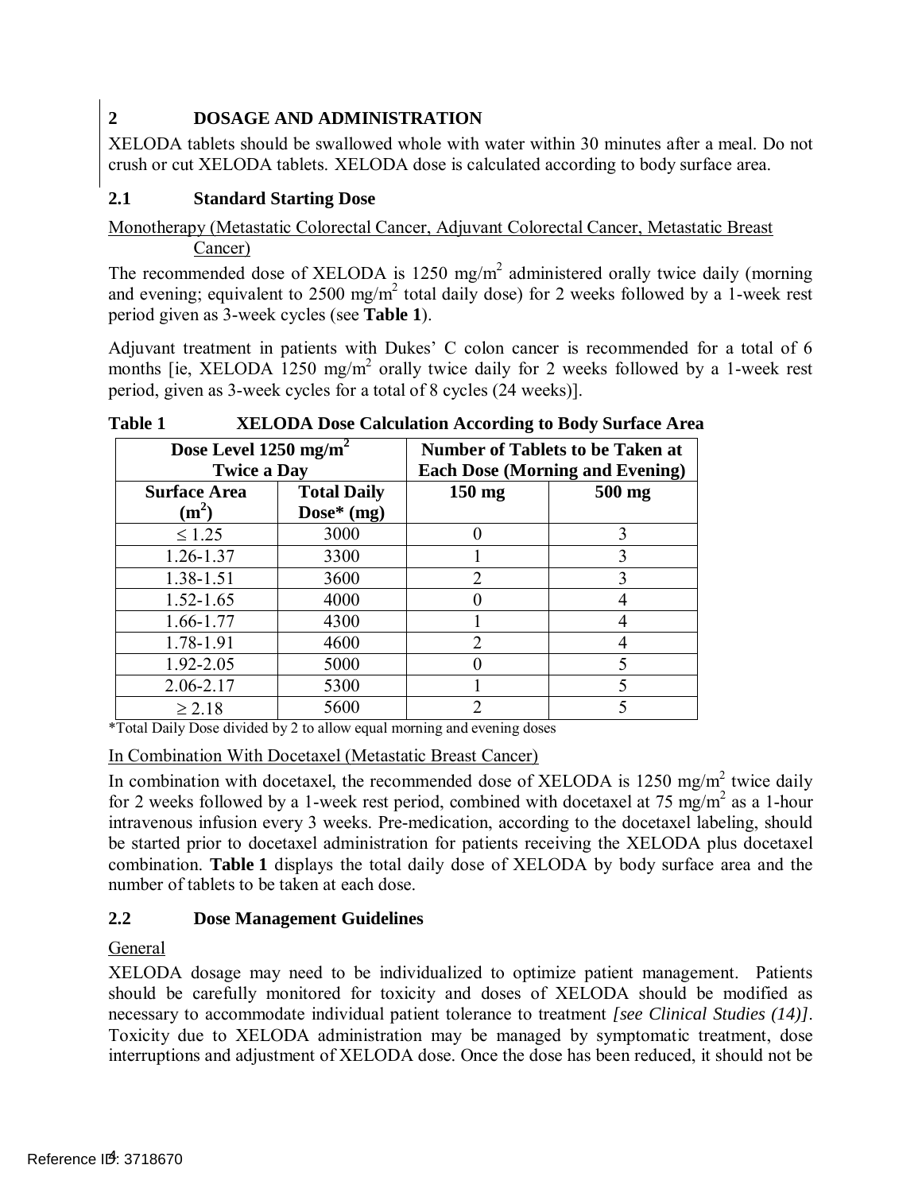## <span id="page-3-0"></span>**2 DOSAGE AND ADMINISTRATION**

 XELODA tablets should be swallowed whole with water within 30 minutes after a meal. Do not crush or cut XELODA tablets. XELODA dose is calculated according to body surface area.

## <span id="page-3-1"></span>**2.1 Standard Starting Dose**

## Monotherapy (Metastatic Colorectal Cancer, Adjuvant Colorectal Cancer, Metastatic Breast Cancer)

 $\frac{\text{Cancer}}{\text{Cancer}}$ <br>The recommended dose of XELODA is 1250 mg/m<sup>2</sup> administered orally twice daily (morning and evening; equivalent to 2500 mg/m<sup>2</sup> total daily dose) for 2 weeks followed by a 1-week rest period given as 3-week cycles (see **[Table 1](#page-3-3)**).

 Adjuvant treatment in patients with Dukes' C colon cancer is recommended for a total of 6 months [ie, XELODA 1250 mg/m<sup>2</sup> orally twice daily for 2 weeks followed by a 1-week rest period, given as 3-week cycles for a total of 8 cycles (24 weeks)].

| Dose Level $1250$ mg/m <sup>2</sup><br><b>Twice a Day</b> |                                    |                  | <b>Number of Tablets to be Taken at</b><br><b>Each Dose (Morning and Evening)</b> |
|-----------------------------------------------------------|------------------------------------|------------------|-----------------------------------------------------------------------------------|
| <b>Surface Area</b><br>$(m^2)$                            | <b>Total Daily</b><br>Dose* $(mg)$ | $150 \text{ mg}$ | 500 mg                                                                            |
| $\leq 1.25$                                               | 3000                               |                  | 3                                                                                 |
| 1.26-1.37                                                 | 3300                               |                  |                                                                                   |
| 1.38-1.51                                                 | 3600                               | $\overline{2}$   |                                                                                   |
| $1.52 - 1.65$                                             | 4000                               |                  |                                                                                   |
| 1.66-1.77                                                 | 4300                               |                  |                                                                                   |
| 1.78-1.91                                                 | 4600                               | $\mathcal{D}$    |                                                                                   |
| 1.92-2.05                                                 | 5000                               |                  |                                                                                   |
| 2.06-2.17                                                 | 5300                               |                  |                                                                                   |
| $\geq 2.18$                                               | 5600                               | 2                |                                                                                   |

<span id="page-3-3"></span>**Table 1 TABLE 1 XELODA Dose Calculation According to Body Surface Area** 

\*Total Daily Dose divided by 2 to allow equal morning and evening doses

### In Combination With Docetaxel (Metastatic Breast Cancer)

In combination with docetaxel, the recommended dose of XELODA is 1250 mg/m<sup>2</sup> twice daily for 2 weeks followed by a 1-week rest period, combined with docetaxel at 75 mg/m<sup>2</sup> as a 1-hour intravenous infusion every 3 weeks. Pre-medication, according to the docetaxel labeling, should be started prior to docetaxel administration for patients receiving the XELODA plus docetaxel combination. **[Table 1](#page-3-3)** displays the total daily dose of XELODA by body surface area and the number of tablets to be taken at each dose.

## <span id="page-3-2"></span>**2.2 Dose Management Guidelines**

## General

 XELODA dosage may need to be individualized to optimize patient management. Patients should be carefully monitored for toxicity and doses of XELODA should be modified as necessary to accommodate individual patient tolerance to treatment *[see Clinical Studies [\(14\)\]](#page-26-0)*. Toxicity due to XELODA administration may be managed by symptomatic treatment, dose interruptions and adjustment of XELODA dose. Once the dose has been reduced, it should not be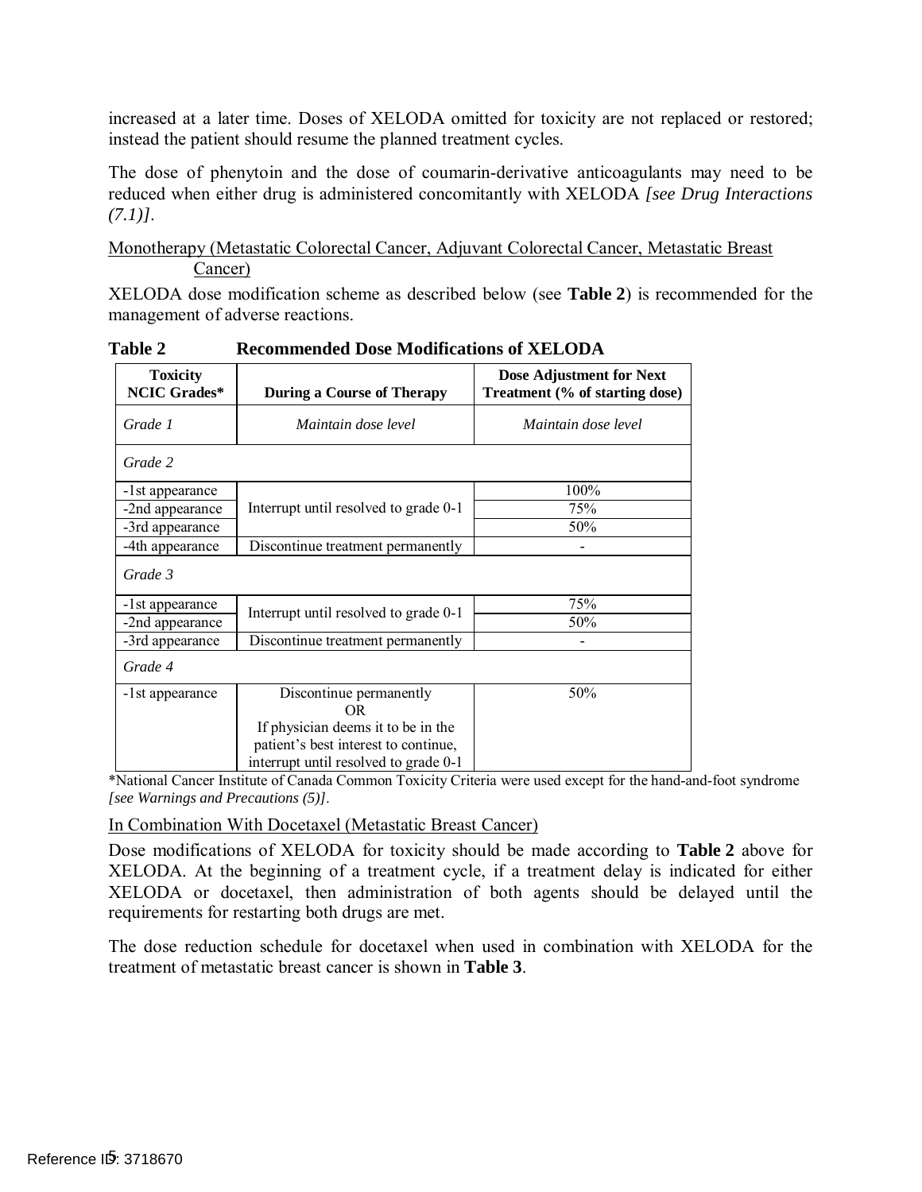increased at a later time. Doses of XELODA omitted for toxicity are not replaced or restored; instead the patient should resume the planned treatment cycles.

 The dose of phenytoin and the dose of coumarin-derivative anticoagulants may need to be reduced when either drug is administered concomitantly with XELODA *[see Drug Interactions [\(7.1\)\]](#page-20-1)*.

 Monotherapy (Metastatic Colorectal Cancer, Adjuvant Colorectal Cancer, Metastatic Breast Cancer)

 XELODA dose modification scheme as described below (see **[Table 2](#page-4-0)**) is recommended for the management of adverse reactions.

| <b>Toxicity</b><br><b>NCIC Grades*</b> | <b>During a Course of Therapy</b>                                                                                   | Dose Adjustment for Next<br>Treatment (% of starting dose) |  |  |
|----------------------------------------|---------------------------------------------------------------------------------------------------------------------|------------------------------------------------------------|--|--|
| Grade 1                                | Maintain dose level                                                                                                 | Maintain dose level                                        |  |  |
| Grade 2                                |                                                                                                                     |                                                            |  |  |
| -1st appearance                        |                                                                                                                     | 100%                                                       |  |  |
| -2nd appearance                        | Interrupt until resolved to grade 0-1                                                                               | 75%                                                        |  |  |
| -3rd appearance                        |                                                                                                                     | 50%                                                        |  |  |
| -4th appearance                        | Discontinue treatment permanently                                                                                   |                                                            |  |  |
| Grade 3                                |                                                                                                                     |                                                            |  |  |
| -1st appearance                        |                                                                                                                     | 75%                                                        |  |  |
| -2nd appearance                        | Interrupt until resolved to grade 0-1                                                                               | 50%                                                        |  |  |
| -3rd appearance                        | Discontinue treatment permanently                                                                                   |                                                            |  |  |
| Grade 4                                |                                                                                                                     |                                                            |  |  |
| -1st appearance                        | Discontinue permanently<br>OR.                                                                                      | 50%                                                        |  |  |
|                                        | If physician deems it to be in the<br>patient's best interest to continue,<br>interrupt until resolved to grade 0-1 |                                                            |  |  |

<span id="page-4-0"></span>**Table 2 Recommended Dose Modifications of XELODA** 

 \*National Cancer Institute of Canada Common Toxicity Criteria were used except for the hand-and-foot syndrome *[see Warnings and Precautions [\(5\)\]](#page-6-5)*.

In Combination With Docetaxel (Metastatic Breast Cancer)

 Dose modifications of XELODA for toxicity should be made according to **[Table 2](#page-4-0)** above for XELODA. At the beginning of a treatment cycle, if a treatment delay is indicated for either XELODA or docetaxel, then administration of both agents should be delayed until the requirements for restarting both drugs are met.

 The dose reduction schedule for docetaxel when used in combination with XELODA for the treatment of metastatic breast cancer is shown in **[Table 3](#page-5-2)**.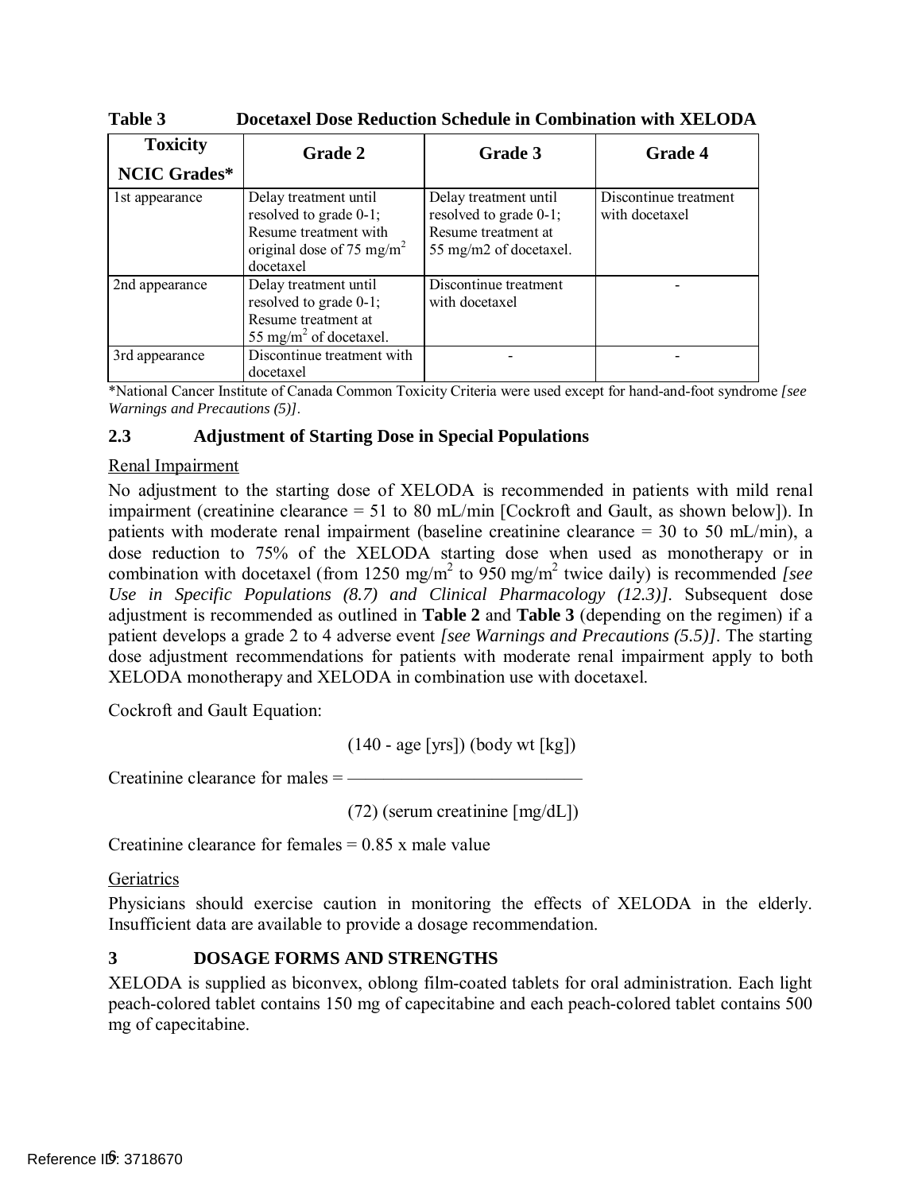| <b>Toxicity</b>     | <b>Grade 2</b>                                                                                                                 | Grade 3                                                                                          | <b>Grade 4</b>                          |
|---------------------|--------------------------------------------------------------------------------------------------------------------------------|--------------------------------------------------------------------------------------------------|-----------------------------------------|
| <b>NCIC Grades*</b> |                                                                                                                                |                                                                                                  |                                         |
| 1st appearance      | Delay treatment until<br>resolved to grade 0-1;<br>Resume treatment with<br>original dose of 75 mg/m <sup>2</sup><br>docetaxel | Delay treatment until<br>resolved to grade 0-1;<br>Resume treatment at<br>55 mg/m2 of docetaxel. | Discontinue treatment<br>with docetaxel |
| 2nd appearance      | Delay treatment until<br>resolved to grade 0-1;<br>Resume treatment at<br>55 mg/m <sup>2</sup> of docetaxel.                   | Discontinue treatment<br>with docetaxel                                                          |                                         |
| 3rd appearance      | Discontinue treatment with<br>docetaxel                                                                                        |                                                                                                  |                                         |

<span id="page-5-2"></span>**Table 3 Docetaxel Dose Reduction Schedule in Combination with XELODA** 

\*National Cancer Institute of Canada Common Toxicity Criteria were used except for hand-and-foot syndrome *[see Warnings and Precaution[s \(5\)\]](#page-6-5)*.

#### <span id="page-5-0"></span>**2.3 Adjustment of Starting Dose in Special Populations**

### Renal Impairment

 No adjustment to the starting dose of XELODA is recommended in patients with mild renal impairment (creatinine clearance = 51 to 80 mL/min [Cockroft and Gault, as shown below]). In patients with moderate renal impairment (baseline creatinine clearance = 30 to 50 mL/min), a dose reduction to 75% of the XELODA starting dose when used as monotherapy or in combination with docetaxel (from 1250 mg/m<sup>2</sup> to 950 mg/m<sup>2</sup> twice daily) is recommended *[see*] *Use in Specific Populations [\(8.7\)](#page-22-2) and Clinical Pharmacology [\(12.3\)\]](#page-23-0)*. Subsequent dose adjustment is recommended as outlined in **[Table 2](#page-4-0)** and **[Table 3](#page-5-2)** (depending on the regimen) if a patient develops a grade 2 to 4 adverse event *[see Warnings and Precautions [\(5.5\)\]](#page-7-1)*. The starting dose adjustment recommendations for patients with moderate renal impairment apply to both XELODA monotherapy and XELODA in combination use with docetaxel.

Cockroft and Gault Equation:

(140 - age [yrs]) (body wt [kg])

Creatinine clearance for males = —————————————

(72) (serum creatinine [mg/dL])

Creatinine clearance for females  $= 0.85$  x male value

#### **Geriatrics**

 Physicians should exercise caution in monitoring the effects of XELODA in the elderly. Insufficient data are available to provide a dosage recommendation.

### <span id="page-5-1"></span>**3 DOSAGE FORMS AND STRENGTHS**

 XELODA is supplied as biconvex, oblong film-coated tablets for oral administration. Each light peach-colored tablet contains 150 mg of capecitabine and each peach-colored tablet contains 500 mg of capecitabine.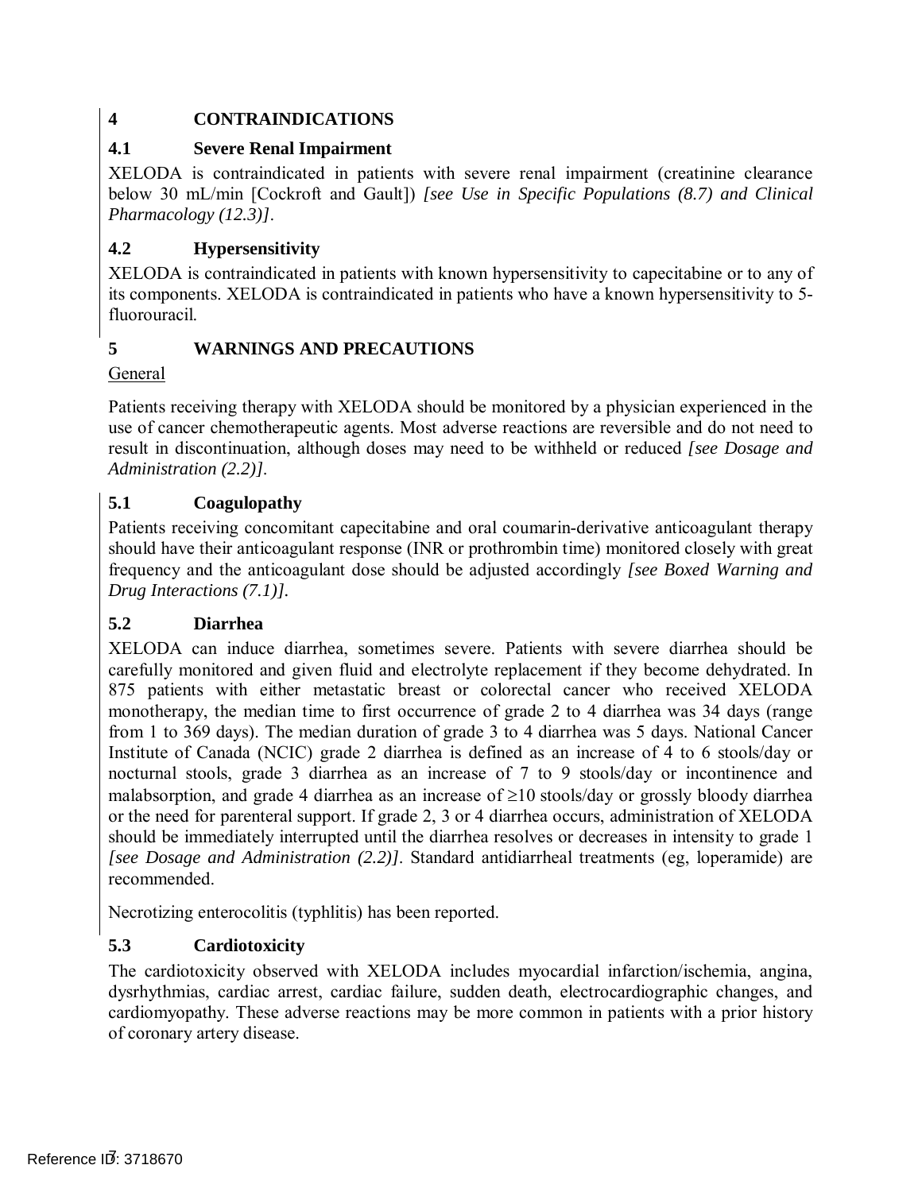## **4 CONTRAINDICATIONS**

## <span id="page-6-0"></span>**4.1 Severe Renal Impairment**

 XELODA is contraindicated in patients with severe renal impairment (creatinine clearance below 30 mL/min [Cockroft and Gault]) *[see Use in Specific Populations [\(8.7\)](#page-22-2) and Clinical Pharmacology [\(12.3\)\]](#page-23-0)*.

## <span id="page-6-1"></span>**4.2 Hypersensitivity**

 XELODA is contraindicated in patients with known hypersensitivity to capecitabine or to any of its components. XELODA is contraindicated in patients who have a known hypersensitivity to 5 fluorouracil.

## <span id="page-6-5"></span>**5 WARNINGS AND PRECAUTIONS**

## General

 Patients receiving therapy with XELODA should be monitored by a physician experienced in the use of cancer chemotherapeutic agents. Most adverse reactions are reversible and do not need to result in discontinuation, although doses may need to be withheld or reduced *[see Dosage and Administration [\(2.2\)\]](#page-3-2)*.

## <span id="page-6-3"></span>**5.1 Coagulopathy**

 Patients receiving concomitant capecitabine and oral coumarin-derivative anticoagulant therapy should have their anticoagulant response (INR or prothrombin time) monitored closely with great frequency and the anticoagulant dose should be adjusted accordingly *[see Boxed Warning and Drug Interactions [\(7.1\)\]](#page-20-1).* 

## <span id="page-6-2"></span> **5.2 Diarrhea**

 XELODA can induce diarrhea, sometimes severe. Patients with severe diarrhea should be carefully monitored and given fluid and electrolyte replacement if they become dehydrated. In 875 patients with either metastatic breast or colorectal cancer who received XELODA monotherapy, the median time to first occurrence of grade 2 to 4 diarrhea was 34 days (range from 1 to 369 days). The median duration of grade 3 to 4 diarrhea was 5 days. National Cancer Institute of Canada (NCIC) grade 2 diarrhea is defined as an increase of 4 to 6 stools/day or nocturnal stools, grade 3 diarrhea as an increase of 7 to 9 stools/day or incontinence and malabsorption, and grade 4 diarrhea as an increase of ≥10 stools/day or grossly bloody diarrhea or the need for parenteral support. If grade 2, 3 or 4 diarrhea occurs, administration of XELODA should be immediately interrupted until the diarrhea resolves or decreases in intensity to grade 1 *[see Dosage and Administration [\(2.2\)\]](#page-3-2)*. Standard antidiarrheal treatments (eg, loperamide) are recommended.

Necrotizing enterocolitis (typhlitis) has been reported.

## <span id="page-6-4"></span>**5.3 Cardiotoxicity**

 The cardiotoxicity observed with XELODA includes myocardial infarction/ischemia, angina, dysrhythmias, cardiac arrest, cardiac failure, sudden death, electrocardiographic changes, and cardiomyopathy. These adverse reactions may be more common in patients with a prior history of coronary artery disease.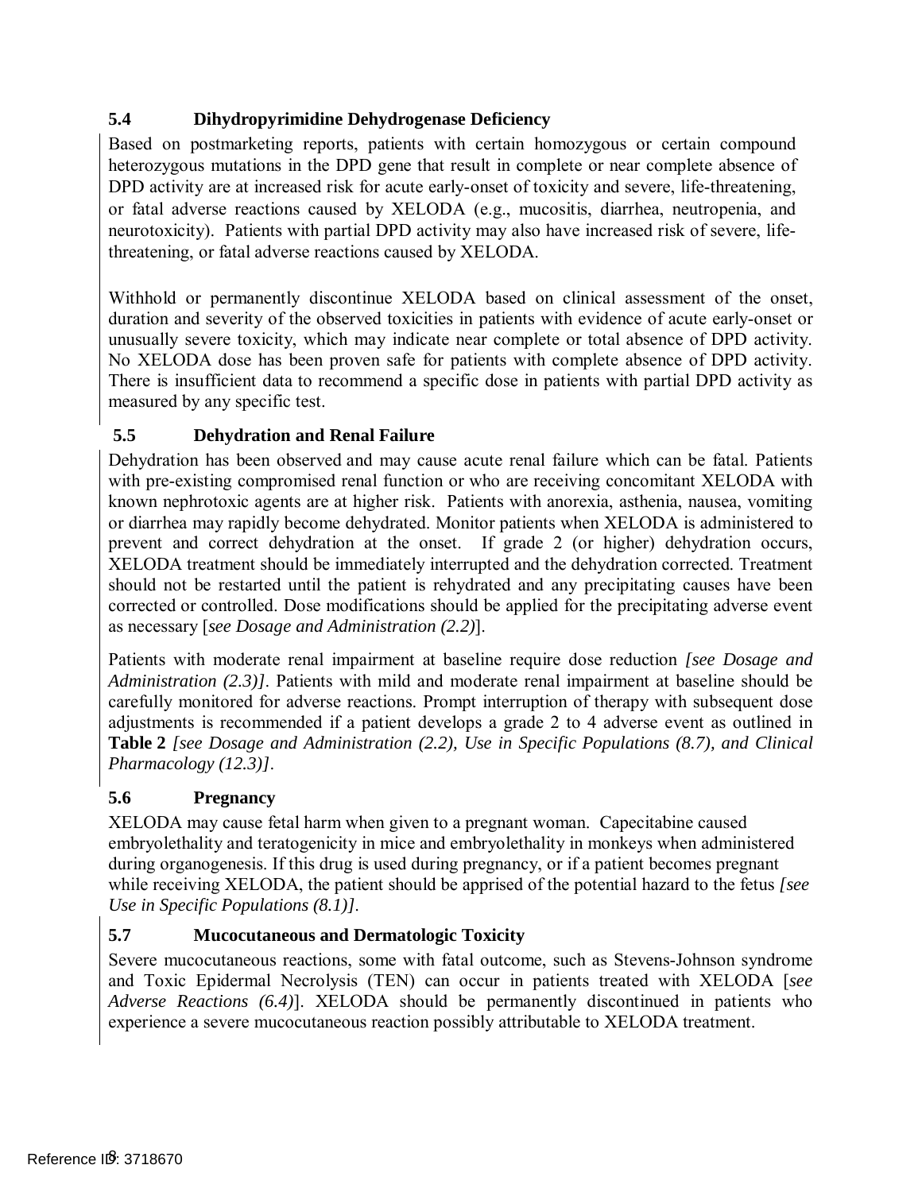## **5.4 Dihydropyrimidine Dehydrogenase Deficiency**

 Based on postmarketing reports, patients with certain homozygous or certain compound heterozygous mutations in the DPD gene that result in complete or near complete absence of DPD activity are at increased risk for acute early-onset of toxicity and severe, life-threatening, or fatal adverse reactions caused by XELODA (e.g., mucositis, diarrhea, neutropenia, and neurotoxicity). Patients with partial DPD activity may also have increased risk of severe, life-threatening, or fatal adverse reactions caused by XELODA.

 Withhold or permanently discontinue XELODA based on clinical assessment of the onset, duration and severity of the observed toxicities in patients with evidence of acute early-onset or unusually severe toxicity, which may indicate near complete or total absence of DPD activity. No XELODA dose has been proven safe for patients with complete absence of DPD activity. There is insufficient data to recommend a specific dose in patients with partial DPD activity as measured by any specific test.

#### <span id="page-7-1"></span> **5.5 Dehydration and Renal Failure**

 Dehydration has been observed and may cause acute renal failure which can be fatal. Patients with pre-existing compromised renal function or who are receiving concomitant XELODA with known nephrotoxic agents are at higher risk. Patients with anorexia, asthenia, nausea, vomiting or diarrhea may rapidly become dehydrated. Monitor patients when XELODA is administered to prevent and correct dehydration at the onset. If grade 2 (or higher) dehydration occurs, XELODA treatment should be immediately interrupted and the dehydration corrected. Treatment should not be restarted until the patient is rehydrated and any precipitating causes have been corrected or controlled. Dose modifications should be applied for the precipitating adverse event as necessary [*see Dosage and Administration [\(2.2\)](#page-3-2)*].

 Patients with moderate renal impairment at baseline require dose reduction *[see Dosage and Administration [\(2.3\)\]](#page-5-0)*. Patients with mild and moderate renal impairment at baseline should be carefully monitored for adverse reactions. Prompt interruption of therapy with subsequent dose adjustments is recommended if a patient develops a grade 2 to 4 adverse event as outlined in *Pharmacology [\(12.3\)\]](#page-23-0)*. **[Table 2](#page-4-0)** *[see Dosage and Administration [\(2.2\),](#page-3-2) Use in Specific Populations [\(8.7\),](#page-22-1) and Clinical* 

## <span id="page-7-0"></span>**5.6 Pregnancy**

 XELODA may cause fetal harm when given to a pregnant woman. Capecitabine caused embryolethality and teratogenicity in mice and embryolethality in monkeys when administered during organogenesis. If this drug is used during pregnancy, or if a patient becomes pregnant while receiving XELODA, the patient should be apprised of the potential hazard to the fetus *[see Use in Specific Populations [\(8.1\)\]](#page-20-0)*.

## **5.7 Mucocutaneous and Dermatologic Toxicity**

 Severe mucocutaneous reactions, some with fatal outcome, such as Stevens-Johnson syndrome and Toxic Epidermal Necrolysis (TEN) can occur in patients treated with XELODA [*see Adverse Reactions (6.4)*]. XELODA should be permanently discontinued in patients who experience a severe mucocutaneous reaction possibly attributable to XELODA treatment.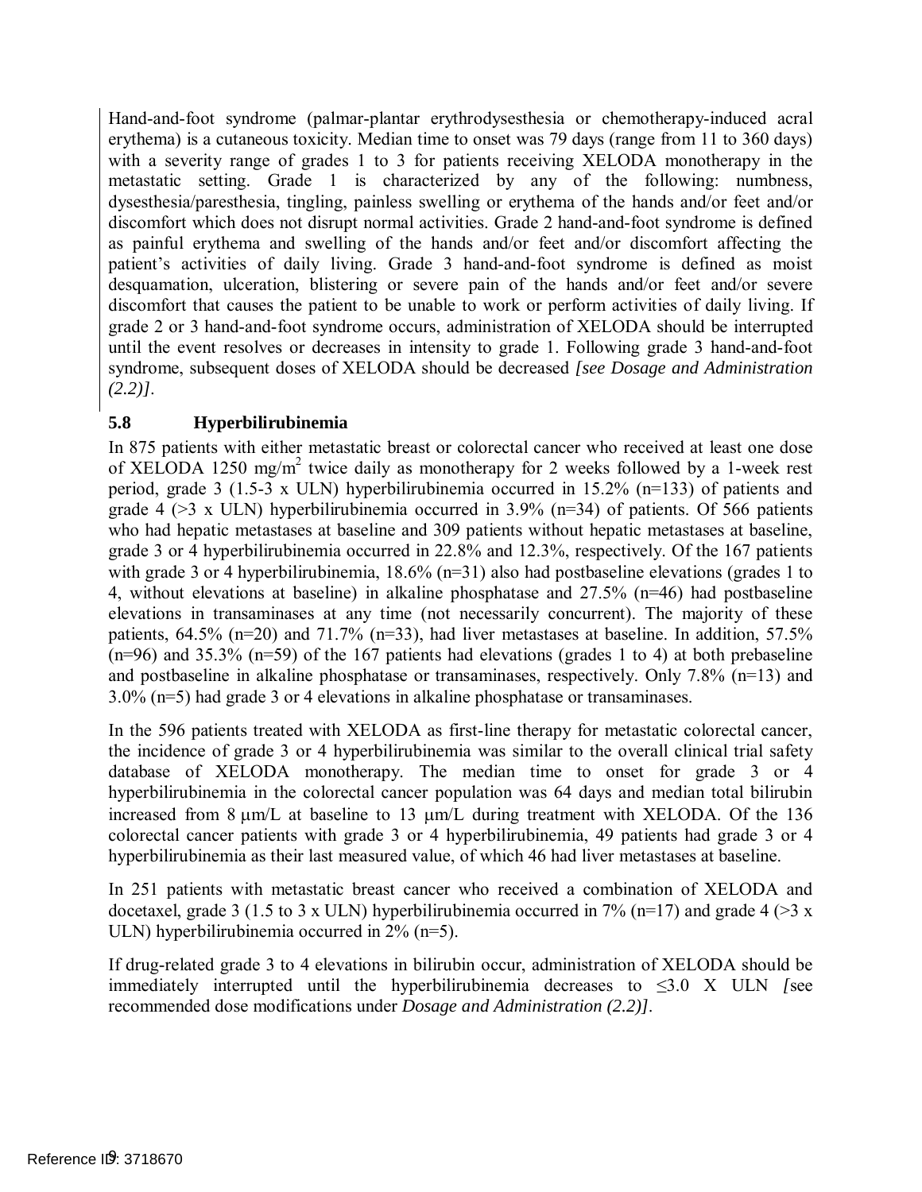Hand-and-foot syndrome (palmar-plantar erythrodysesthesia or chemotherapy-induced acral erythema) is a cutaneous toxicity. Median time to onset was 79 days (range from 11 to 360 days) with a severity range of grades 1 to 3 for patients receiving XELODA monotherapy in the metastatic setting. Grade 1 is characterized by any of the following: numbness, dysesthesia/paresthesia, tingling, painless swelling or erythema of the hands and/or feet and/or discomfort which does not disrupt normal activities. Grade 2 hand-and-foot syndrome is defined as painful erythema and swelling of the hands and/or feet and/or discomfort affecting the patient's activities of daily living. Grade 3 hand-and-foot syndrome is defined as moist desquamation, ulceration, blistering or severe pain of the hands and/or feet and/or severe discomfort that causes the patient to be unable to work or perform activities of daily living. If grade 2 or 3 hand-and-foot syndrome occurs, administration of XELODA should be interrupted until the event resolves or decreases in intensity to grade 1. Following grade 3 hand-and-foot syndrome, subsequent doses of XELODA should be decreased *[see Dosage and Administration [\(2.2\)\]](#page-3-2)*.

## <span id="page-8-0"></span>**5.8 Hyperbilirubinemia**

 In 875 patients with either metastatic breast or colorectal cancer who received at least one dose of XELODA 1250 mg/m<sup>2</sup> twice daily as monotherapy for 2 weeks followed by a 1-week rest period, grade 3 (1.5-3 x ULN) hyperbilirubinemia occurred in 15.2% (n=133) of patients and grade 4 ( $\geq$ 3 x ULN) hyperbilirubinemia occurred in 3.9% (n=34) of patients. Of 566 patients who had hepatic metastases at baseline and 309 patients without hepatic metastases at baseline, grade 3 or 4 hyperbilirubinemia occurred in 22.8% and 12.3%, respectively. Of the 167 patients with grade 3 or 4 hyperbilirubinemia, 18.6% (n=31) also had postbaseline elevations (grades 1 to 4, without elevations at baseline) in alkaline phosphatase and 27.5% (n=46) had postbaseline elevations in transaminases at any time (not necessarily concurrent). The majority of these patients, 64.5% (n=20) and 71.7% (n=33), had liver metastases at baseline. In addition, 57.5% (n=96) and 35.3% (n=59) of the 167 patients had elevations (grades 1 to 4) at both prebaseline and postbaseline in alkaline phosphatase or transaminases, respectively. Only 7.8% (n=13) and 3.0% (n=5) had grade 3 or 4 elevations in alkaline phosphatase or transaminases.

 In the 596 patients treated with XELODA as first-line therapy for metastatic colorectal cancer, the incidence of grade 3 or 4 hyperbilirubinemia was similar to the overall clinical trial safety database of XELODA monotherapy. The median time to onset for grade 3 or 4 hyperbilirubinemia in the colorectal cancer population was 64 days and median total bilirubin increased from 8 µm/L at baseline to 13 µm/L during treatment with XELODA. Of the 136 colorectal cancer patients with grade 3 or 4 hyperbilirubinemia, 49 patients had grade 3 or 4 hyperbilirubinemia as their last measured value, of which 46 had liver metastases at baseline.

 In 251 patients with metastatic breast cancer who received a combination of XELODA and docetaxel, grade 3 (1.5 to 3 x ULN) hyperbilirubinemia occurred in 7% (n=17) and grade 4 (>3 x ULN) hyperbilirubinemia occurred in 2% (n=5).

 If drug-related grade 3 to 4 elevations in bilirubin occur, administration of XELODA should be immediately interrupted until the hyperbilirubinemia decreases to ≤3.0 X ULN *[*see recommended dose modifications under *Dosage and Administration [\(2.2\)\]](#page-3-2)*.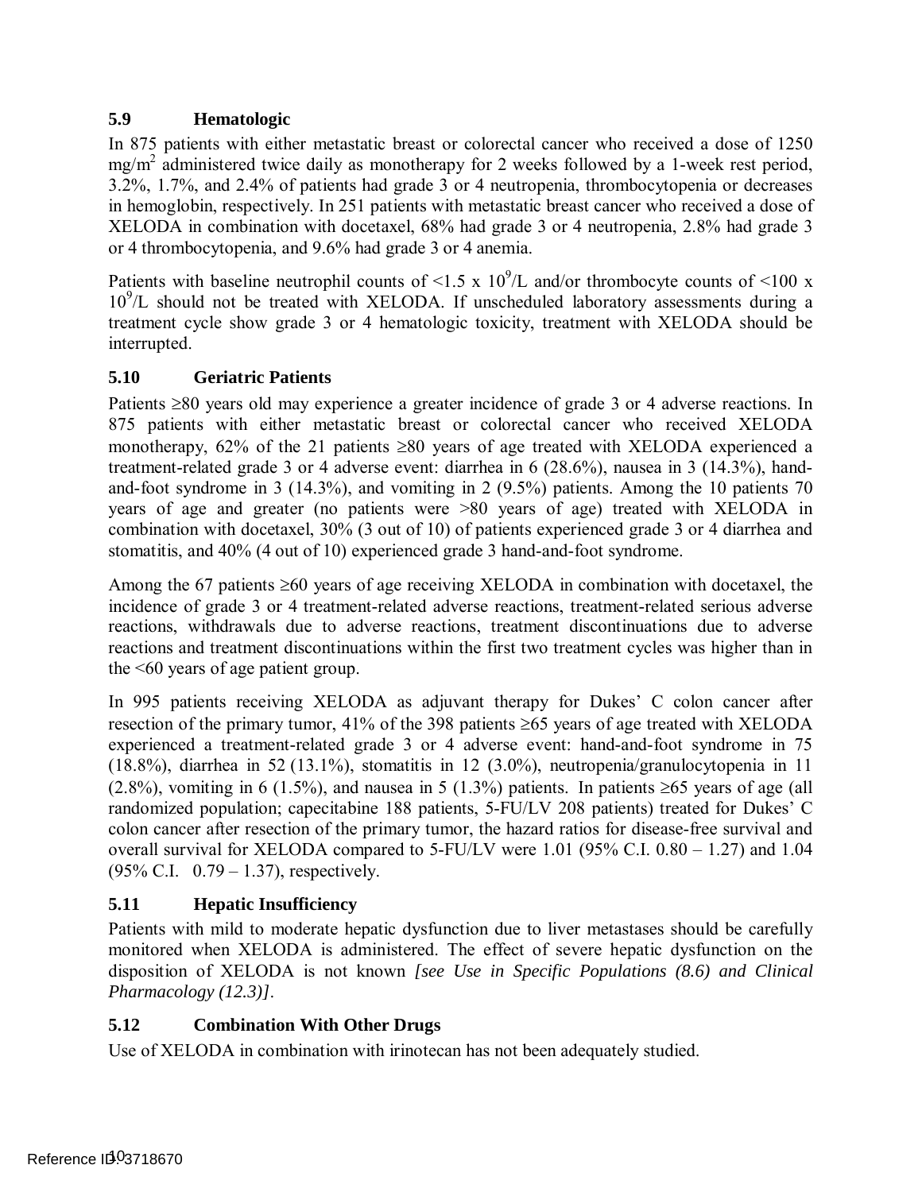## <span id="page-9-0"></span> **5.9 Hematologic**

 In 875 patients with either metastatic breast or colorectal cancer who received a dose of 1250 mg/m<sup>2</sup> administered twice daily as monotherapy for 2 weeks followed by a 1-week rest period, 3.2%, 1.7%, and 2.4% of patients had grade 3 or 4 neutropenia, thrombocytopenia or decreases in hemoglobin, respectively. In 251 patients with metastatic breast cancer who received a dose of XELODA in combination with docetaxel, 68% had grade 3 or 4 neutropenia, 2.8% had grade 3 or 4 thrombocytopenia, and 9.6% had grade 3 or 4 anemia.

Patients with baseline neutrophil counts of  $\leq 1.5 \times 10^9$ /L and/or thrombocyte counts of  $\leq 100 \text{ x}$ 10<sup>9</sup>/L should not be treated with XELODA. If unscheduled laboratory assessments during a treatment cycle show grade 3 or 4 hematologic toxicity, treatment with XELODA should be interrupted.

## **5.10 Geriatric Patients**

 Patients ≥80 years old may experience a greater incidence of grade 3 or 4 adverse reactions. In 875 patients with either metastatic breast or colorectal cancer who received XELODA monotherapy, 62% of the 21 patients ≥80 years of age treated with XELODA experienced a treatment-related grade 3 or 4 adverse event: diarrhea in 6 (28.6%), nausea in 3 (14.3%), hand- and-foot syndrome in 3 (14.3%), and vomiting in 2 (9.5%) patients. Among the 10 patients 70 years of age and greater (no patients were >80 years of age) treated with XELODA in combination with docetaxel, 30% (3 out of 10) of patients experienced grade 3 or 4 diarrhea and stomatitis, and 40% (4 out of 10) experienced grade 3 hand-and-foot syndrome.

 Among the 67 patients ≥60 years of age receiving XELODA in combination with docetaxel, the incidence of grade 3 or 4 treatment-related adverse reactions, treatment-related serious adverse reactions, withdrawals due to adverse reactions, treatment discontinuations due to adverse reactions and treatment discontinuations within the first two treatment cycles was higher than in the <60 years of age patient group.

 In 995 patients receiving XELODA as adjuvant therapy for Dukes' C colon cancer after resection of the primary tumor, 41% of the 398 patients ≥65 years of age treated with XELODA experienced a treatment-related grade 3 or 4 adverse event: hand-and-foot syndrome in 75 (18.8%), diarrhea in 52 (13.1%), stomatitis in 12 (3.0%), neutropenia/granulocytopenia in 11  $(2.8\%)$ , vomiting in 6 (1.5%), and nausea in 5 (1.3%) patients. In patients ≥65 years of age (all randomized population; capecitabine 188 patients, 5-FU/LV 208 patients) treated for Dukes' C colon cancer after resection of the primary tumor, the hazard ratios for disease-free survival and overall survival for XELODA compared to 5-FU/LV were 1.01 (95% C.I. 0.80 – 1.27) and 1.04 (95% C.I. 0.79 – 1.37), respectively.

## <span id="page-9-1"></span> **5.11 Hepatic Insufficiency**

 Patients with mild to moderate hepatic dysfunction due to liver metastases should be carefully monitored when XELODA is administered. The effect of severe hepatic dysfunction on the disposition of XELODA is not known *[see Use in Specific Populations [\(8.6\)](#page-22-1) and Clinical Pharmacology [\(12.3\)\]](#page-23-0)*.

## **5.12 Combination With Other Drugs**

Use of XELODA in combination with irinotecan has not been adequately studied.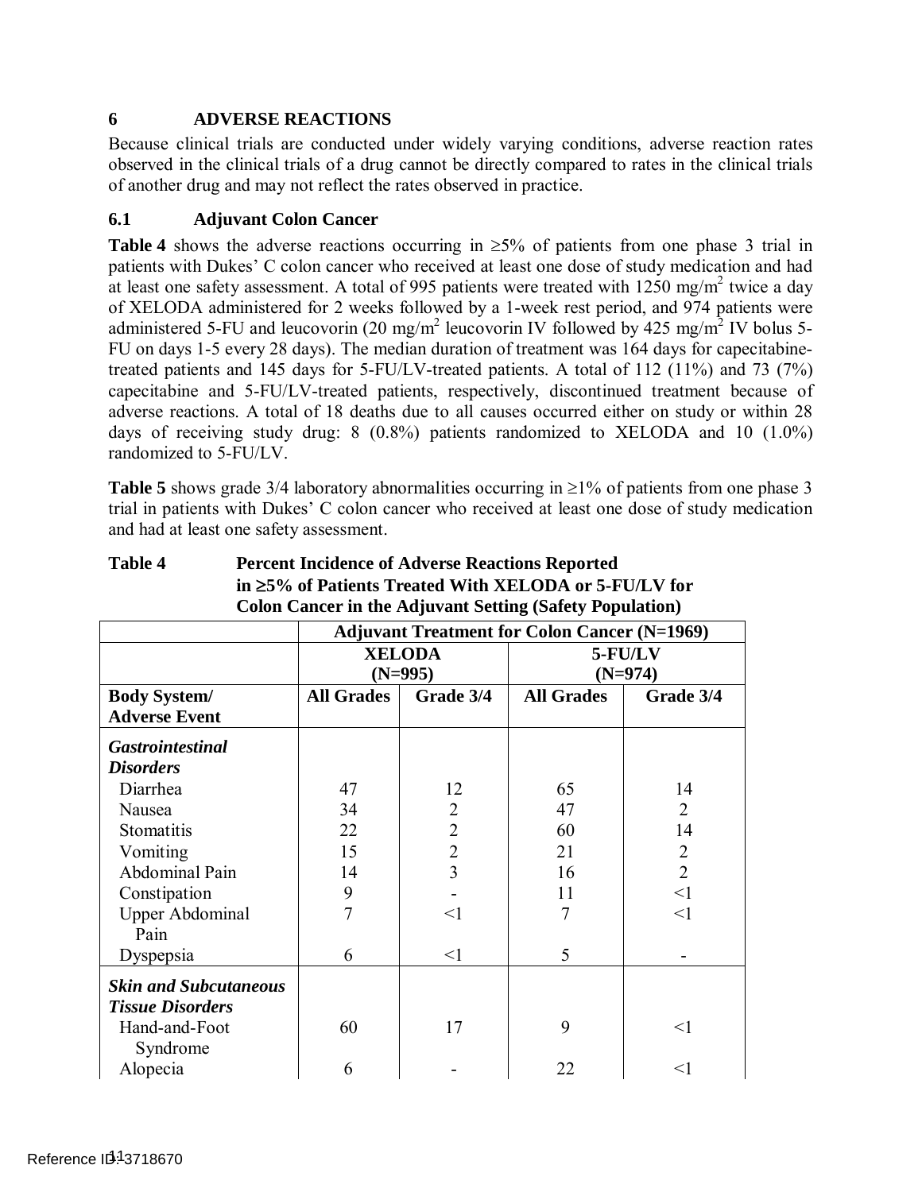## <span id="page-10-0"></span>**6 ADVERSE REACTIONS**

 Because clinical trials are conducted under widely varying conditions, adverse reaction rates observed in the clinical trials of a drug cannot be directly compared to rates in the clinical trials of another drug and may not reflect the rates observed in practice.

### **6.1 Adjuvant Colon Cancer**

 **[Table 4](#page-10-1)** shows the adverse reactions occurring in ≥5% of patients from one phase 3 trial in patients with Dukes' C colon cancer who received at least one dose of study medication and had at least one safety assessment. A total of 995 patients were treated with  $1250 \text{ mg/m}^2$  twice a day of XELODA administered for 2 weeks followed by a 1-week rest period, and 974 patients were administered 5-FU and leucovorin (20 mg/m<sup>2</sup> leucovorin IV followed by 425 mg/m<sup>2</sup> IV bolus 5- FU on days 1-5 every 28 days). The median duration of treatment was 164 days for capecitabine- treated patients and 145 days for 5-FU/LV-treated patients. A total of 112 (11%) and 73 (7%) capecitabine and 5-FU/LV-treated patients, respectively, discontinued treatment because of adverse reactions. A total of 18 deaths due to all causes occurred either on study or within 28 days of receiving study drug: 8 (0.8%) patients randomized to XELODA and 10 (1.0%) randomized to 5-FU/LV.

 **[Table 5](#page-12-0)** shows grade 3/4 laboratory abnormalities occurring in ≥1% of patients from one phase 3 trial in patients with Dukes' C colon cancer who received at least one dose of study medication and had at least one safety assessment.

|                                             |                                                     |                | Colon Cancel in the Aujuvant Setting (Salety Topulation) |                |  |  |  |  |  |
|---------------------------------------------|-----------------------------------------------------|----------------|----------------------------------------------------------|----------------|--|--|--|--|--|
|                                             | <b>Adjuvant Treatment for Colon Cancer (N=1969)</b> |                |                                                          |                |  |  |  |  |  |
|                                             |                                                     | <b>XELODA</b>  | 5-FU/LV                                                  |                |  |  |  |  |  |
|                                             |                                                     | $(N=995)$      |                                                          | $(N=974)$      |  |  |  |  |  |
| <b>Body System/</b><br><b>Adverse Event</b> | <b>All Grades</b>                                   | Grade 3/4      | <b>All Grades</b>                                        | Grade 3/4      |  |  |  |  |  |
| <b>Gastrointestinal</b>                     |                                                     |                |                                                          |                |  |  |  |  |  |
| <b>Disorders</b>                            |                                                     |                |                                                          |                |  |  |  |  |  |
| Diarrhea                                    | 47                                                  | 12             | 65                                                       | 14             |  |  |  |  |  |
| Nausea                                      | 34                                                  | $\overline{2}$ | 47                                                       | 2              |  |  |  |  |  |
| Stomatitis                                  | 22                                                  | $\overline{2}$ | 60                                                       | 14             |  |  |  |  |  |
| Vomiting                                    | 15                                                  | $\overline{2}$ | 21                                                       | $\overline{2}$ |  |  |  |  |  |
| Abdominal Pain                              | 14                                                  | 3              | 16                                                       | $\overline{2}$ |  |  |  |  |  |
| Constipation                                | 9                                                   |                | 11                                                       | $\leq$ 1       |  |  |  |  |  |
| <b>Upper Abdominal</b>                      | 7                                                   | $<$ 1          | 7                                                        | $\leq$ 1       |  |  |  |  |  |
| Pain                                        |                                                     |                |                                                          |                |  |  |  |  |  |
| Dyspepsia                                   | 6                                                   | $\leq$ 1       | 5                                                        |                |  |  |  |  |  |
| <b>Skin and Subcutaneous</b>                |                                                     |                |                                                          |                |  |  |  |  |  |
| <b>Tissue Disorders</b>                     |                                                     |                |                                                          |                |  |  |  |  |  |
| Hand-and-Foot                               | 60                                                  | 17             | 9                                                        | $\leq$ 1       |  |  |  |  |  |
| Syndrome                                    |                                                     |                |                                                          |                |  |  |  |  |  |
| Alopecia                                    | 6                                                   |                | 22                                                       | $<$ l          |  |  |  |  |  |

#### <span id="page-10-1"></span>**Table 4** Percent Incidence of Adverse Reactions Reported **in** ≥**5% of Patients Treated With XELODA or 5-FU/LV for Colon Cancer in the Adjuvant Setting (Safety Population)**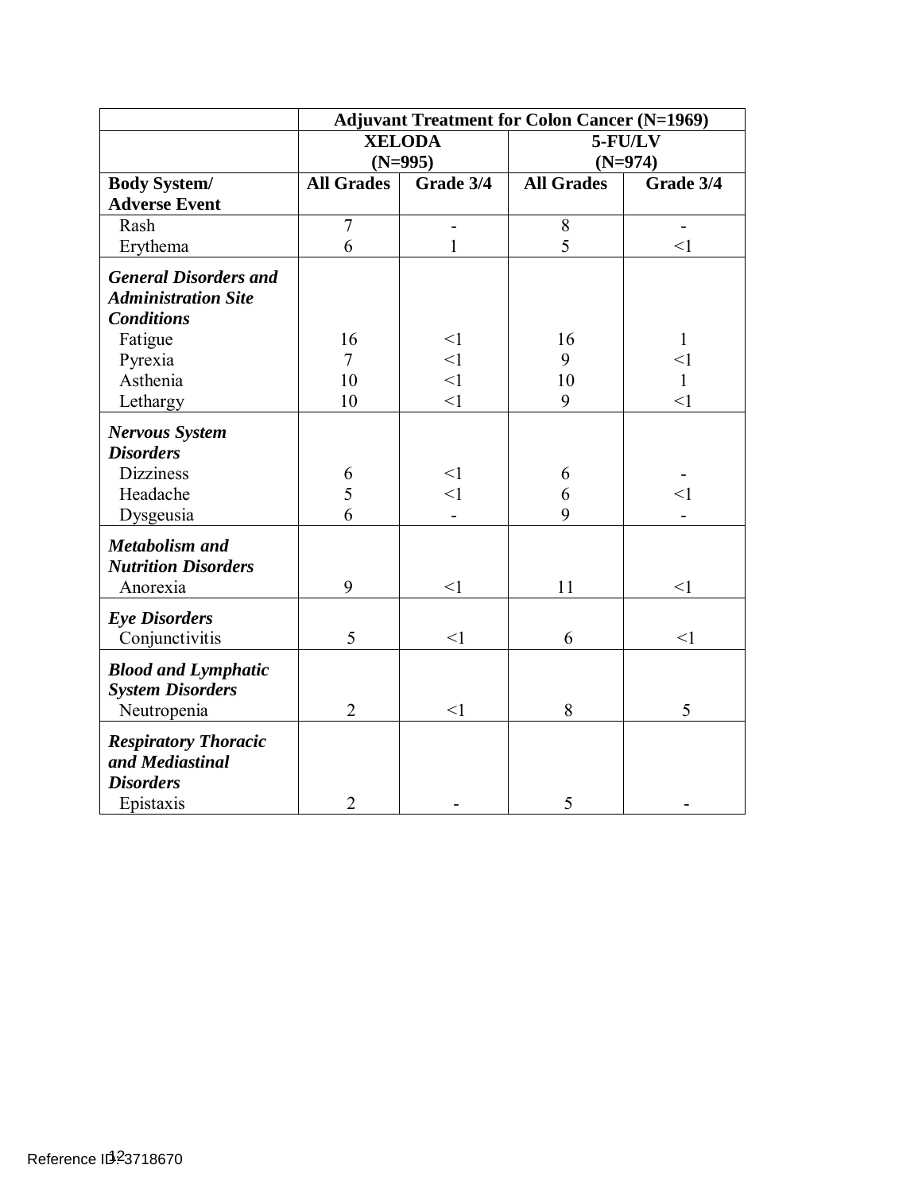|                              | <b>Adjuvant Treatment for Colon Cancer (N=1969)</b> |                              |                   |                          |  |  |  |
|------------------------------|-----------------------------------------------------|------------------------------|-------------------|--------------------------|--|--|--|
|                              |                                                     | <b>XELODA</b>                |                   | 5-FU/LV                  |  |  |  |
|                              | $(N=995)$                                           |                              |                   | $(N=974)$                |  |  |  |
| <b>Body System/</b>          | <b>All Grades</b>                                   | Grade 3/4                    | <b>All Grades</b> | Grade 3/4                |  |  |  |
| <b>Adverse Event</b>         |                                                     |                              |                   |                          |  |  |  |
| Rash                         | $\overline{7}$                                      | $\qquad \qquad \blacksquare$ | 8                 | $\overline{\phantom{0}}$ |  |  |  |
| Erythema                     | 6                                                   | 1                            | 5                 | $\leq$ 1                 |  |  |  |
| <b>General Disorders and</b> |                                                     |                              |                   |                          |  |  |  |
| <b>Administration Site</b>   |                                                     |                              |                   |                          |  |  |  |
| <b>Conditions</b>            |                                                     |                              |                   |                          |  |  |  |
| Fatigue                      | 16                                                  | <1                           | 16                | $\mathbf{1}$             |  |  |  |
| Pyrexia                      | 7                                                   | $\leq$ 1                     | 9                 | $\leq$ 1                 |  |  |  |
| Asthenia                     | 10                                                  | $\leq$ 1                     | 10                | $\mathbf{1}$             |  |  |  |
| Lethargy                     | 10                                                  | $\leq$ 1                     | 9                 | $\leq$ 1                 |  |  |  |
| <b>Nervous System</b>        |                                                     |                              |                   |                          |  |  |  |
| <b>Disorders</b>             |                                                     |                              |                   |                          |  |  |  |
| <b>Dizziness</b>             | 6                                                   | $\leq$ 1                     | 6                 |                          |  |  |  |
| Headache                     | 5                                                   | $\leq$ 1                     | 6                 | $\leq$ 1                 |  |  |  |
| Dysgeusia                    | 6                                                   |                              | 9                 |                          |  |  |  |
| <b>Metabolism and</b>        |                                                     |                              |                   |                          |  |  |  |
| <b>Nutrition Disorders</b>   |                                                     |                              |                   |                          |  |  |  |
| Anorexia                     | 9                                                   | $\leq$ 1                     | 11                | $\leq$ 1                 |  |  |  |
| <b>Eye Disorders</b>         |                                                     |                              |                   |                          |  |  |  |
| Conjunctivitis               | 5                                                   | $\leq$ 1                     | 6                 | $\leq$ 1                 |  |  |  |
| <b>Blood and Lymphatic</b>   |                                                     |                              |                   |                          |  |  |  |
| <b>System Disorders</b>      |                                                     |                              |                   |                          |  |  |  |
| Neutropenia                  | $\overline{2}$                                      | $<$ 1                        | 8                 | 5                        |  |  |  |
| <b>Respiratory Thoracic</b>  |                                                     |                              |                   |                          |  |  |  |
| and Mediastinal              |                                                     |                              |                   |                          |  |  |  |
| <b>Disorders</b>             |                                                     |                              |                   |                          |  |  |  |
| Epistaxis                    | $\overline{2}$                                      |                              | 5                 |                          |  |  |  |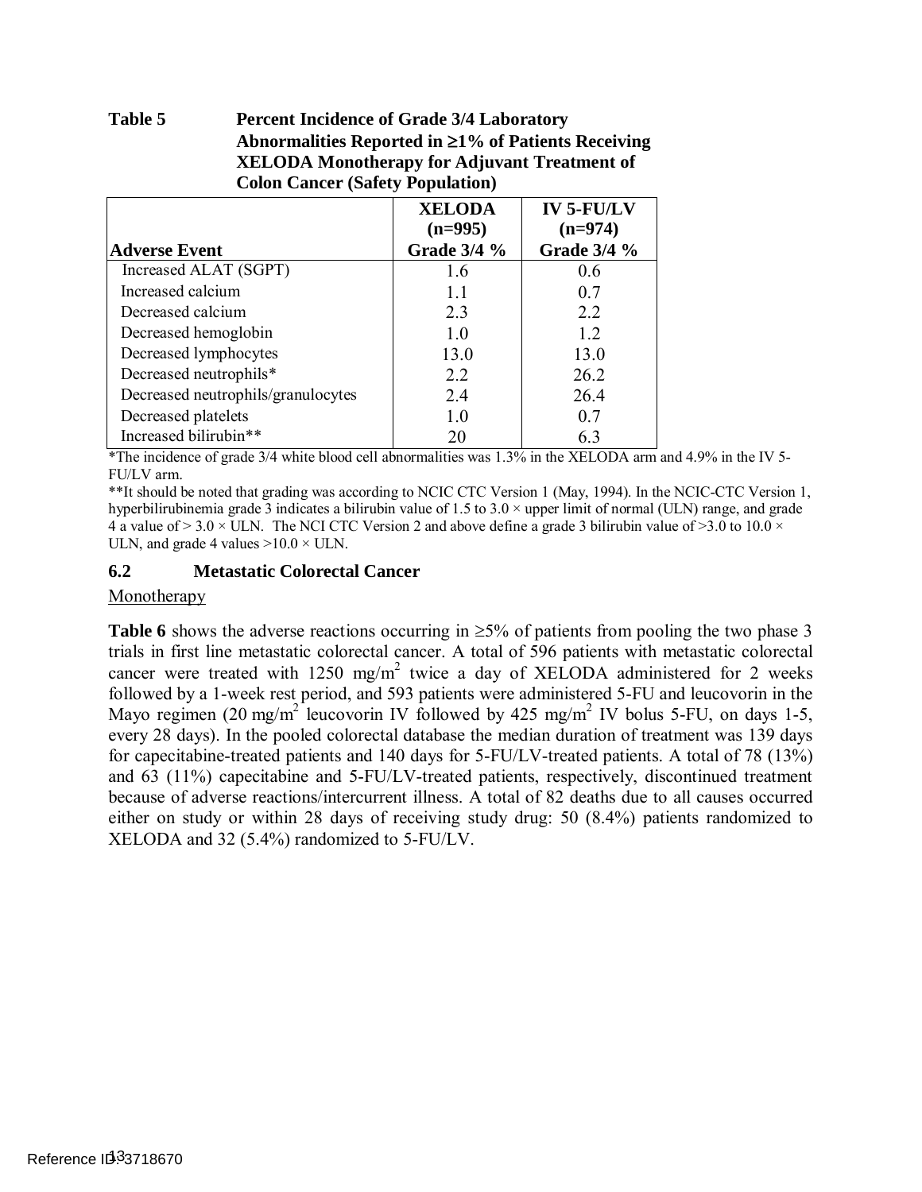#### <span id="page-12-0"></span>Table 5 **Percent Incidence of Grade 3/4 Laboratory Abnormalities Reported in** ≥**1% of Patients Receiving XELODA Monotherapy for Adjuvant Treatment of Colon Cancer (Safety Population)**

|                                    | <b>XELODA</b>                   | <b>IV 5-FU/LV</b>               |
|------------------------------------|---------------------------------|---------------------------------|
| Adverse Event                      | $(n=995)$<br><b>Grade 3/4 %</b> | $(n=974)$<br><b>Grade 3/4 %</b> |
| Increased ALAT (SGPT)              | 1.6                             | 0.6                             |
| Increased calcium                  | 11                              | 0.7                             |
| Decreased calcium                  | 2.3                             | 2.2                             |
| Decreased hemoglobin               | 10                              | 1.2                             |
| Decreased lymphocytes              | 13.0                            | 13.0                            |
| Decreased neutrophils*             | 2.2                             | 26.2                            |
| Decreased neutrophils/granulocytes | 2.4                             | 26.4                            |
| Decreased platelets                | 1.0                             | 0.7                             |
| Increased bilirubin**              | 20                              | 63                              |

 \*The incidence of grade 3/4 white blood cell abnormalities was 1.3% in the XELODA arm and 4.9% in the IV 5- FU/LV arm.

 \*\*It should be noted that grading was according to NCIC CTC Version 1 (May, 1994). In the NCIC-CTC Version 1, hyperbilirubinemia grade 3 indicates a bilirubin value of 1.5 to 3.0  $\times$  upper limit of normal (ULN) range, and grade 4 a value of  $> 3.0 \times$  ULN. The NCI CTC Version 2 and above define a grade 3 bilirubin value of  $> 3.0$  to 10.0  $\times$ ULN, and grade 4 values  $>10.0 \times$  ULN.

### **6.2 Metastatic Colorectal Cancer**

#### Monotherapy

**Table 6** shows the adverse reactions occurring in  $\geq$ 5% of patients from pooling the two phase 3 trials in first line metastatic colorectal cancer. A total of 596 patients with metastatic colorectal cancer were treated with 1250 mg/m<sup>2</sup> twice a day of XELODA administered for 2 weeks followed by a 1-week rest period, and 593 patients were administered 5-FU and leucovorin in the Mayo regimen (20 mg/m<sup>2</sup> leucovorin IV followed by 425 mg/m<sup>2</sup> IV bolus 5-FU, on days 1-5, every 28 days). In the pooled colorectal database the median duration of treatment was 139 days for capecitabine-treated patients and 140 days for 5-FU/LV-treated patients. A total of 78 (13%) and 63 (11%) capecitabine and 5-FU/LV-treated patients, respectively, discontinued treatment because of adverse reactions/intercurrent illness. A total of 82 deaths due to all causes occurred either on study or within 28 days of receiving study drug: 50 (8.4%) patients randomized to XELODA and 32 (5.4%) randomized to 5-FU/LV.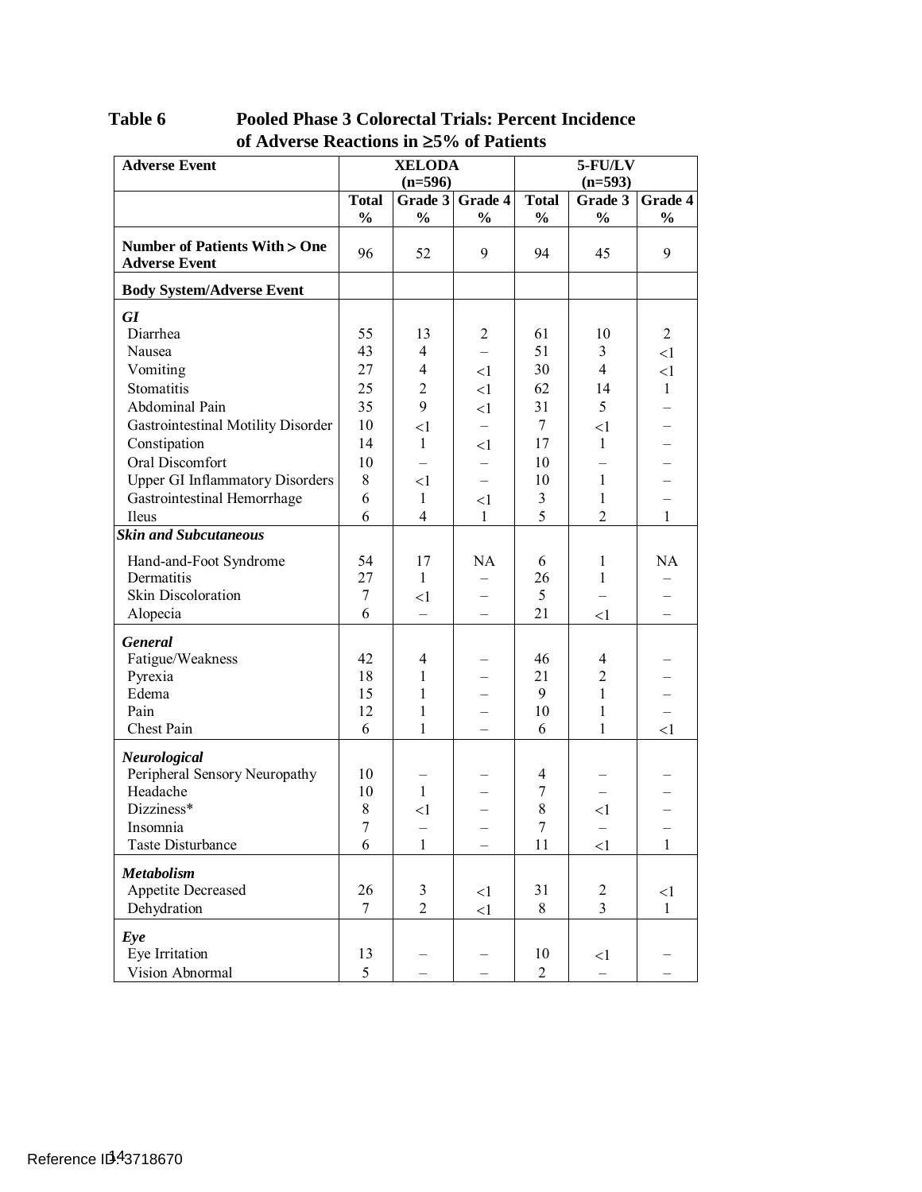| <b>Adverse Event</b>                                            | <b>XELODA</b>   |                | $5$ - $FU/LV$            |                |                |                |  |
|-----------------------------------------------------------------|-----------------|----------------|--------------------------|----------------|----------------|----------------|--|
|                                                                 |                 | $(n=596)$      |                          |                | $(n=593)$      |                |  |
|                                                                 | <b>Total</b>    | Grade $3$      | Grade 4                  | <b>Total</b>   | Grade 3        | Grade 4        |  |
|                                                                 | $\frac{0}{0}$   | $\frac{1}{2}$  | $\frac{1}{2}$            | $\frac{0}{0}$  | $\frac{0}{0}$  | $\frac{1}{2}$  |  |
| <b>Number of Patients With &gt; One</b><br><b>Adverse Event</b> | 96              | 52             | 9                        | 94             | 45             | 9              |  |
| <b>Body System/Adverse Event</b>                                |                 |                |                          |                |                |                |  |
| <b>GI</b>                                                       |                 |                |                          |                |                |                |  |
| Diarrhea                                                        | 55              | 13             | 2                        | 61             | 10             | $\overline{2}$ |  |
| Nausea                                                          | 43              | $\overline{4}$ |                          | 51             | 3              | $\leq$ 1       |  |
| Vomiting                                                        | 27              | $\overline{4}$ | $\leq$ 1                 | 30             | $\overline{4}$ | $\leq$ 1       |  |
| Stomatitis                                                      | 25              | $\overline{2}$ | $\leq$ 1                 | 62             | 14             | $\mathbf{1}$   |  |
| Abdominal Pain                                                  | 35              | 9              | $\leq$ 1                 | 31             | 5              |                |  |
| Gastrointestinal Motility Disorder                              | 10              | $\leq$ 1       |                          | $\tau$         | <1             |                |  |
| Constipation                                                    | 14              | $\mathbf{1}$   | <1                       | 17             | $\mathbf{1}$   |                |  |
| Oral Discomfort                                                 | 10              |                |                          | 10             |                |                |  |
| <b>Upper GI Inflammatory Disorders</b>                          | 8               | <1             |                          | 10             | $\mathbf{1}$   |                |  |
| Gastrointestinal Hemorrhage                                     | 6               | $\mathbf{1}$   | <1                       | 3              | 1              |                |  |
| Ileus                                                           | 6               | $\overline{4}$ | $\mathbf{1}$             | 5              | $\overline{2}$ | $\mathbf{1}$   |  |
| <b>Skin and Subcutaneous</b>                                    |                 |                |                          |                |                |                |  |
| Hand-and-Foot Syndrome                                          | 54              | 17             | <b>NA</b>                | 6              | $\mathbf{1}$   | NA             |  |
| Dermatitis                                                      | 27              | $\mathbf{1}$   |                          | 26             | $\mathbf{1}$   |                |  |
| Skin Discoloration                                              | 7               | <1             |                          | 5              |                |                |  |
| Alopecia                                                        | 6               |                |                          | 21             | $\leq$ 1       |                |  |
| General                                                         |                 |                |                          |                |                |                |  |
| Fatigue/Weakness                                                | 42              | 4              |                          | 46             | 4              |                |  |
| Pyrexia                                                         | 18              | $\mathbf{1}$   |                          | 21             | $\overline{c}$ |                |  |
| Edema                                                           | 15              | $\mathbf{1}$   |                          | 9              | $\mathbf{1}$   |                |  |
| Pain                                                            | 12              | 1              |                          | 10             | 1              |                |  |
| Chest Pain                                                      | 6               | 1              |                          | 6              | $\mathbf{1}$   | <1             |  |
| Neurological                                                    |                 |                |                          |                |                |                |  |
| Peripheral Sensory Neuropathy                                   | 10              |                |                          | $\overline{4}$ |                |                |  |
| Headache                                                        | 10              | $\mathbf{1}$   |                          | 7              |                |                |  |
| Dizziness*                                                      | 8               | $\leq$ 1       | $\overline{\phantom{0}}$ | 8              | $<$ 1          |                |  |
| Insomnia                                                        | 7               |                |                          | $\overline{7}$ |                |                |  |
| <b>Taste Disturbance</b>                                        | 6               | $\mathbf{1}$   | $\overline{\phantom{0}}$ | 11             | $\leq$ 1       | $\mathbf{1}$   |  |
| <b>Metabolism</b>                                               |                 |                |                          |                |                |                |  |
| Appetite Decreased                                              | 26              | 3              | $\leq$ 1                 | 31             | 2              | $\leq$ 1       |  |
| Dehydration                                                     | $7\phantom{.0}$ | $\overline{2}$ | $\leq$ 1                 | 8              | $\overline{3}$ | $\mathbf{1}$   |  |
| Eye                                                             |                 |                |                          |                |                |                |  |
| Eye Irritation                                                  | 13              |                |                          | 10             | $\leq$ 1       |                |  |
| Vision Abnormal                                                 | 5               |                |                          | $\overline{2}$ |                |                |  |

<span id="page-13-0"></span>Table 6 Pooled Phase 3 Colorectal Trials: Percent Incidence **of Adverse Reactions in** ≥**5% of Patients**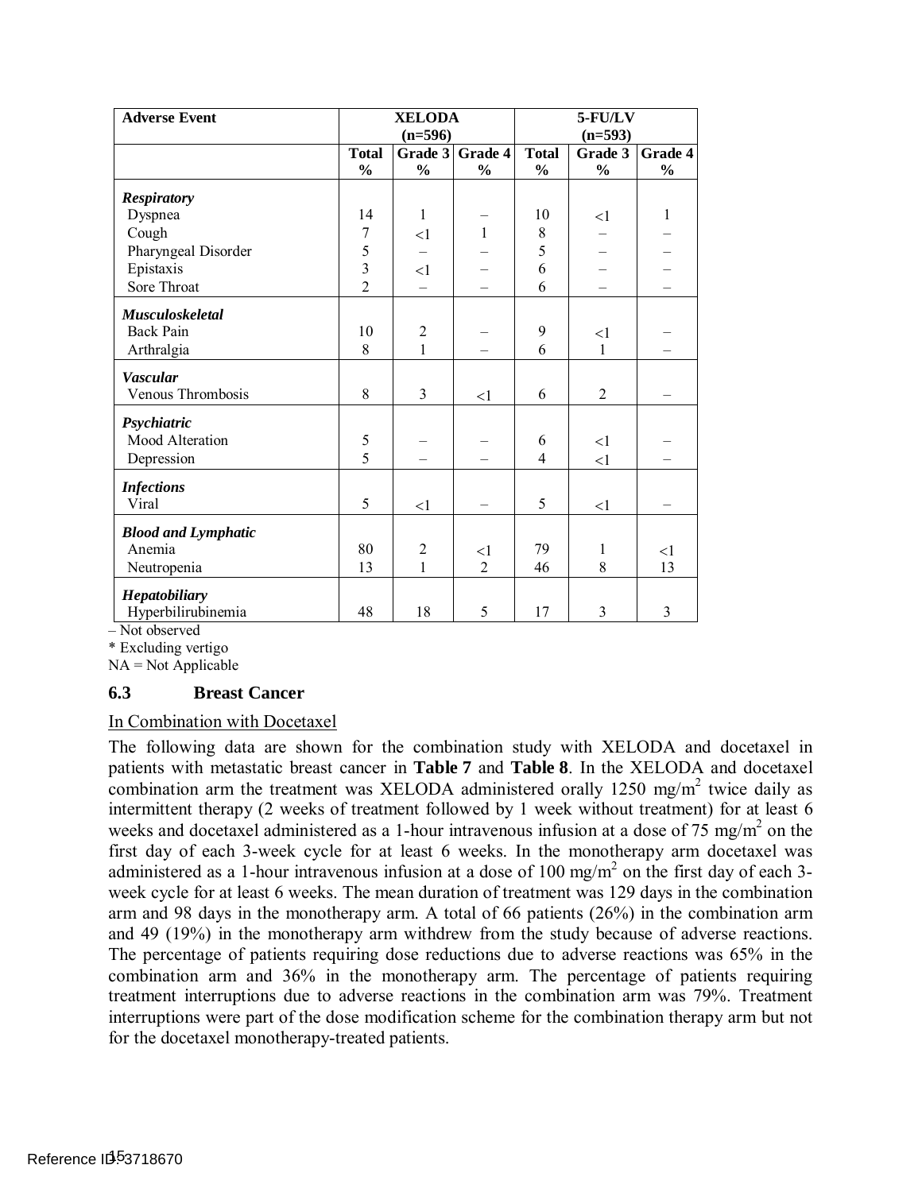| <b>Adverse Event</b>       | <b>XELODA</b>  |                | $5$ - $FU/LV$  |                |                |               |
|----------------------------|----------------|----------------|----------------|----------------|----------------|---------------|
|                            |                | $(n=596)$      |                |                | $(n=593)$      |               |
|                            | <b>Total</b>   | Grade 3        | Grade 4        | <b>Total</b>   | Grade 3        | Grade 4       |
|                            | $\frac{0}{0}$  | $\frac{0}{0}$  | $\frac{0}{0}$  | $\frac{0}{0}$  | $\frac{0}{0}$  | $\frac{0}{0}$ |
| <b>Respiratory</b>         |                |                |                |                |                |               |
| Dyspnea                    | 14             | $\mathbf{1}$   |                | 10             | $\leq$ 1       | $\mathbf{1}$  |
| Cough                      | 7              | $\leq$ 1       | $\mathbf{1}$   | 8              |                |               |
| Pharyngeal Disorder        |                |                |                | 5              |                |               |
| Epistaxis                  | $\frac{5}{3}$  | <1             |                | 6              |                |               |
| Sore Throat                | $\overline{2}$ |                |                | 6              |                |               |
| <b>Musculoskeletal</b>     |                |                |                |                |                |               |
| <b>Back Pain</b>           | 10             | $\overline{2}$ |                | 9              | $\leq$ 1       |               |
| Arthralgia                 | 8              | 1              |                | 6              | $\mathbf{1}$   |               |
| <b>Vascular</b>            |                |                |                |                |                |               |
| Venous Thrombosis          | 8              | 3              | $\leq$ 1       | 6              | $\overline{2}$ |               |
| Psychiatric                |                |                |                |                |                |               |
| Mood Alteration            | 5              |                |                | 6              | $\leq$ 1       |               |
| Depression                 | 5              |                |                | $\overline{4}$ | $\leq$ 1       |               |
| <b>Infections</b>          |                |                |                |                |                |               |
| Viral                      | 5              | <1             |                | 5              | <1             |               |
| <b>Blood and Lymphatic</b> |                |                |                |                |                |               |
| Anemia                     | 80             | $\overline{2}$ | $\leq$ 1       | 79             | 1              | $<$ l         |
| Neutropenia                | 13             | 1              | $\overline{2}$ | 46             | 8              | 13            |
| Hepatobiliary              |                |                |                |                |                |               |
| Hyperbilirubinemia         | 48             | 18             | 5              | 17             | 3              | 3             |

– Not observed

\* Excluding vertigo

NA = Not Applicable

### **6.3 Breast Cancer**

#### In Combination with Docetaxel

 The following data are shown for the combination study with XELODA and docetaxel in patients with metastatic breast cancer in **[Table 7](#page-15-0)** and **[Table 8](#page-16-0)**. In the XELODA and docetaxel combination arm the treatment was XELODA administered orally 1250 mg/m<sup>2</sup> twice daily as intermittent therapy (2 weeks of treatment followed by 1 week without treatment) for at least 6 weeks and docetaxel administered as a 1-hour intravenous infusion at a dose of 75 mg/m<sup>2</sup> on the first day of each 3-week cycle for at least 6 weeks. In the monotherapy arm docetaxel was administered as a 1-hour intravenous infusion at a dose of 100 mg/m<sup>2</sup> on the first day of each 3- week cycle for at least 6 weeks. The mean duration of treatment was 129 days in the combination arm and 98 days in the monotherapy arm. A total of 66 patients (26%) in the combination arm and 49 (19%) in the monotherapy arm withdrew from the study because of adverse reactions. The percentage of patients requiring dose reductions due to adverse reactions was 65% in the combination arm and 36% in the monotherapy arm. The percentage of patients requiring treatment interruptions due to adverse reactions in the combination arm was 79%. Treatment interruptions were part of the dose modification scheme for the combination therapy arm but not for the docetaxel monotherapy-treated patients.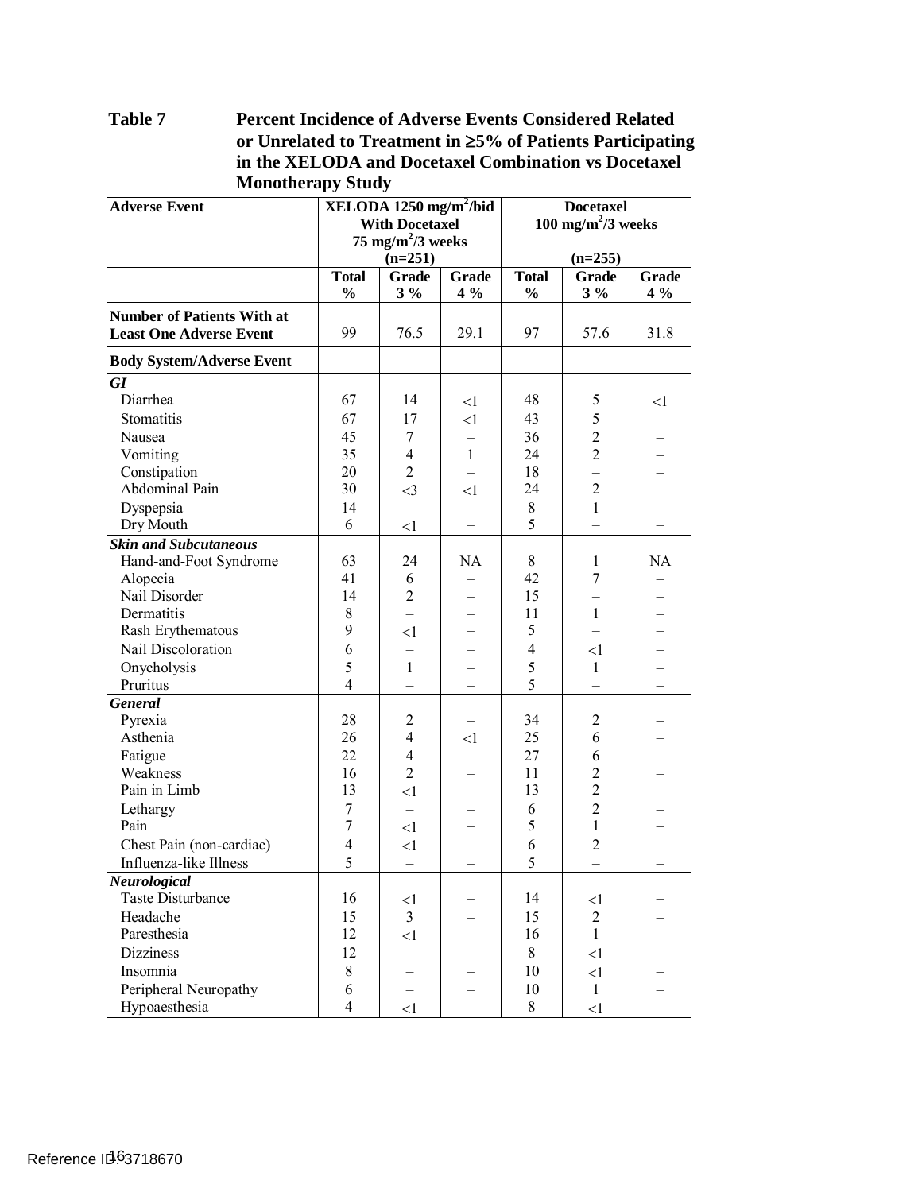#### <span id="page-15-0"></span>Table 7 **Percent Incidence of Adverse Events Considered Related or Unrelated to Treatment in** ≥**5% of Patients Participating in the XELODA and Docetaxel Combination vs Docetaxel Monotherapy Study**

| <b>Adverse Event</b>              |                       | <b>XELODA</b> 1250 mg/m <sup>2</sup> /bid |                | <b>Docetaxel</b>               |                |       |
|-----------------------------------|-----------------------|-------------------------------------------|----------------|--------------------------------|----------------|-------|
|                                   | <b>With Docetaxel</b> |                                           |                | 100 mg/m <sup>2</sup> /3 weeks |                |       |
|                                   |                       | 75 mg/m <sup>2</sup> /3 weeks             |                |                                |                |       |
|                                   |                       | $(n=251)$                                 |                |                                | $(n=255)$      |       |
|                                   | <b>Total</b>          | Grade                                     | <b>Grade</b>   | <b>Total</b>                   | <b>Grade</b>   | Grade |
|                                   | $\frac{0}{0}$         | $3\%$                                     | $4\%$          | $\frac{0}{0}$                  | $3\%$          | $4\%$ |
| <b>Number of Patients With at</b> |                       |                                           |                |                                |                |       |
| <b>Least One Adverse Event</b>    | 99                    | 76.5                                      | 29.1           | 97                             | 57.6           | 31.8  |
| <b>Body System/Adverse Event</b>  |                       |                                           |                |                                |                |       |
| GI                                |                       |                                           |                |                                |                |       |
| Diarrhea                          | 67                    | 14                                        | $\leq$ 1       | 48                             | 5              | <1    |
| Stomatitis                        | 67                    | 17                                        | <1             | 43                             | 5              |       |
| Nausea                            | 45                    | 7                                         |                | 36                             | $\overline{2}$ |       |
| Vomiting                          | 35                    | $\overline{4}$                            | $\mathbf{1}$   | 24                             | $\overline{2}$ |       |
| Constipation                      | 20                    | $\overline{2}$                            |                | 18                             |                |       |
| Abdominal Pain                    | 30                    | $\leq$ 3                                  | $\leq$ 1       | 24                             | $\overline{2}$ |       |
| Dyspepsia                         | 14                    | $\overline{\phantom{0}}$                  |                | $8\,$                          | $\mathbf{1}$   |       |
| Dry Mouth                         | 6                     | $\leq$ 1                                  | $\overline{a}$ | 5                              |                |       |
| <b>Skin and Subcutaneous</b>      |                       |                                           |                |                                |                |       |
| Hand-and-Foot Syndrome            | 63                    | 24                                        | <b>NA</b>      | 8                              | $\mathbf{1}$   | NA    |
| Alopecia                          | 41                    | 6                                         |                | 42                             | $\overline{7}$ |       |
| Nail Disorder                     | 14                    | $\overline{2}$                            |                | 15                             |                |       |
| Dermatitis                        | 8                     |                                           |                | 11                             | $\mathbf{1}$   |       |
| Rash Erythematous                 | 9                     | $<$ 1                                     |                | 5                              |                |       |
| Nail Discoloration                | 6                     |                                           |                | $\overline{4}$                 | $<$ 1          |       |
| Onycholysis                       | 5                     | $\mathbf{1}$                              |                | 5                              | $\mathbf{1}$   |       |
| Pruritus                          | $\overline{4}$        |                                           |                | 5                              |                |       |
| General                           |                       |                                           |                |                                |                |       |
| Pyrexia                           | 28                    | 2                                         |                | 34                             | $\overline{2}$ |       |
| Asthenia                          | 26                    | $\overline{4}$                            | $\leq$ 1       | 25                             | 6              |       |
| Fatigue                           | 22                    | $\overline{4}$                            |                | 27                             | 6              |       |
| Weakness                          | 16                    | $\overline{2}$                            |                | 11                             | $\overline{2}$ |       |
| Pain in Limb                      | 13                    | $\leq$ 1                                  |                | 13                             | $\overline{2}$ |       |
| Lethargy                          | 7                     |                                           |                | 6                              | $\overline{2}$ |       |
| Pain                              | $\overline{7}$        | <1                                        |                | 5                              | $\mathbf{1}$   |       |
| Chest Pain (non-cardiac)          | $\overline{4}$        | $\leq$ 1                                  |                | 6                              | $\overline{2}$ |       |
| Influenza-like Illness            | 5                     | $\qquad \qquad -$                         |                | 5                              |                |       |
| Neurological                      |                       |                                           |                |                                |                |       |
| <b>Taste Disturbance</b>          | 16                    | $<$ l                                     |                | 14                             | <1             |       |
| Headache                          | 15                    | $\overline{3}$                            |                | 15                             | $\overline{2}$ |       |
| Paresthesia                       | 12                    | $\leq$ 1                                  |                | 16                             | $\mathbf{1}$   |       |
| <b>Dizziness</b>                  | 12                    |                                           |                | 8                              | <1             |       |
| Insomnia                          | 8                     |                                           |                | 10                             | $\leq$ 1       |       |
| Peripheral Neuropathy             | 6                     |                                           |                | 10                             | $\mathbf{1}$   |       |
| Hypoaesthesia                     | $\overline{4}$        | <1                                        |                | 8                              | $\leq$ 1       |       |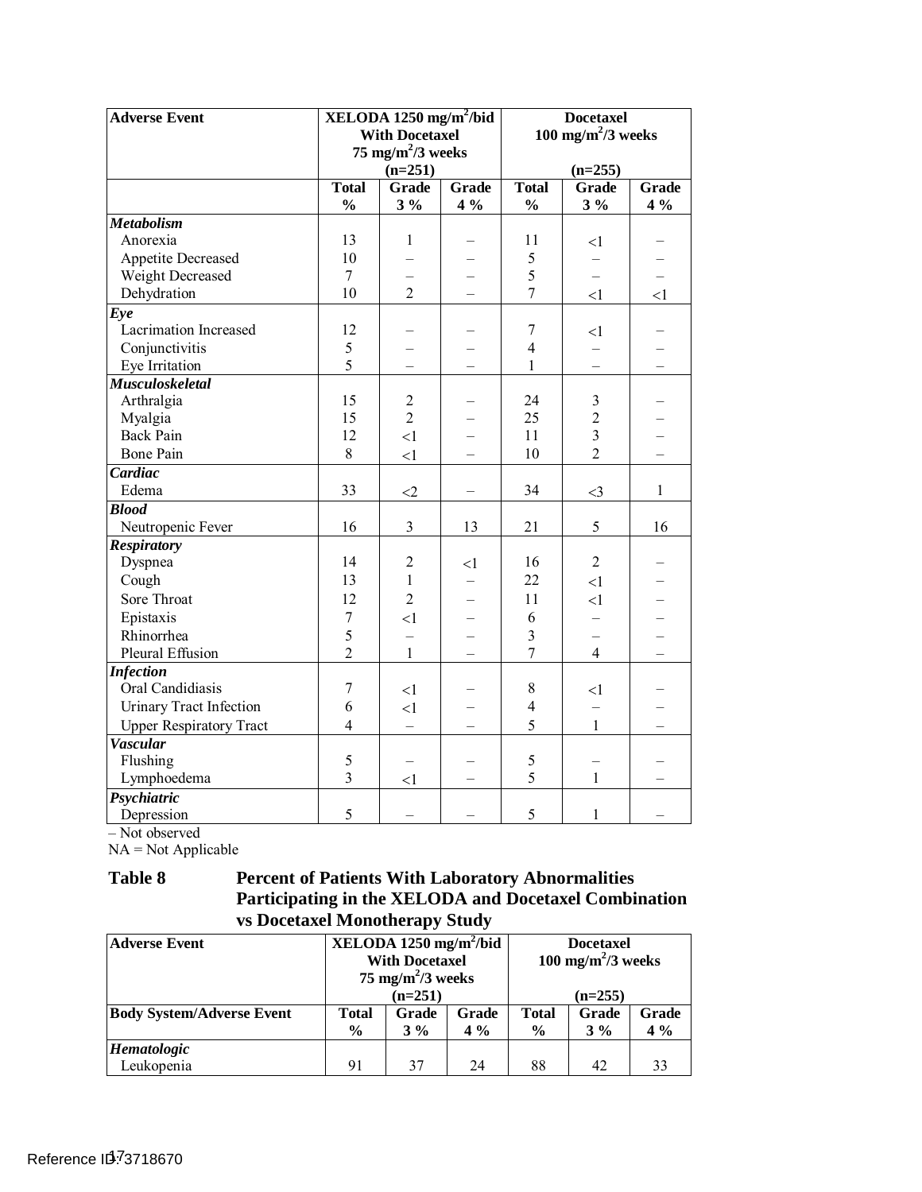| <b>Adverse Event</b>           |                | $XELODA 1250$ mg/m <sup>2</sup> /bid<br><b>With Docetaxel</b><br>75 mg/m <sup>2</sup> /3 weeks<br>$(n=251)$ |       |                | <b>Docetaxel</b><br>100 mg/m <sup>2</sup> /3 weeks<br>$(n=255)$ |              |
|--------------------------------|----------------|-------------------------------------------------------------------------------------------------------------|-------|----------------|-----------------------------------------------------------------|--------------|
|                                | <b>Total</b>   | <b>Grade</b>                                                                                                | Grade | <b>Total</b>   | Grade                                                           | Grade        |
|                                | $\frac{0}{0}$  | $3\%$                                                                                                       | $4\%$ | $\frac{0}{0}$  | $3\%$                                                           | $4\%$        |
| <b>Metabolism</b>              |                |                                                                                                             |       |                |                                                                 |              |
| Anorexia                       | 13             | 1                                                                                                           |       | 11             | <1                                                              |              |
| <b>Appetite Decreased</b>      | 10             |                                                                                                             |       | 5              |                                                                 |              |
| Weight Decreased               | $\overline{7}$ |                                                                                                             |       | 5              |                                                                 |              |
| Dehydration                    | 10             | $\overline{2}$                                                                                              |       | 7              | <1                                                              | <1           |
| Eye                            |                |                                                                                                             |       |                |                                                                 |              |
| Lacrimation Increased          | 12             |                                                                                                             |       | 7              | $<$ 1                                                           |              |
| Conjunctivitis                 | 5              |                                                                                                             |       | $\overline{4}$ |                                                                 |              |
| Eye Irritation                 | 5              |                                                                                                             |       | $\mathbf{1}$   |                                                                 |              |
| <b>Musculoskeletal</b>         |                |                                                                                                             |       |                |                                                                 |              |
| Arthralgia                     | 15             | $\overline{2}$                                                                                              |       | 24             | 3                                                               |              |
| Myalgia                        | 15             | $\overline{2}$                                                                                              |       | 25             | $\overline{2}$                                                  |              |
| <b>Back Pain</b>               | 12             | <1                                                                                                          |       | 11             | 3                                                               |              |
| <b>Bone Pain</b>               | 8              | <1                                                                                                          |       | 10             | $\overline{2}$                                                  |              |
| Cardiac                        |                |                                                                                                             |       |                |                                                                 |              |
| Edema                          | 33             | $\leq$ 2                                                                                                    |       | 34             | $\leq$ 3                                                        | $\mathbf{1}$ |
| <b>Blood</b>                   |                |                                                                                                             |       |                |                                                                 |              |
| Neutropenic Fever              | 16             | $\overline{3}$                                                                                              | 13    | 21             | 5                                                               | 16           |
| <b>Respiratory</b>             |                |                                                                                                             |       |                |                                                                 |              |
| Dyspnea                        | 14             | $\overline{2}$                                                                                              | $<$ 1 | 16             | $\overline{2}$                                                  |              |
| Cough                          | 13             | $\mathbf{1}$                                                                                                |       | 22             | $\leq$ 1                                                        |              |
| Sore Throat                    | 12             | $\overline{2}$                                                                                              |       | 11             | $\leq$ 1                                                        |              |
| Epistaxis                      | $\overline{7}$ | $\leq$ 1                                                                                                    |       | 6              | $\equiv$                                                        |              |
| Rhinorrhea                     | 5              | $\overline{\phantom{0}}$                                                                                    |       | 3              |                                                                 |              |
| Pleural Effusion               | $\overline{2}$ | $\mathbf{1}$                                                                                                |       | $\overline{7}$ | 4                                                               |              |
| <b>Infection</b>               |                |                                                                                                             |       |                |                                                                 |              |
| Oral Candidiasis               | 7              | $<$ 1                                                                                                       |       | 8              | $<$ 1                                                           |              |
| Urinary Tract Infection        | 6              | $\leq$ 1                                                                                                    |       | $\overline{4}$ |                                                                 |              |
| <b>Upper Respiratory Tract</b> | $\overline{4}$ | $\overline{\phantom{0}}$                                                                                    |       | 5              | 1                                                               |              |
| <b>Vascular</b>                |                |                                                                                                             |       |                |                                                                 |              |
| Flushing                       | 5              |                                                                                                             |       | 5              |                                                                 |              |
| Lymphoedema                    | $\overline{3}$ | $\leq$ 1                                                                                                    |       | 5              | $\mathbf{1}$                                                    |              |
| Psychiatric                    |                |                                                                                                             |       |                |                                                                 |              |
| Depression                     | 5              |                                                                                                             |       | 5              | $\mathbf{1}$                                                    |              |

– Not observed

NA = Not Applicable

#### <span id="page-16-0"></span>Table 8 **Table 8 Percent of Patients With Laboratory Abnormalities Participating in the XELODA and Docetaxel Combination vs Docetaxel Monotherapy Study**

| <b>Adverse Event</b>             | $XELODA 1250 mg/m^2/bid$<br><b>With Docetaxel</b><br>75 mg/m <sup>2</sup> /3 weeks |       |       | <b>Docetaxel</b><br>100 mg/m <sup>2</sup> /3 weeks |       |       |
|----------------------------------|------------------------------------------------------------------------------------|-------|-------|----------------------------------------------------|-------|-------|
|                                  | $(n=251)$                                                                          |       |       | $(n=255)$                                          |       |       |
| <b>Body System/Adverse Event</b> | <b>Total</b>                                                                       | Grade | Grade | <b>Total</b>                                       | Grade | Grade |
|                                  | $\frac{6}{9}$                                                                      | $3\%$ | $4\%$ | $\%$                                               | $3\%$ | $4\%$ |
| Hematologic                      |                                                                                    |       |       |                                                    |       |       |
| Leukopenia                       | 91                                                                                 | 37    | 24    | 88                                                 | 42    | 33    |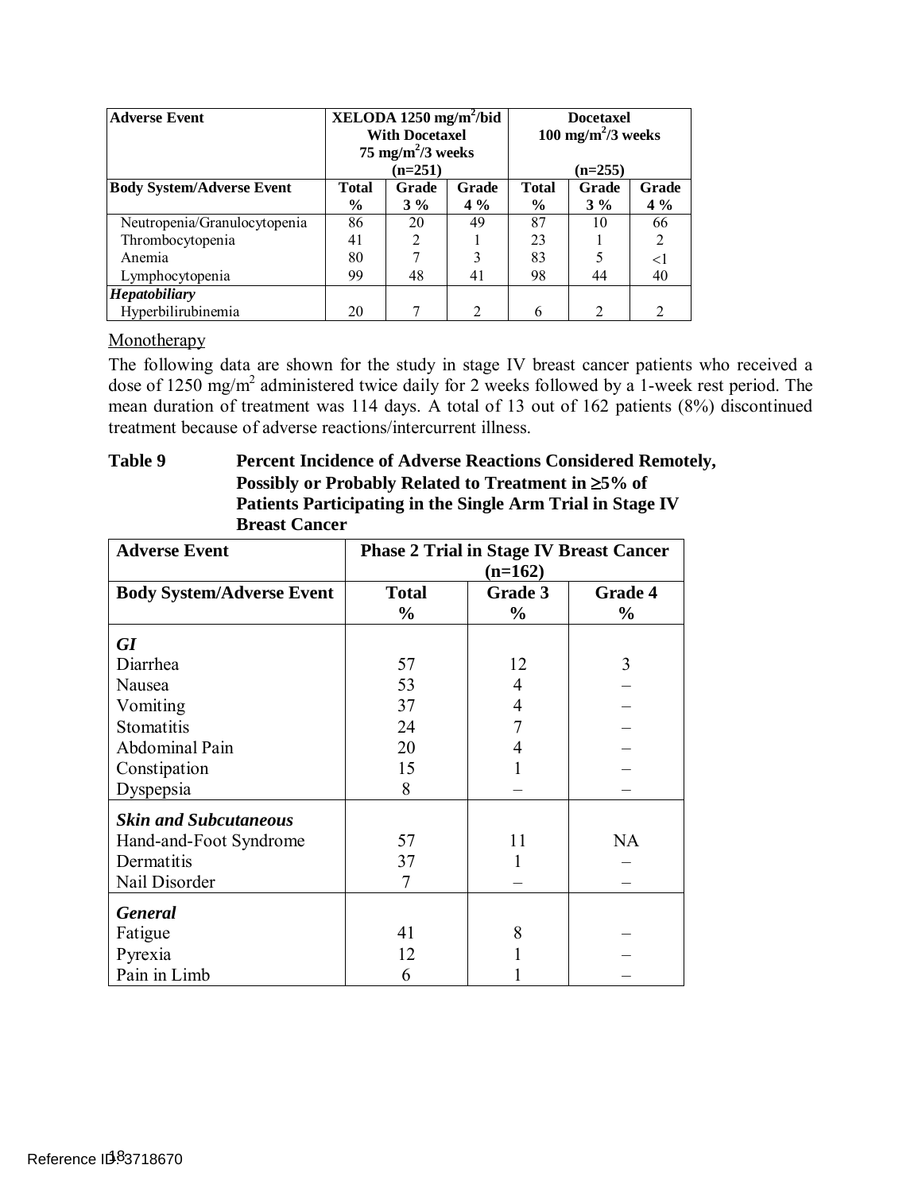| XELODA 1250 mg/m <sup>2</sup> /bid<br><b>Adverse Event</b><br>100 mg/m <sup>2</sup> /3 weeks<br><b>With Docetaxel</b><br>75 mg/m <sup>2</sup> /3 weeks<br>$(n=251)$ |                                                                   |    |                               | <b>Docetaxel</b><br>$(n=255)$ |                |                |
|---------------------------------------------------------------------------------------------------------------------------------------------------------------------|-------------------------------------------------------------------|----|-------------------------------|-------------------------------|----------------|----------------|
| <b>Body System/Adverse Event</b>                                                                                                                                    | Grade<br><b>Total</b><br>Grade<br>$\frac{6}{9}$<br>$4\%$<br>$3\%$ |    | <b>Total</b><br>$\frac{6}{9}$ | Grade<br>$3\%$                | Grade<br>$4\%$ |                |
| Neutropenia/Granulocytopenia                                                                                                                                        | 86                                                                | 20 | 49                            | 87                            | 10             | 66             |
| Thrombocytopenia                                                                                                                                                    | 41                                                                | 2  |                               | 23                            |                | 2              |
| Anemia                                                                                                                                                              | 80                                                                |    | 3                             | 83                            |                | $<$ 1          |
| Lymphocytopenia                                                                                                                                                     | 99                                                                | 48 | 41                            | 98                            | 44             | 40             |
| <b>Hepatobiliary</b>                                                                                                                                                |                                                                   |    |                               |                               |                |                |
| Hyperbilirubinemia                                                                                                                                                  | 20                                                                |    | ↑                             | 6                             | $\mathfrak{D}$ | $\mathfrak{D}$ |

#### Monotherapy

Monotherapy<br>The following data are shown for the study in stage IV breast cancer patients who received a dose of 1250 mg/m<sup>2</sup> administered twice daily for 2 weeks followed by a 1-week rest period. The mean duration of treatment was 114 days. A total of 13 out of 162 patients (8%) discontinued treatment because of adverse reactions/intercurrent illness.

#### **Table 9** Percent Incidence of Adverse Reactions Considered Remotely, **Possibly or Probably Related to Treatment in** ≥**5% of Patients Participating in the Single Arm Trial in Stage IV Breast Cancer**

| <b>Adverse Event</b>             | <b>Phase 2 Trial in Stage IV Breast Cancer</b><br>$(n=162)$ |                          |                          |
|----------------------------------|-------------------------------------------------------------|--------------------------|--------------------------|
| <b>Body System/Adverse Event</b> | <b>Total</b><br>$\frac{0}{0}$                               | Grade 3<br>$\frac{0}{0}$ | Grade 4<br>$\frac{0}{0}$ |
| GI                               |                                                             |                          |                          |
| Diarrhea                         | 57                                                          | 12                       | 3                        |
| Nausea                           | 53                                                          | 4                        |                          |
| Vomiting                         | 37                                                          | 4                        |                          |
| Stomatitis                       | 24                                                          |                          |                          |
| Abdominal Pain                   | 20                                                          | 4                        |                          |
| Constipation                     | 15                                                          |                          |                          |
| Dyspepsia                        | 8                                                           |                          |                          |
| <b>Skin and Subcutaneous</b>     |                                                             |                          |                          |
| Hand-and-Foot Syndrome           | 57                                                          | 11                       | <b>NA</b>                |
| Dermatitis                       | 37                                                          | 1                        |                          |
| Nail Disorder                    | 7                                                           |                          |                          |
| <b>General</b>                   |                                                             |                          |                          |
| Fatigue                          | 41                                                          | 8                        |                          |
| Pyrexia                          | 12                                                          |                          |                          |
| Pain in Limb                     | 6                                                           |                          |                          |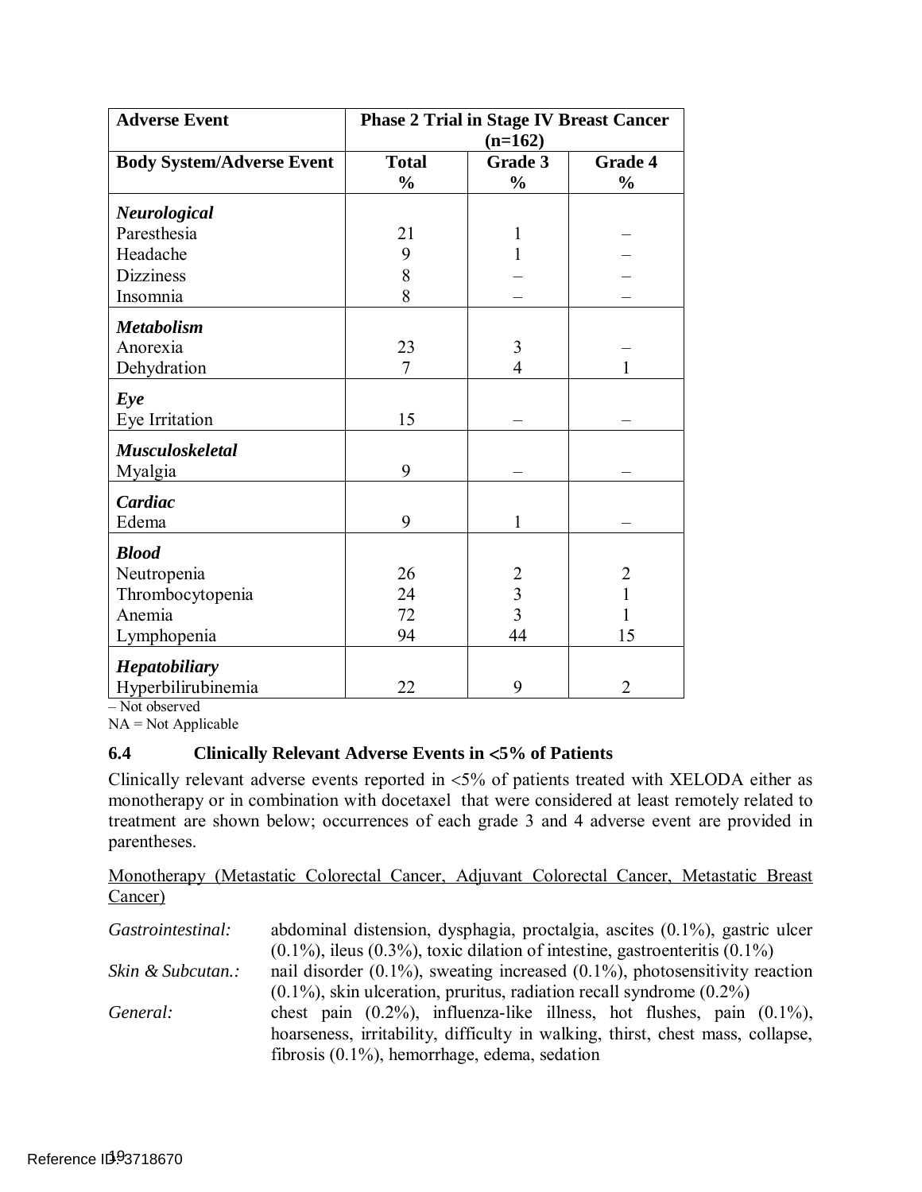| <b>Adverse Event</b>             | <b>Phase 2 Trial in Stage IV Breast Cancer</b><br>$(n=162)$ |                          |                                 |
|----------------------------------|-------------------------------------------------------------|--------------------------|---------------------------------|
| <b>Body System/Adverse Event</b> | <b>Total</b><br>$\frac{0}{0}$                               | Grade 3<br>$\frac{0}{0}$ | <b>Grade 4</b><br>$\frac{0}{0}$ |
| <b>Neurological</b>              |                                                             |                          |                                 |
| Paresthesia                      | 21                                                          | 1                        |                                 |
| Headache                         | 9                                                           | 1                        |                                 |
| <b>Dizziness</b>                 | 8                                                           |                          |                                 |
| Insomnia                         | 8                                                           |                          |                                 |
| <b>Metabolism</b>                |                                                             |                          |                                 |
| Anorexia                         | 23                                                          | 3                        |                                 |
| Dehydration                      | 7                                                           | 4                        |                                 |
| Eye                              |                                                             |                          |                                 |
| Eye Irritation                   | 15                                                          |                          |                                 |
| <b>Musculoskeletal</b>           |                                                             |                          |                                 |
| Myalgia                          | 9                                                           |                          |                                 |
| Cardiac                          |                                                             |                          |                                 |
| Edema                            | 9                                                           | 1                        |                                 |
| <b>Blood</b>                     |                                                             |                          |                                 |
| Neutropenia                      | 26                                                          | $\overline{c}$           | 2                               |
| Thrombocytopenia                 | 24                                                          | $\frac{3}{3}$            |                                 |
| Anemia                           | 72                                                          |                          |                                 |
| Lymphopenia                      | 94                                                          | 44                       | 15                              |
| <b>Hepatobiliary</b>             |                                                             |                          |                                 |
| Hyperbilirubinemia               | 22                                                          | 9                        | $\overline{2}$                  |

– Not observed

NA = Not Applicable

## **6.4 Clinically Relevant Adverse Events in** <**5% of Patients**

 Clinically relevant adverse events reported in <5% of patients treated with XELODA either as monotherapy or in combination with docetaxel that were considered at least remotely related to treatment are shown below; occurrences of each grade 3 and 4 adverse event are provided in parentheses.

 Monotherapy (Metastatic Colorectal Cancer, Adjuvant Colorectal Cancer, Metastatic Breast Cancer)

| Gastrointestinal: | abdominal distension, dysphagia, proctalgia, ascites $(0.1\%)$ , gastric ulcer       |  |  |  |
|-------------------|--------------------------------------------------------------------------------------|--|--|--|
|                   | $(0.1\%)$ , ileus $(0.3\%)$ , toxic dilation of intestine, gastroenteritis $(0.1\%)$ |  |  |  |
| Skin & Subcutan.: | nail disorder $(0.1\%)$ , sweating increased $(0.1\%)$ , photosensitivity reaction   |  |  |  |
|                   | $(0.1\%)$ , skin ulceration, pruritus, radiation recall syndrome $(0.2\%)$           |  |  |  |
| General:          | chest pain $(0.2\%)$ , influenza-like illness, hot flushes, pain $(0.1\%)$ ,         |  |  |  |
|                   | hoarseness, irritability, difficulty in walking, thirst, chest mass, collapse,       |  |  |  |
|                   | fibrosis $(0.1\%)$ , hemorrhage, edema, sedation                                     |  |  |  |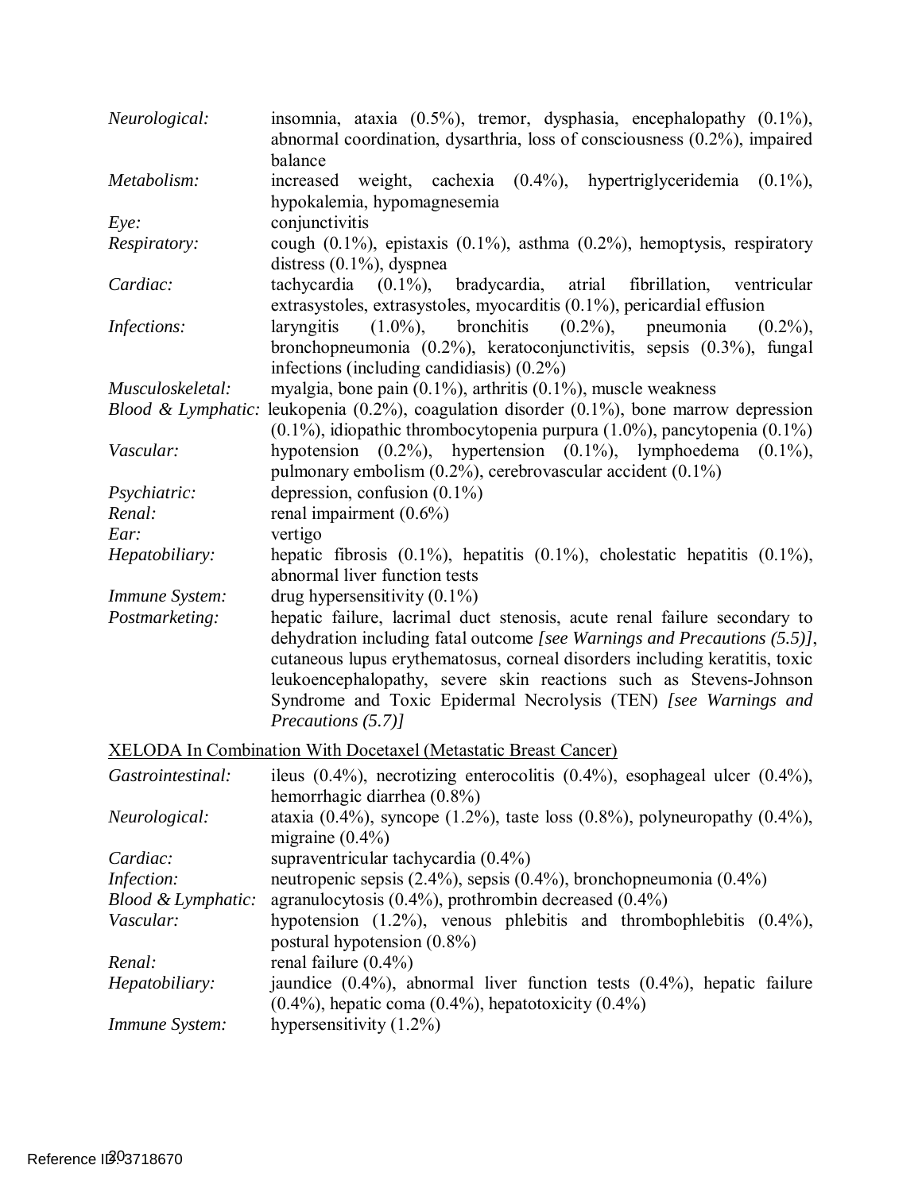| Neurological:       | insomnia, ataxia $(0.5\%)$ , tremor, dysphasia, encephalopathy $(0.1\%)$ ,<br>abnormal coordination, dysarthria, loss of consciousness (0.2%), impaired<br>balance                                                                                                                                                                                                                                   |
|---------------------|------------------------------------------------------------------------------------------------------------------------------------------------------------------------------------------------------------------------------------------------------------------------------------------------------------------------------------------------------------------------------------------------------|
| Metabolism:         | increased weight, cachexia (0.4%), hypertriglyceridemia<br>$(0.1\%)$<br>hypokalemia, hypomagnesemia                                                                                                                                                                                                                                                                                                  |
| $Eye$ :             | conjunctivitis                                                                                                                                                                                                                                                                                                                                                                                       |
| <i>Respiratory:</i> | cough $(0.1\%)$ , epistaxis $(0.1\%)$ , asthma $(0.2\%)$ , hemoptysis, respiratory<br>distress $(0.1\%)$ , dyspnea                                                                                                                                                                                                                                                                                   |
| Cardiac:            | tachycardia $(0.1\%)$ , bradycardia, atrial<br>fibrillation,<br>ventricular<br>extrasystoles, extrasystoles, myocarditis $(0.1\%)$ , pericardial effusion                                                                                                                                                                                                                                            |
| Infections:         | bronchitis<br>$(1.0\%)$ ,<br>$(0.2\%)$ , pneumonia<br>laryngitis<br>$(0.2\%)$ ,<br>bronchopneumonia (0.2%), keratoconjunctivitis, sepsis (0.3%), fungal<br>infections (including candidiasis) $(0.2\%)$                                                                                                                                                                                              |
| Musculoskeletal:    | myalgia, bone pain $(0.1\%)$ , arthritis $(0.1\%)$ , muscle weakness                                                                                                                                                                                                                                                                                                                                 |
|                     | <i>Blood &amp; Lymphatic:</i> leukopenia (0.2%), coagulation disorder (0.1%), bone marrow depression<br>$(0.1\%)$ , idiopathic thrombocytopenia purpura $(1.0\%)$ , pancytopenia $(0.1\%)$                                                                                                                                                                                                           |
| Vascular:           | hypotension (0.2%), hypertension (0.1%), lymphoedema (0.1%),<br>pulmonary embolism $(0.2\%)$ , cerebrovascular accident $(0.1\%)$                                                                                                                                                                                                                                                                    |
| Psychiatric:        | depression, confusion $(0.1\%)$                                                                                                                                                                                                                                                                                                                                                                      |
| Renal:              | renal impairment $(0.6\%)$                                                                                                                                                                                                                                                                                                                                                                           |
| Ear:                | vertigo                                                                                                                                                                                                                                                                                                                                                                                              |
| Hepatobiliary:      | hepatic fibrosis $(0.1\%)$ , hepatitis $(0.1\%)$ , cholestatic hepatitis $(0.1\%)$ ,<br>abnormal liver function tests                                                                                                                                                                                                                                                                                |
| Immune System:      | drug hypersensitivity $(0.1\%)$                                                                                                                                                                                                                                                                                                                                                                      |
| Postmarketing:      | hepatic failure, lacrimal duct stenosis, acute renal failure secondary to<br>dehydration including fatal outcome [see Warnings and Precautions (5.5)],<br>cutaneous lupus erythematosus, corneal disorders including keratitis, toxic<br>leukoencephalopathy, severe skin reactions such as Stevens-Johnson<br>Syndrome and Toxic Epidermal Necrolysis (TEN) [see Warnings and<br>Precautions (5.7)] |
|                     | <b>XELODA In Combination With Docetaxel (Metastatic Breast Cancer)</b>                                                                                                                                                                                                                                                                                                                               |
| Gastrointestinal:   | ileus $(0.4\%)$ , necrotizing enterocolitis $(0.4\%)$ , esophageal ulcer $(0.4\%)$ ,<br>hemorrhagic diarrhea (0.8%)                                                                                                                                                                                                                                                                                  |
| Neurological:       | ataxia $(0.4\%)$ , syncope $(1.2\%)$ , taste loss $(0.8\%)$ , polyneuropathy $(0.4\%)$ ,<br>migraine $(0.4\%)$                                                                                                                                                                                                                                                                                       |
| Cardiac:            | supraventricular tachycardia $(0.4\%)$                                                                                                                                                                                                                                                                                                                                                               |
| Infection:          | neutropenic sepsis (2.4%), sepsis (0.4%), bronchopneumonia (0.4%)                                                                                                                                                                                                                                                                                                                                    |
| Blood & Lymphatic:  | agranulocytosis $(0.4\%)$ , prothrombin decreased $(0.4\%)$                                                                                                                                                                                                                                                                                                                                          |
| Vascular:           | hypotension $(1.2\%)$ , venous phlebitis and thrombophlebitis $(0.4\%)$ ,                                                                                                                                                                                                                                                                                                                            |
|                     | postural hypotension $(0.8\%)$                                                                                                                                                                                                                                                                                                                                                                       |
| Renal:              | renal failure $(0.4\%)$                                                                                                                                                                                                                                                                                                                                                                              |
| Hepatobiliary:      | jaundice $(0.4\%)$ , abnormal liver function tests $(0.4\%)$ , hepatic failure<br>$(0.4\%)$ , hepatic coma $(0.4\%)$ , hepatotoxicity $(0.4\%)$                                                                                                                                                                                                                                                      |
| Immune System:      | hypersensitivity $(1.2\%)$                                                                                                                                                                                                                                                                                                                                                                           |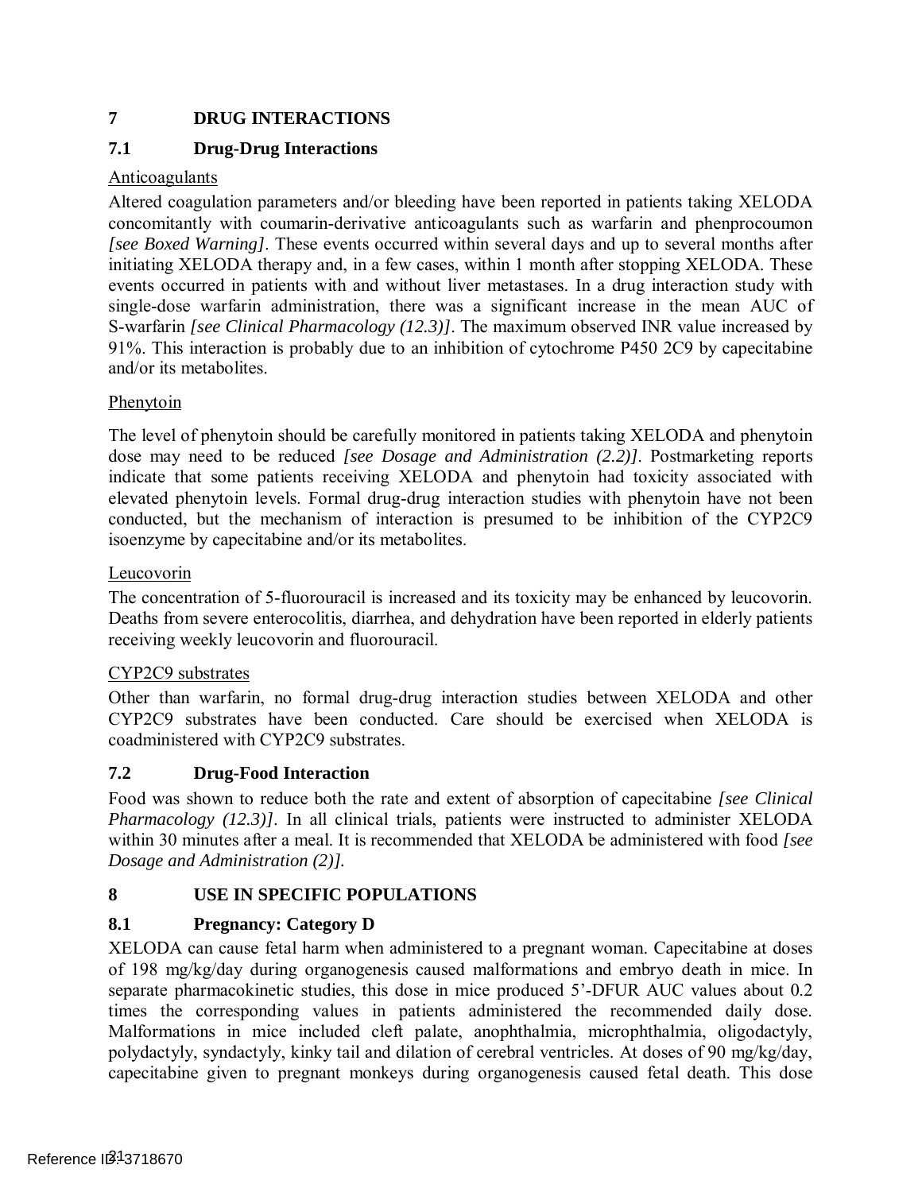## **7 DRUG INTERACTIONS**

## <span id="page-20-1"></span>**7.1 Drug-Drug Interactions**

### Anticoagulants

 Altered coagulation parameters and/or bleeding have been reported in patients taking XELODA concomitantly with coumarin-derivative anticoagulants such as warfarin and phenprocoumon *[see [Boxed Warning\]](#page-2-2)*. These events occurred within several days and up to several months after initiating XELODA therapy and, in a few cases, within 1 month after stopping XELODA. These events occurred in patients with and without liver metastases. In a drug interaction study with single-dose warfarin administration, there was a significant increase in the mean AUC of S-warfarin *[see Clinical Pharmacology [\(12.3\)\]](#page-23-0)*. The maximum observed INR value increased by 91%. This interaction is probably due to an inhibition of cytochrome P450 2C9 by capecitabine and/or its metabolites.

### Phenytoin

 The level of phenytoin should be carefully monitored in patients taking XELODA and phenytoin dose may need to be reduced *[see Dosage and Administration [\(2.2\)\]](#page-3-2)*. Postmarketing reports indicate that some patients receiving XELODA and phenytoin had toxicity associated with elevated phenytoin levels. Formal drug-drug interaction studies with phenytoin have not been conducted, but the mechanism of interaction is presumed to be inhibition of the CYP2C9 isoenzyme by capecitabine and/or its metabolites.

### Leucovorin

 The concentration of 5-fluorouracil is increased and its toxicity may be enhanced by leucovorin. Deaths from severe enterocolitis, diarrhea, and dehydration have been reported in elderly patients receiving weekly leucovorin and fluorouracil.

### CYP2C9 substrates

 Other than warfarin, no formal drug-drug interaction studies between XELODA and other CYP2C9 substrates have been conducted. Care should be exercised when XELODA is coadministered with CYP2C9 substrates.

### <span id="page-20-2"></span> **7.2 Drug-Food Interaction**

 Food was shown to reduce both the rate and extent of absorption of capecitabine *[see Clinical Pharmacology [\(12.3\)\]](#page-23-0)*. In all clinical trials, patients were instructed to administer XELODA within 30 minutes after a meal. It is recommended that XELODA be administered with food *[see Dosage and Administration [\(2\)\]](#page-3-0).* 

## **8 USE IN SPECIFIC POPULATIONS**

## <span id="page-20-0"></span>**8.1 Pregnancy: Category D**

 XELODA can cause fetal harm when administered to a pregnant woman. Capecitabine at doses of 198 mg/kg/day during organogenesis caused malformations and embryo death in mice. In separate pharmacokinetic studies, this dose in mice produced 5'-DFUR AUC values about 0.2 times the corresponding values in patients administered the recommended daily dose. Malformations in mice included cleft palate, anophthalmia, microphthalmia, oligodactyly, polydactyly, syndactyly, kinky tail and dilation of cerebral ventricles. At doses of 90 mg/kg/day, capecitabine given to pregnant monkeys during organogenesis caused fetal death. This dose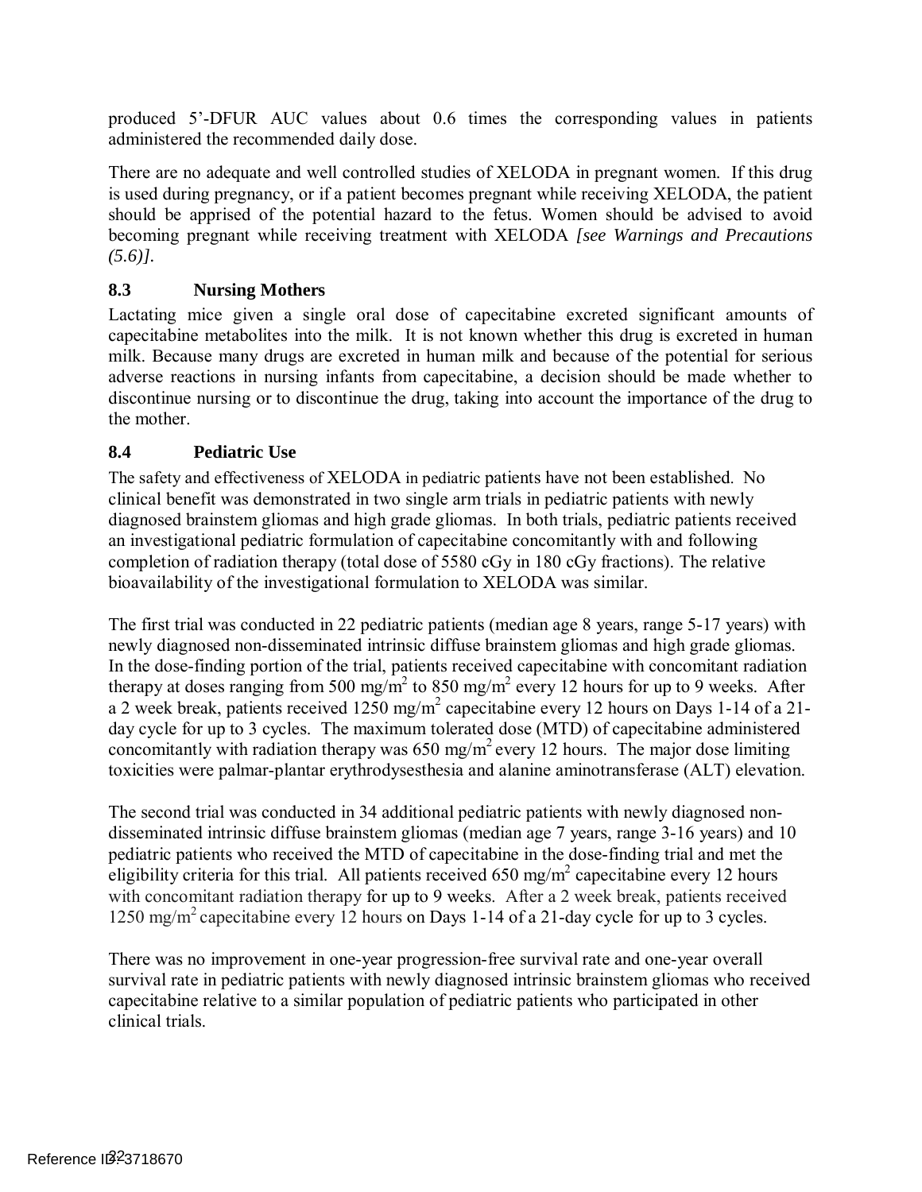produced 5'-DFUR AUC values about 0.6 times the corresponding values in patients administered the recommended daily dose.

 There are no adequate and well controlled studies of XELODA in pregnant women. If this drug is used during pregnancy, or if a patient becomes pregnant while receiving XELODA, the patient should be apprised of the potential hazard to the fetus. Women should be advised to avoid becoming pregnant while receiving treatment with XELODA *[see Warnings and Precautions [\(5.6\)\]](#page-7-0).* 

## <span id="page-21-0"></span>**8.3 Nursing Mothers**

 Lactating mice given a single oral dose of capecitabine excreted significant amounts of capecitabine metabolites into the milk. It is not known whether this drug is excreted in human milk. Because many drugs are excreted in human milk and because of the potential for serious adverse reactions in nursing infants from capecitabine, a decision should be made whether to discontinue nursing or to discontinue the drug, taking into account the importance of the drug to the mother.

## **8.4 Pediatric Use**

 The safety and effectiveness of XELODA in pediatric patients have not been established. No clinical benefit was demonstrated in two single arm trials in pediatric patients with newly diagnosed brainstem gliomas and high grade gliomas. In both trials, pediatric patients received an investigational pediatric formulation of capecitabine concomitantly with and following completion of radiation therapy (total dose of 5580 cGy in 180 cGy fractions). The relative bioavailability of the investigational formulation to XELODA was similar.

 The first trial was conducted in 22 pediatric patients (median age 8 years, range 5-17 years) with newly diagnosed non-disseminated intrinsic diffuse brainstem gliomas and high grade gliomas. In the dose-finding portion of the trial, patients received capecitabine with concomitant radiation therapy at doses ranging from 500 mg/m<sup>2</sup> to 850 mg/m<sup>2</sup> every 12 hours for up to 9 weeks. After a 2 week break, patients received  $1250$  mg/m<sup>2</sup> capecitabine every 12 hours on Days 1-14 of a 21- day cycle for up to 3 cycles. The maximum tolerated dose (MTD) of capecitabine administered concomitantly with radiation therapy was  $650 \text{ mg/m}^2$  every 12 hours. The major dose limiting toxicities were palmar-plantar erythrodysesthesia and alanine aminotransferase (ALT) elevation.

 The second trial was conducted in 34 additional pediatric patients with newly diagnosed non- disseminated intrinsic diffuse brainstem gliomas (median age 7 years, range 3-16 years) and 10 eligibility criteria for this trial. All patients received 650 mg/m<sup>2</sup> capecitabine every 12 hours with concomitant radiation therapy for up to 9 weeks. After a 2 week break, patients received 1250 mg/m2 capecitabine every 12 hours on Days 1-14 of a 21-day cycle for up to 3 cycles. pediatric patients who received the MTD of capecitabine in the dose-finding trial and met the

 There was no improvement in one-year progression-free survival rate and one-year overall survival rate in pediatric patients with newly diagnosed intrinsic brainstem gliomas who received capecitabine relative to a similar population of pediatric patients who participated in other clinical trials.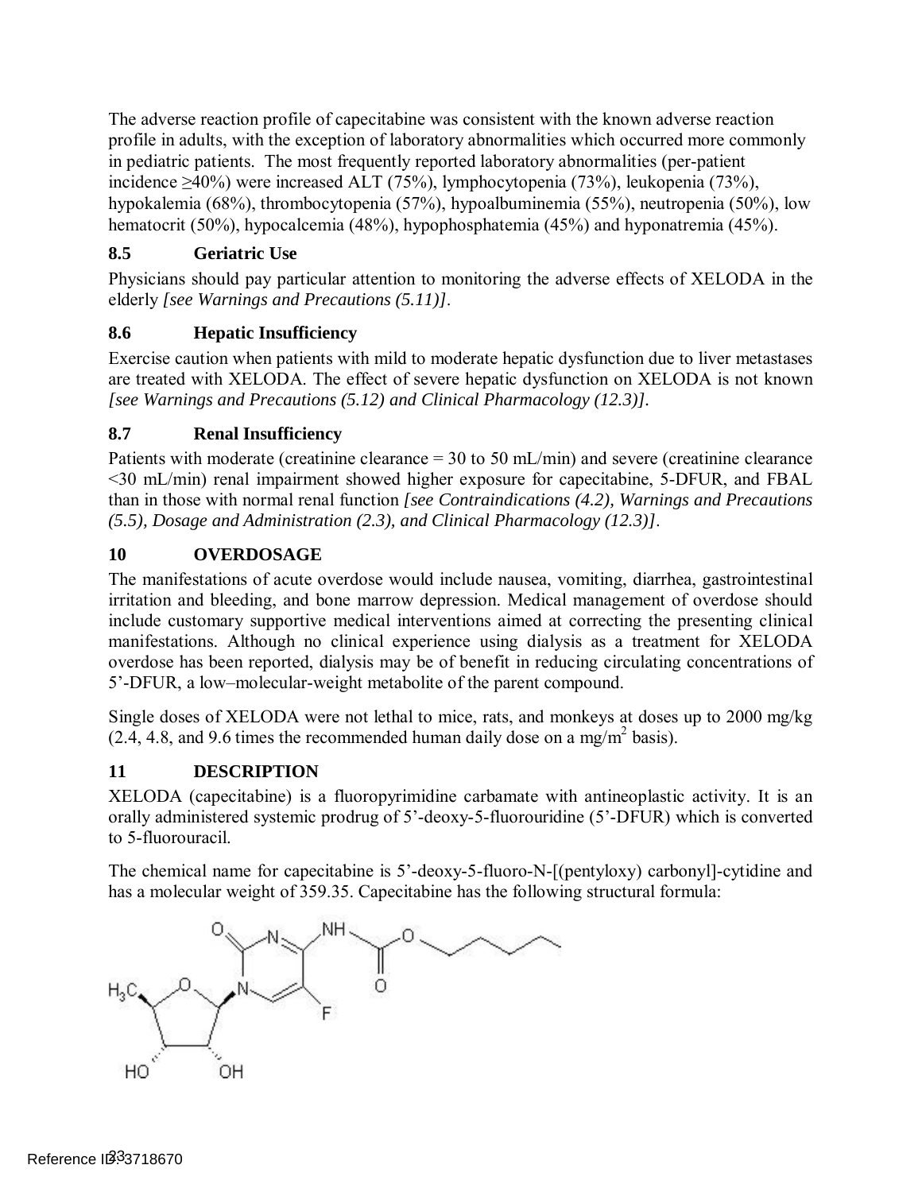The adverse reaction profile of capecitabine was consistent with the known adverse reaction profile in adults, with the exception of laboratory abnormalities which occurred more commonly in pediatric patients. The most frequently reported laboratory abnormalities (per-patient incidence ≥40%) were increased ALT (75%), lymphocytopenia (73%), leukopenia (73%), hypokalemia (68%), thrombocytopenia (57%), hypoalbuminemia (55%), neutropenia (50%), low hematocrit (50%), hypocalcemia (48%), hypophosphatemia (45%) and hyponatremia (45%).

## <span id="page-22-0"></span>**8.5 Geriatric Use**

 Physicians should pay particular attention to monitoring the adverse effects of XELODA in the elderly *[see Warnings and Precautions [\(5.11\)\]](#page-9-1)*.

## <span id="page-22-1"></span>**8.6 Hepatic Insufficiency**

 Exercise caution when patients with mild to moderate hepatic dysfunction due to liver metastases are treated with XELODA. The effect of severe hepatic dysfunction on XELODA is not known *[see Warnings and Precautions (5.12) and Clinical Pharmacology [\(12.3\)\]](#page-23-0).* 

## <span id="page-22-2"></span>**8.7 Renal Insufficiency**

 Patients with moderate (creatinine clearance = 30 to 50 mL/min) and severe (creatinine clearance <30 mL/min) renal impairment showed higher exposure for capecitabine, 5-DFUR, and FBAL than in those with normal renal function *[see Contraindications [\(4.2\),](#page-6-0) Warnings and Precautions [\(5.5\),](#page-7-1) Dosage and Administration [\(2.3\),](#page-5-0) and Clinical Pharmacology [\(12.3\)\]](#page-23-0)*.

## **10 OVERDOSAGE**

 The manifestations of acute overdose would include nausea, vomiting, diarrhea, gastrointestinal irritation and bleeding, and bone marrow depression. Medical management of overdose should include customary supportive medical interventions aimed at correcting the presenting clinical manifestations. Although no clinical experience using dialysis as a treatment for XELODA overdose has been reported, dialysis may be of benefit in reducing circulating concentrations of 5'-DFUR, a low–molecular-weight metabolite of the parent compound.

 Single doses of XELODA were not lethal to mice, rats, and monkeys at doses up to 2000 mg/kg  $(2.4, 4.8,$  and 9.6 times the recommended human daily dose on a mg/m<sup>2</sup> basis).

## **11 DESCRIPTION**

 XELODA (capecitabine) is a fluoropyrimidine carbamate with antineoplastic activity. It is an orally administered systemic prodrug of 5'-deoxy-5-fluorouridine (5'-DFUR) which is converted to 5-fluorouracil.

 The chemical name for capecitabine is 5'-deoxy-5-fluoro-N-[(pentyloxy) carbonyl]-cytidine and has a molecular weight of 359.35. Capecitabine has the following structural formula:

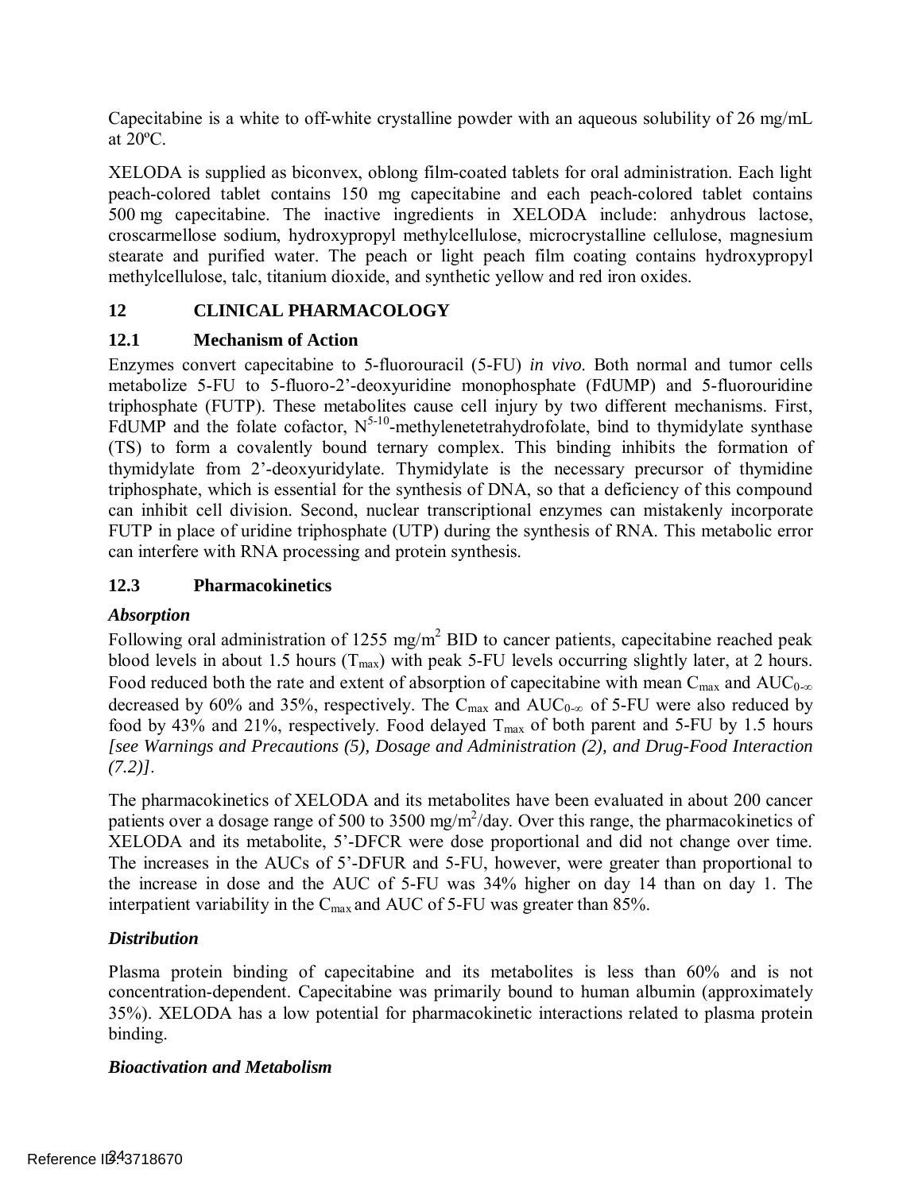Capecitabine is a white to off-white crystalline powder with an aqueous solubility of 26 mg/mL at 20ºC.

 XELODA is supplied as biconvex, oblong film-coated tablets for oral administration. Each light peach-colored tablet contains 150 mg capecitabine and each peach-colored tablet contains 500 mg capecitabine. The inactive ingredients in XELODA include: anhydrous lactose, croscarmellose sodium, hydroxypropyl methylcellulose, microcrystalline cellulose, magnesium stearate and purified water. The peach or light peach film coating contains hydroxypropyl methylcellulose, talc, titanium dioxide, and synthetic yellow and red iron oxides.

## **12 CLINICAL PHARMACOLOGY**

## **12.1 Mechanism of Action**

 Enzymes convert capecitabine to 5-fluorouracil (5-FU) *in vivo*. Both normal and tumor cells metabolize 5-FU to 5-fluoro-2'-deoxyuridine monophosphate (FdUMP) and 5-fluorouridine triphosphate (FUTP). These metabolites cause cell injury by two different mechanisms. First, FdUMP and the folate cofactor,  $N^{5-10}$ -methylenetetrahydrofolate, bind to thymidylate synthase (TS) to form a covalently bound ternary complex. This binding inhibits the formation of thymidylate from 2'-deoxyuridylate. Thymidylate is the necessary precursor of thymidine triphosphate, which is essential for the synthesis of DNA, so that a deficiency of this compound can inhibit cell division. Second, nuclear transcriptional enzymes can mistakenly incorporate FUTP in place of uridine triphosphate (UTP) during the synthesis of RNA. This metabolic error can interfere with RNA processing and protein synthesis.

## <span id="page-23-0"></span>**12.3 Pharmacokinetics**

## *Absorption*

Following oral administration of 1255 mg/m<sup>2</sup> BID to cancer patients, capecitabine reached peak blood levels in about 1.5 hours  $(T_{max})$  with peak 5-FU levels occurring slightly later, at 2 hours. Food reduced both the rate and extent of absorption of capecitabine with mean  $C_{\text{max}}$  and  $\text{AUC}_{0-\infty}$ decreased by 60% and 35%, respectively. The  $C_{\text{max}}$  and  $AUC_{0-\infty}$  of 5-FU were also reduced by food by 43% and 21%, respectively. Food delayed  $T_{max}$  of both parent and 5-FU by 1.5 hours  $(7.2)$ ]. *[see Warnings and Precautions [\(5\),](#page-6-5) Dosage and Administration [\(2\),](#page-3-0) and Drug-Food Interaction* 

 *(7.2)]*. The pharmacokinetics of XELODA and its metabolites have been evaluated in about 200 cancer patients over a dosage range of 500 to 3500 mg/m<sup>2</sup>/day. Over this range, the pharmacokinetics of XELODA and its metabolite, 5'-DFCR were dose proportional and did not change over time. The increases in the AUCs of 5'-DFUR and 5-FU, however, were greater than proportional to the increase in dose and the AUC of 5-FU was 34% higher on day 14 than on day 1. The interpatient variability in the  $C_{\text{max}}$  and AUC of 5-FU was greater than 85%.

## *Distribution*

 Plasma protein binding of capecitabine and its metabolites is less than 60% and is not concentration-dependent. Capecitabine was primarily bound to human albumin (approximately 35%). XELODA has a low potential for pharmacokinetic interactions related to plasma protein binding.

## *Bioactivation and Metabolism*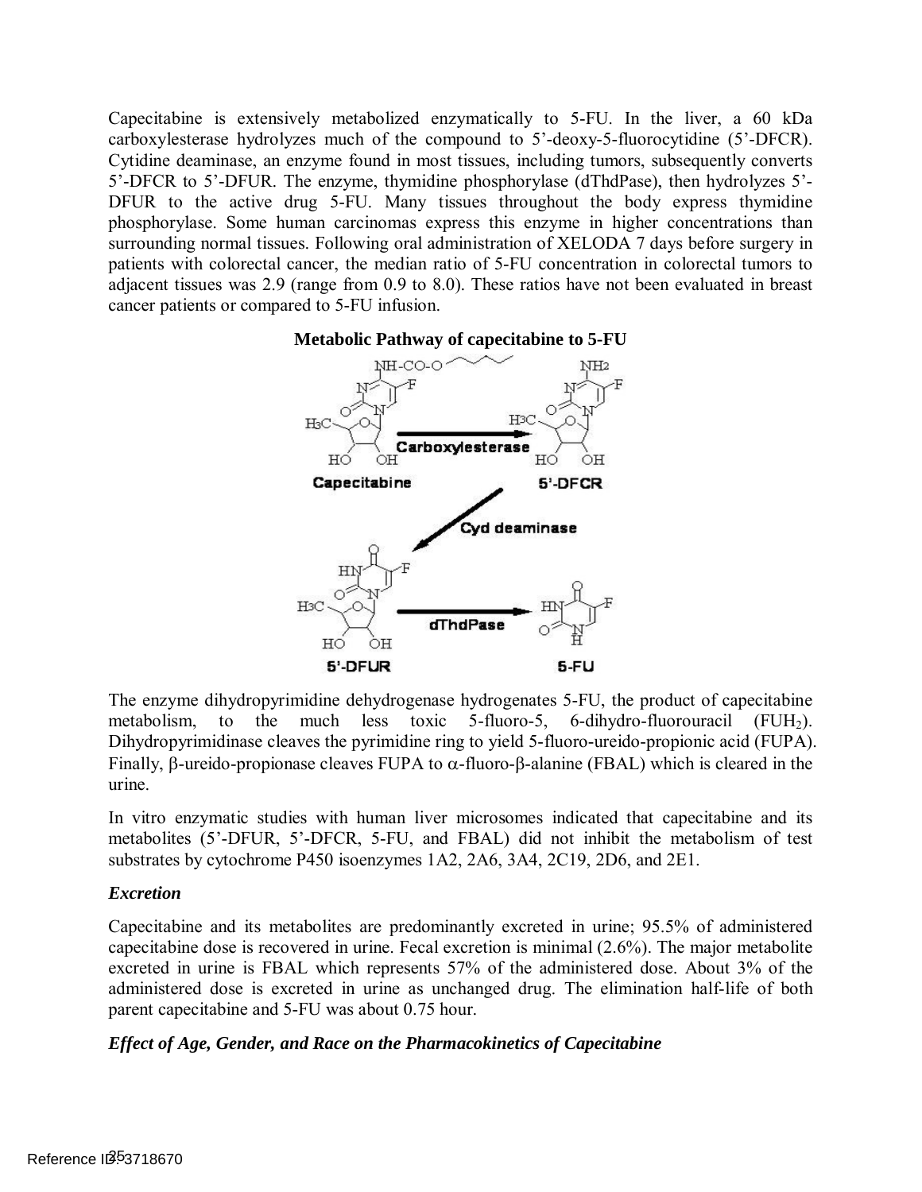Capecitabine is extensively metabolized enzymatically to 5-FU. In the liver, a 60 kDa carboxylesterase hydrolyzes much of the compound to 5'-deoxy-5-fluorocytidine (5'-DFCR). Cytidine deaminase, an enzyme found in most tissues, including tumors, subsequently converts 5'-DFCR to 5'-DFUR. The enzyme, thymidine phosphorylase (dThdPase), then hydrolyzes 5'- DFUR to the active drug 5-FU. Many tissues throughout the body express thymidine phosphorylase. Some human carcinomas express this enzyme in higher concentrations than surrounding normal tissues. Following oral administration of XELODA 7 days before surgery in patients with colorectal cancer, the median ratio of 5-FU concentration in colorectal tumors to adjacent tissues was 2.9 (range from 0.9 to 8.0). These ratios have not been evaluated in breast cancer patients or compared to 5-FU infusion.





 The enzyme dihydropyrimidine dehydrogenase hydrogenates 5-FU, the product of capecitabine metabolism, to the much less toxic 5-fluoro-5, 6-dihydro-fluorouracil  $(FUH_2)$ . Dihydropyrimidinase cleaves the pyrimidine ring to yield 5-fluoro-ureido-propionic acid (FUPA). Finally, β-ureido-propionase cleaves FUPA to α-fluoro-β-alanine (FBAL) which is cleared in the urine.

 In vitro enzymatic studies with human liver microsomes indicated that capecitabine and its metabolites (5'-DFUR, 5'-DFCR, 5-FU, and FBAL) did not inhibit the metabolism of test substrates by cytochrome P450 isoenzymes 1A2, 2A6, 3A4, 2C19, 2D6, and 2E1.

## *Excretion*

 Capecitabine and its metabolites are predominantly excreted in urine; 95.5% of administered capecitabine dose is recovered in urine. Fecal excretion is minimal (2.6%). The major metabolite excreted in urine is FBAL which represents 57% of the administered dose. About 3% of the administered dose is excreted in urine as unchanged drug. The elimination half-life of both parent capecitabine and 5-FU was about 0.75 hour.

## *Effect of Age, Gender, and Race on the Pharmacokinetics of Capecitabine*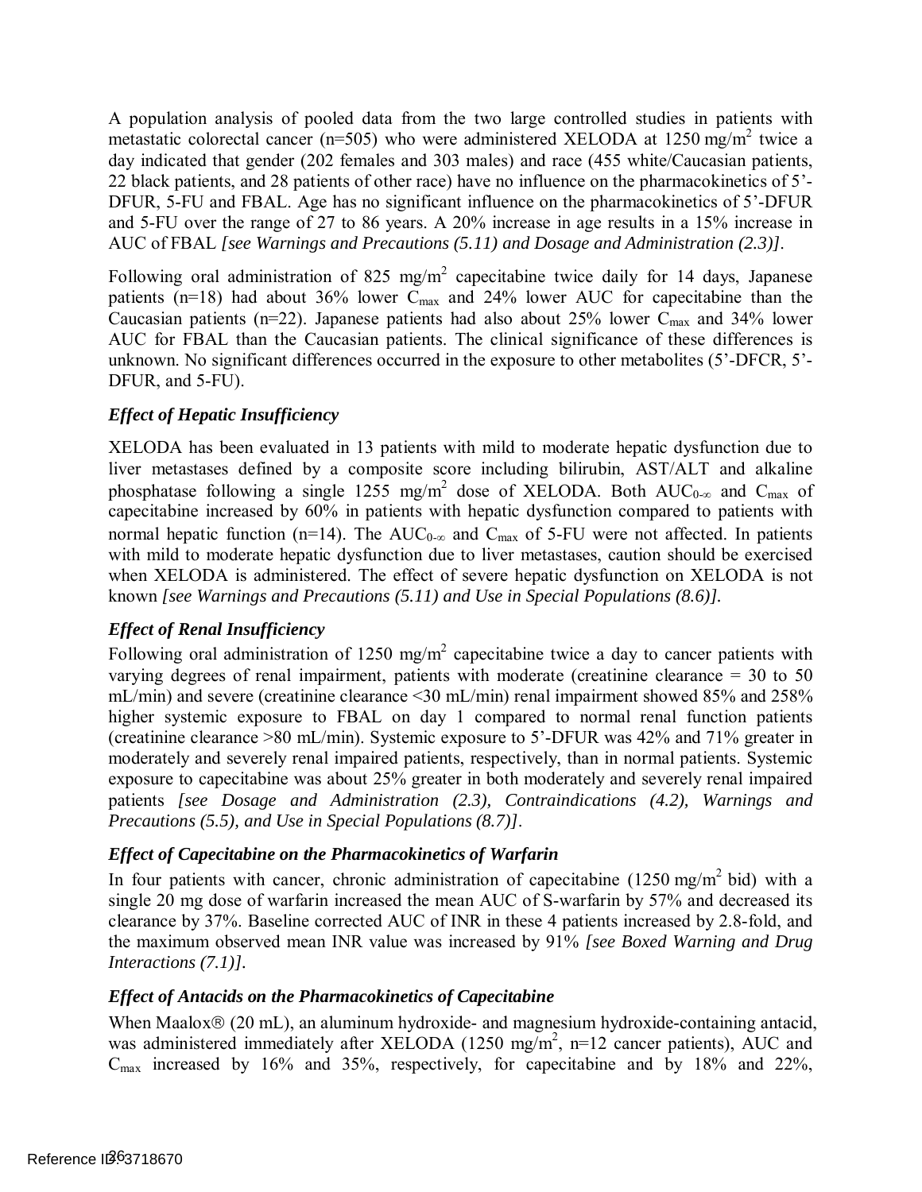A population analysis of pooled data from the two large controlled studies in patients with metastatic colorectal cancer ( $n=505$ ) who were administered XELODA at 1250 mg/m<sup>2</sup> twice a day indicated that gender (202 females and 303 males) and race (455 white/Caucasian patients, 22 black patients, and 28 patients of other race) have no influence on the pharmacokinetics of 5'- DFUR, 5-FU and FBAL. Age has no significant influence on the pharmacokinetics of 5'-DFUR and 5-FU over the range of 27 to 86 years. A 20% increase in age results in a 15% increase in AUC of FBAL *[see Warnings and Precautions [\(5.11\)](#page-9-1) and Dosage and Administration [\(2.3\)\]](#page-5-0)*.

Following oral administration of 825 mg/m<sup>2</sup> capecitabine twice daily for 14 days, Japanese patients ( $n=18$ ) had about 36% lower C<sub>max</sub> and 24% lower AUC for capecitabine than the Caucasian patients (n=22). Japanese patients had also about 25% lower  $C_{\text{max}}$  and 34% lower AUC for FBAL than the Caucasian patients. The clinical significance of these differences is unknown. No significant differences occurred in the exposure to other metabolites (5'-DFCR, 5'- DFUR, and 5-FU).

### *Effect of Hepatic Insufficiency*

 XELODA has been evaluated in 13 patients with mild to moderate hepatic dysfunction due to liver metastases defined by a composite score including bilirubin, AST/ALT and alkaline phosphatase following a single 1255 mg/m<sup>2</sup> dose of XELODA. Both AUC<sub>0-∞</sub> and C<sub>max</sub> of capecitabine increased by 60% in patients with hepatic dysfunction compared to patients with normal hepatic function (n=14). The  $AUC_{0-\infty}$  and  $C_{\max}$  of 5-FU were not affected. In patients with mild to moderate hepatic dysfunction due to liver metastases, caution should be exercised when XELODA is administered. The effect of severe hepatic dysfunction on XELODA is not  known *[see Warnings and Precautions [\(5.11\)](#page-9-1) and Use in Special Populations [\(8.6\)\]](#page-22-1).* 

### *Effect of Renal Insufficiency*

Following oral administration of 1250 mg/m<sup>2</sup> capecitabine twice a day to cancer patients with varying degrees of renal impairment, patients with moderate (creatinine clearance = 30 to 50 mL/min) and severe (creatinine clearance <30 mL/min) renal impairment showed 85% and 258% higher systemic exposure to FBAL on day 1 compared to normal renal function patients (creatinine clearance >80 mL/min). Systemic exposure to 5'-DFUR was 42% and 71% greater in moderately and severely renal impaired patients, respectively, than in normal patients. Systemic exposure to capecitabine was about 25% greater in both moderately and severely renal impaired patients *[see Dosage and Administration [\(2.3\),](#page-5-0) Contraindications [\(4.2\),](#page-6-0) Warnings and Precautions [\(5.5\),](#page-7-1) and Use in Special Populations [\(8.7\)\]](#page-22-2)*.

### *Effect of Capecitabine on the Pharmacokinetics of Warfarin*

In four patients with cancer, chronic administration of capecitabine (1250 mg/m<sup>2</sup> bid) with a single 20 mg dose of warfarin increased the mean AUC of S-warfarin by 57% and decreased its clearance by 37%. Baseline corrected AUC of INR in these 4 patients increased by 2.8-fold, and the maximum observed mean INR value was increased by 91% *[see Boxed Warning and Drug Interactions [\(7.1\)\]](#page-20-1).* 

### *Effect of Antacids on the Pharmacokinetics of Capecitabine*

When Maalox® (20 mL), an aluminum hydroxide- and magnesium hydroxide-containing antacid, was administered immediately after XELODA (1250 mg/m<sup>2</sup>, n=12 cancer patients), AUC and  $C_{\text{max}}$  increased by 16% and 35%, respectively, for capecitabine and by 18% and 22%,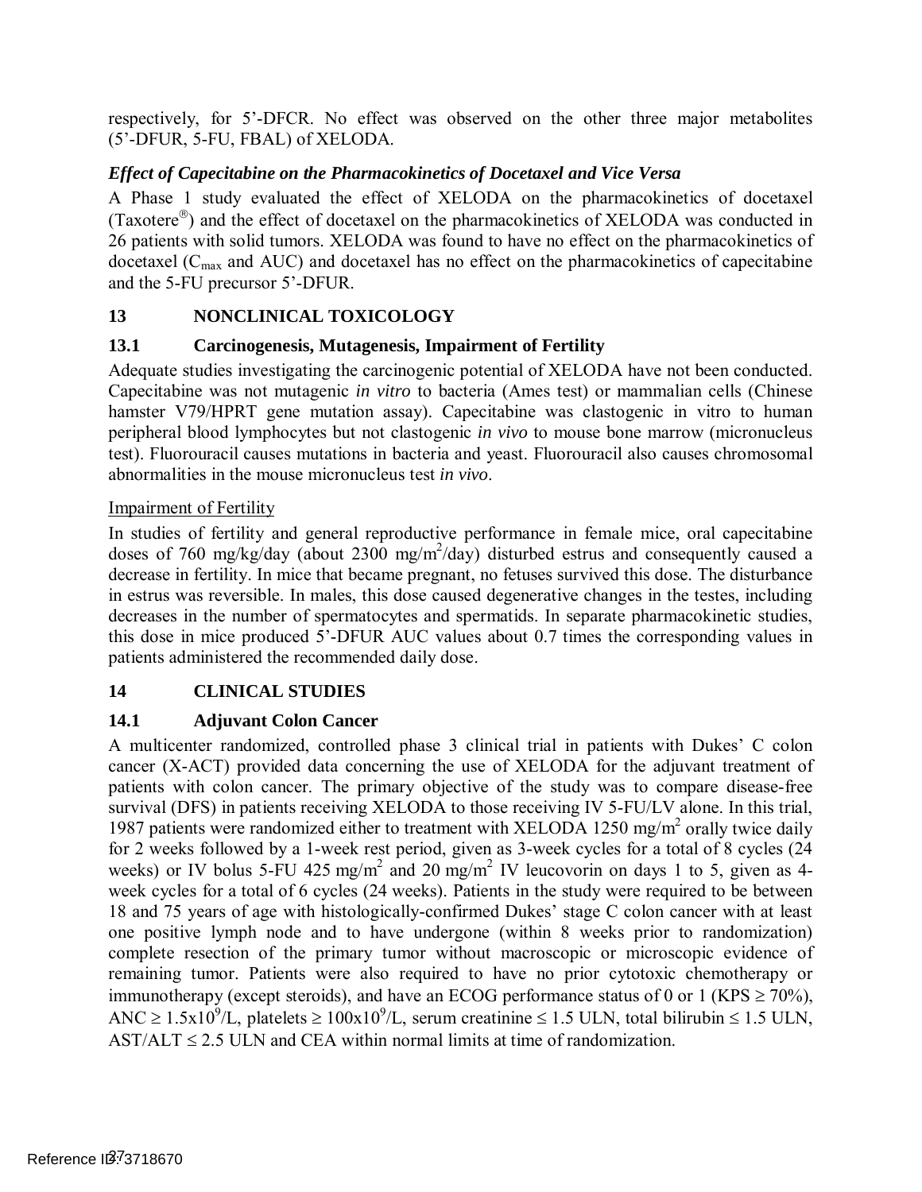respectively, for 5'-DFCR. No effect was observed on the other three major metabolites (5'-DFUR, 5-FU, FBAL) of XELODA.

## *Effect of Capecitabine on the Pharmacokinetics of Docetaxel and Vice Versa*

 A Phase 1 study evaluated the effect of XELODA on the pharmacokinetics of docetaxel (Taxotere $^{\circledast}$ ) and the effect of docetaxel on the pharmacokinetics of XELODA was conducted in 26 patients with solid tumors. XELODA was found to have no effect on the pharmacokinetics of docetaxel ( $C_{\text{max}}$  and AUC) and docetaxel has no effect on the pharmacokinetics of capecitabine and the 5-FU precursor 5'-DFUR.

## **13 NONCLINICAL TOXICOLOGY**

## **13.1 Carcinogenesis, Mutagenesis, Impairment of Fertility**

 Adequate studies investigating the carcinogenic potential of XELODA have not been conducted. Capecitabine was not mutagenic *in vitro* to bacteria (Ames test) or mammalian cells (Chinese hamster V79/HPRT gene mutation assay). Capecitabine was clastogenic in vitro to human peripheral blood lymphocytes but not clastogenic *in vivo* to mouse bone marrow (micronucleus test). Fluorouracil causes mutations in bacteria and yeast. Fluorouracil also causes chromosomal abnormalities in the mouse micronucleus test *in vivo*.

## Impairment of Fertility

 In studies of fertility and general reproductive performance in female mice, oral capecitabine doses of 760 mg/kg/day (about 2300 mg/m<sup>2</sup>/day) disturbed estrus and consequently caused a decrease in fertility. In mice that became pregnant, no fetuses survived this dose. The disturbance in estrus was reversible. In males, this dose caused degenerative changes in the testes, including decreases in the number of spermatocytes and spermatids. In separate pharmacokinetic studies, this dose in mice produced 5'-DFUR AUC values about 0.7 times the corresponding values in patients administered the recommended daily dose.

## <span id="page-26-0"></span>**14 CLINICAL STUDIES**

## **14.1 Adjuvant Colon Cancer**

 A multicenter randomized, controlled phase 3 clinical trial in patients with Dukes' C colon cancer (X-ACT) provided data concerning the use of XELODA for the adjuvant treatment of patients with colon cancer. The primary objective of the study was to compare disease-free survival (DFS) in patients receiving XELODA to those receiving IV 5-FU/LV alone. In this trial, 1987 patients were randomized either to treatment with XELODA 1250 mg/m<sup>2</sup> orally twice daily for 2 weeks followed by a 1-week rest period, given as 3-week cycles for a total of 8 cycles (24 weeks) or IV bolus 5-FU 425 mg/m<sup>2</sup> and 20 mg/m<sup>2</sup> IV leucovorin on days 1 to 5, given as 4- week cycles for a total of 6 cycles (24 weeks). Patients in the study were required to be between 18 and 75 years of age with histologically-confirmed Dukes' stage C colon cancer with at least one positive lymph node and to have undergone (within 8 weeks prior to randomization) complete resection of the primary tumor without macroscopic or microscopic evidence of remaining tumor. Patients were also required to have no prior cytotoxic chemotherapy or immunotherapy (except steroids), and have an ECOG performance status of 0 or 1 (KPS  $\geq$  70%), ANC  $\geq 1.5x10^9/L$ , platelets  $\geq 100x10^9/L$ , serum creatinine  $\leq 1.5$  ULN, total bilirubin  $\leq 1.5$  ULN,  $\text{AST}/\text{ALT} \leq 2.5 \text{ ULN}$  and CEA within normal limits at time of randomization.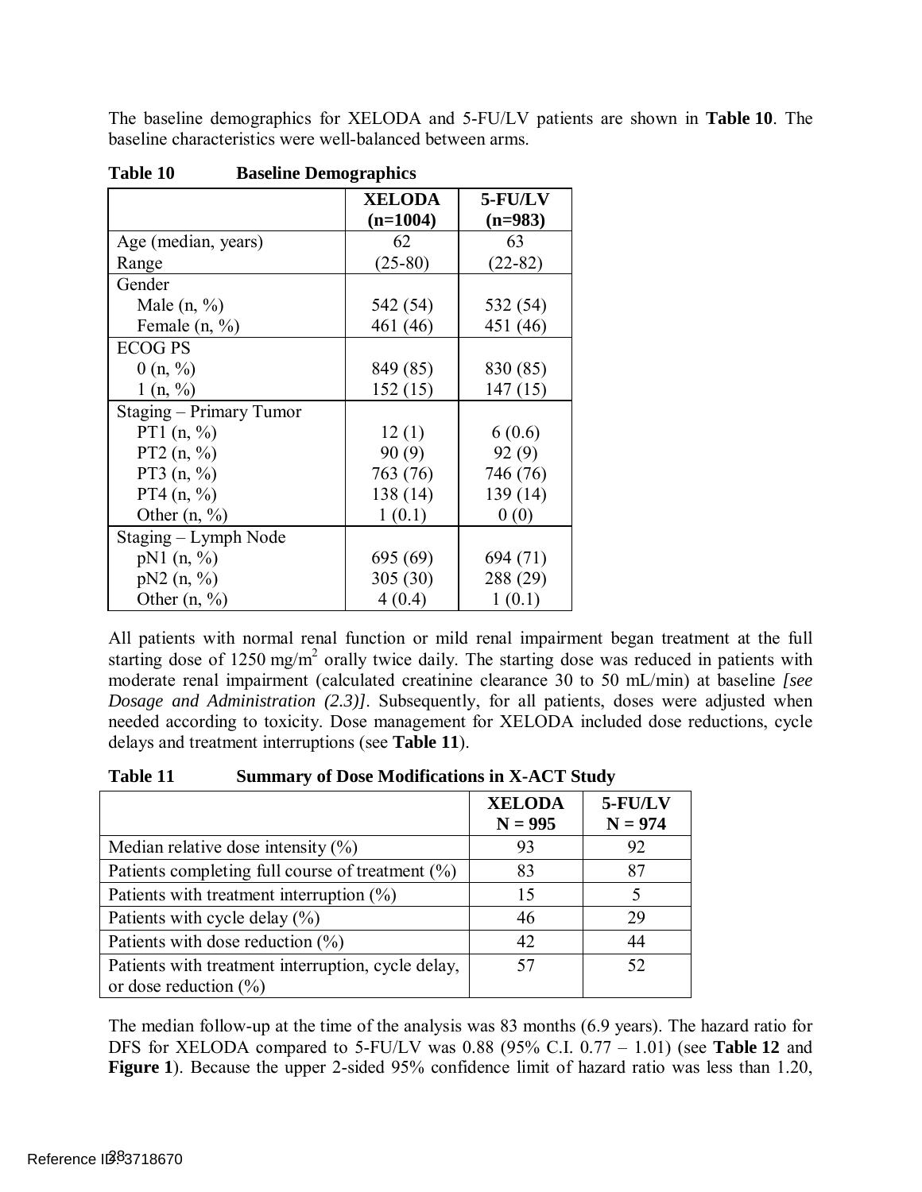The baseline demographics for XELODA and 5-FU/LV patients are shown in **Table 10**. The baseline characteristics were well-balanced between arms.

|                         | <b>XELODA</b> | 5-FU/LV   |  |
|-------------------------|---------------|-----------|--|
|                         | $(n=1004)$    | $(n=983)$ |  |
| Age (median, years)     | 62            | 63        |  |
| Range                   | $(25-80)$     | $(22-82)$ |  |
| Gender                  |               |           |  |
| Male $(n, %)$           | 542 (54)      | 532 (54)  |  |
| Female $(n, %)$         | 461 (46)      | 451 (46)  |  |
| <b>ECOG PS</b>          |               |           |  |
| 0(n, %)                 | 849 (85)      | 830 (85)  |  |
| 1(n, %)                 | 152(15)       | 147(15)   |  |
| Staging – Primary Tumor |               |           |  |
| PT1 $(n, %)$            | 12(1)         | 6(0.6)    |  |
| PT2 $(n, %)$            | 90(9)         | 92(9)     |  |
| PT3 $(n, %)$            | 763 (76)      | 746 (76)  |  |
| PT4(n, %)               | 138 (14)      | 139 (14)  |  |
| Other $(n, %)$          | 1(0.1)        | 0(0)      |  |
| Staging – Lymph Node    |               |           |  |
| $pN1$ (n, %)            | 695 (69)      | 694 (71)  |  |
| pN2 (n, %)              | 305(30)       | 288 (29)  |  |
| Other $(n, %)$          | 4(0.4)        | 1(0.1)    |  |

**Table 10 Raseline Demographics** 

 All patients with normal renal function or mild renal impairment began treatment at the full starting dose of 1250 mg/m<sup>2</sup> orally twice daily. The starting dose was reduced in patients with moderate renal impairment (calculated creatinine clearance 30 to 50 mL/min) at baseline *[see Dosage and Administration [\(2.3\)\]](#page-5-0)*. Subsequently, for all patients, doses were adjusted when needed according to toxicity. Dose management for XELODA included dose reductions, cycle delays and treatment interruptions (see **[Table 11](#page-27-0)**).

<span id="page-27-0"></span>**Table 11 Summary of Dose Modifications in X-ACT Study** 

|                                                     | <b>XELODA</b><br>$N = 995$ | 5-FU/LV<br>$N = 974$ |
|-----------------------------------------------------|----------------------------|----------------------|
| Median relative dose intensity $(\% )$              | 93                         | 92                   |
| Patients completing full course of treatment $(\%)$ | 83                         | 87                   |
| Patients with treatment interruption $(\%)$         | 15                         |                      |
| Patients with cycle delay $(\% )$                   | 46                         | 29                   |
| Patients with dose reduction $(\% )$                | 42                         | 44                   |
| Patients with treatment interruption, cycle delay,  | 57                         | 52                   |
| or dose reduction $(\% )$                           |                            |                      |

 The median follow-up at the time of the analysis was 83 months (6.9 years). The hazard ratio for DFS for XELODA compared to 5-FU/LV was 0.88 (95% C.I. 0.77 – 1.01) (see **[Table 12](#page-28-0)** and **[Figure 1](#page-28-1)**). Because the upper 2-sided 95% confidence limit of hazard ratio was less than 1.20,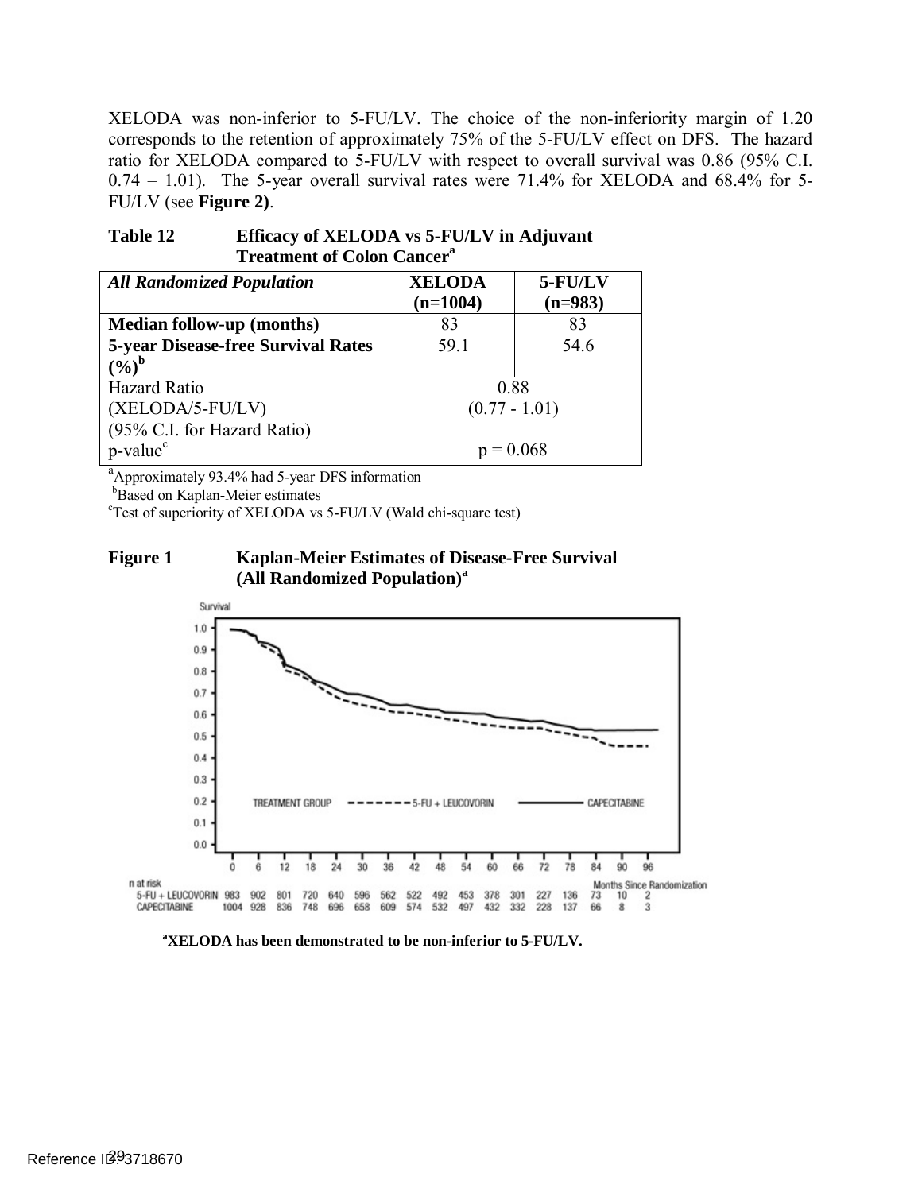XELODA was non-inferior to 5-FU/LV. The choice of the non-inferiority margin of 1.20 corresponds to the retention of approximately 75% of the 5-FU/LV effect on DFS. The hazard ratio for XELODA compared to 5-FU/LV with respect to overall survival was 0.86 (95% C.I. 0.74 – 1.01). The 5-year overall survival rates were 71.4% for XELODA and 68.4% for 5- FU/LV (see **[Figure 2\)](#page-29-0)**.

| TTeamnent of Colon Cancel                 |                 |           |  |  |
|-------------------------------------------|-----------------|-----------|--|--|
| <b>All Randomized Population</b>          | <b>XELODA</b>   | 5-FU/LV   |  |  |
|                                           | $(n=1004)$      | $(n=983)$ |  |  |
| <b>Median follow-up (months)</b>          | 83              | 83        |  |  |
| <b>5-year Disease-free Survival Rates</b> | 59.1            | 54.6      |  |  |
| $(9/0)^b$                                 |                 |           |  |  |
| <b>Hazard Ratio</b>                       | 0.88            |           |  |  |
| (XELODA/5-FU/LV)                          | $(0.77 - 1.01)$ |           |  |  |
| (95% C.I. for Hazard Ratio)               |                 |           |  |  |
| p-value <sup>c</sup>                      | $p = 0.068$     |           |  |  |
|                                           |                 |           |  |  |

<span id="page-28-0"></span>**Table 12 Efficacy of XELODA vs 5-FU/LV in Adjuvant Treatment of Colon Cancera** 

<sup>a</sup> Approximately 93.4% had 5-year DFS information

 $b$ Based on Kaplan-Meier estimates

Test of superiority of XELODA vs 5-FU/LV (Wald chi-square test)

<span id="page-28-1"></span>**Figure 1 Kaplan-Meier Estimates of Disease-Free Survival (All Randomized Population)<sup>a</sup>**



**a XELODA has been demonstrated to be non-inferior to 5-FU/LV.**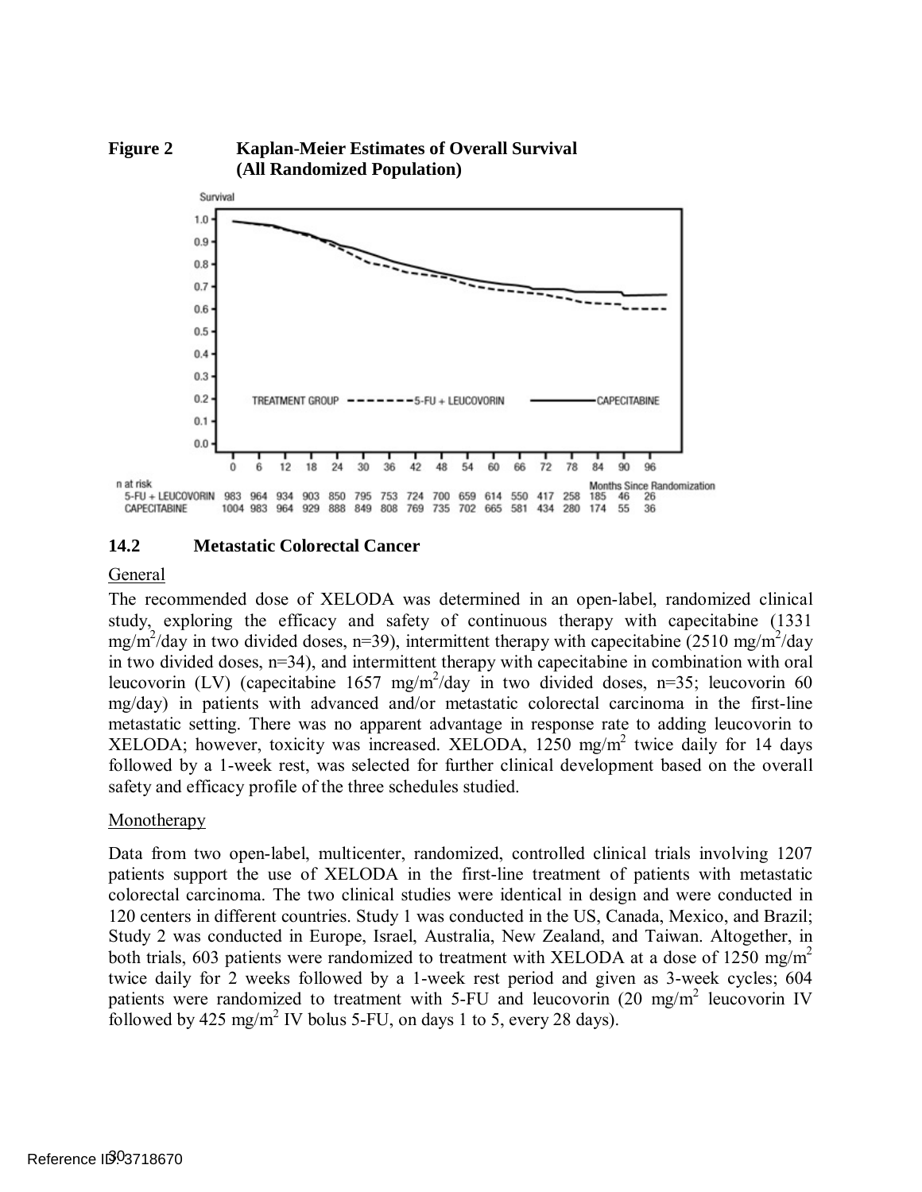<span id="page-29-0"></span>

#### **14.2 Metastatic Colorectal Cancer**

#### General

 The recommended dose of XELODA was determined in an open-label, randomized clinical study, exploring the efficacy and safety of continuous therapy with capecitabine (1331 mg/m<sup>2</sup>/day in two divided doses, n=39), intermittent therapy with capecitabine (2510 mg/m<sup>2</sup>/day in two divided doses, n=34), and intermittent therapy with capecitabine in combination with oral leucovorin (LV) (capecitabine 1657 mg/m<sup>2</sup>/day in two divided doses, n=35; leucovorin 60 mg/day) in patients with advanced and/or metastatic colorectal carcinoma in the first-line metastatic setting. There was no apparent advantage in response rate to adding leucovorin to XELODA; however, toxicity was increased. XELODA, 1250 mg/m<sup>2</sup> twice daily for 14 days followed by a 1-week rest, was selected for further clinical development based on the overall safety and efficacy profile of the three schedules studied.

#### Monotherapy

 Data from two open-label, multicenter, randomized, controlled clinical trials involving 1207 patients support the use of XELODA in the first-line treatment of patients with metastatic colorectal carcinoma. The two clinical studies were identical in design and were conducted in 120 centers in different countries. Study 1 was conducted in the US, Canada, Mexico, and Brazil; Study 2 was conducted in Europe, Israel, Australia, New Zealand, and Taiwan. Altogether, in both trials, 603 patients were randomized to treatment with XELODA at a dose of 1250 mg/m<sup>2</sup> twice daily for 2 weeks followed by a 1-week rest period and given as 3-week cycles; 604 patients were randomized to treatment with 5-FU and leucovorin (20 mg/m<sup>2</sup> leucovorin IV followed by 425 mg/m<sup>2</sup> IV bolus 5-FU, on days 1 to 5, every 28 days).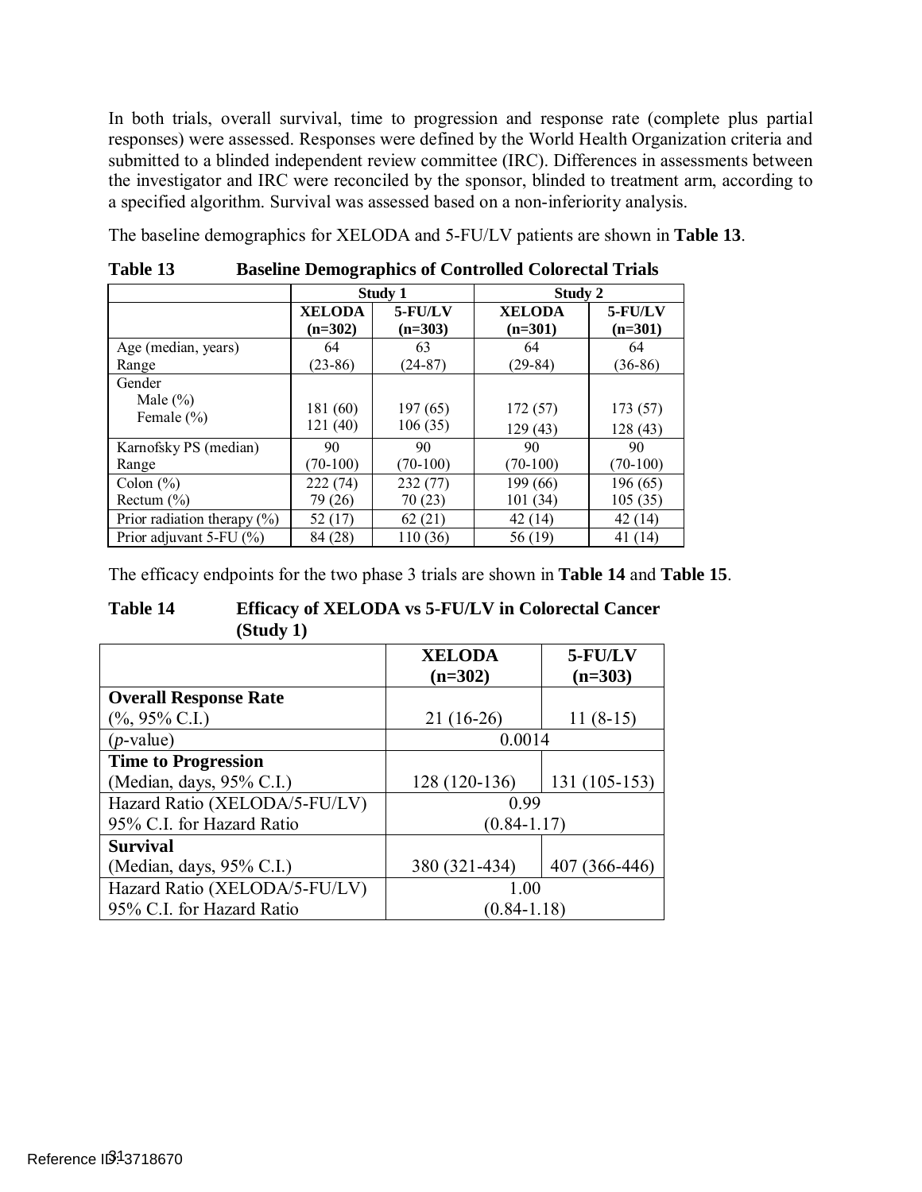In both trials, overall survival, time to progression and response rate (complete plus partial responses) were assessed. Responses were defined by the World Health Organization criteria and submitted to a blinded independent review committee (IRC). Differences in assessments between the investigator and IRC were reconciled by the sponsor, blinded to treatment arm, according to a specified algorithm. Survival was assessed based on a non-inferiority analysis.

The baseline demographics for XELODA and 5-FU/LV patients are shown in **[Table 13](#page-30-0)**.

|                                 | Study 1       |               | Study 2       |            |  |  |
|---------------------------------|---------------|---------------|---------------|------------|--|--|
|                                 | <b>XELODA</b> | $5$ - $FU/LV$ | <b>XELODA</b> | 5-FU/LV    |  |  |
|                                 | $(n=302)$     | $(n=303)$     | $(n=301)$     | $(n=301)$  |  |  |
| Age (median, years)             | 64            | 63            | 64            | 64         |  |  |
| Range                           | $(23-86)$     | $(24-87)$     | $(29-84)$     | $(36-86)$  |  |  |
| Gender                          |               |               |               |            |  |  |
| Male $(\% )$                    | 181 (60)      | 197(65)       | 172(57)       | 173(57)    |  |  |
| Female $(\% )$                  |               |               |               |            |  |  |
|                                 | 121 (40)      | 106(35)       | 129(43)       | 128(43)    |  |  |
| Karnofsky PS (median)           | 90            | 90            | 90            | 90         |  |  |
| Range                           | $(70-100)$    | $(70-100)$    | $(70-100)$    | $(70-100)$ |  |  |
| Colon $(\% )$                   | 222 (74)      | 232 (77)      | 199 (66)      | 196 (65)   |  |  |
| Rectum $(\% )$                  | 79 (26)       | 70(23)        | 101(34)       | 105(35)    |  |  |
| Prior radiation therapy $(\% )$ | 52 (17)       | 62(21)        | 42(14)        | 42 (14)    |  |  |
| Prior adjuvant $5$ -FU $(\% )$  | 84 (28)       | 110 (36)      | 56 (19)       | 41 (14)    |  |  |

<span id="page-30-0"></span>**Table 13 Baseline Demographics of Controlled Colorectal Trials** 

The efficacy endpoints for the two phase 3 trials are shown in **[Table 14](#page-30-1)** and **[Table 15](#page-31-0)**.

#### <span id="page-30-1"></span>**Table 14 Efficacy of XELODA vs 5-FU/LV in Colorectal Cancer (Study 1)**

|                               | <b>XELODA</b><br>$(n=302)$ | 5-FU/LV<br>$(n=303)$ |
|-------------------------------|----------------------------|----------------------|
| <b>Overall Response Rate</b>  |                            |                      |
| $(\%$ , 95% C.I.)             | $21(16-26)$                | $11(8-15)$           |
| $(p$ -value)                  | 0.0014                     |                      |
| <b>Time to Progression</b>    |                            |                      |
| (Median, days, $95\%$ C.I.)   | 128 (120-136)              | 131 (105-153)        |
| Hazard Ratio (XELODA/5-FU/LV) | 0.99                       |                      |
| 95% C.I. for Hazard Ratio     | $(0.84 - 1.17)$            |                      |
| <b>Survival</b>               |                            |                      |
| (Median, days, 95% C.I.)      | 380 (321-434)              | 407 (366-446)        |
| Hazard Ratio (XELODA/5-FU/LV) | 1.00                       |                      |
| 95% C.I. for Hazard Ratio     | $(0.84 - 1.18)$            |                      |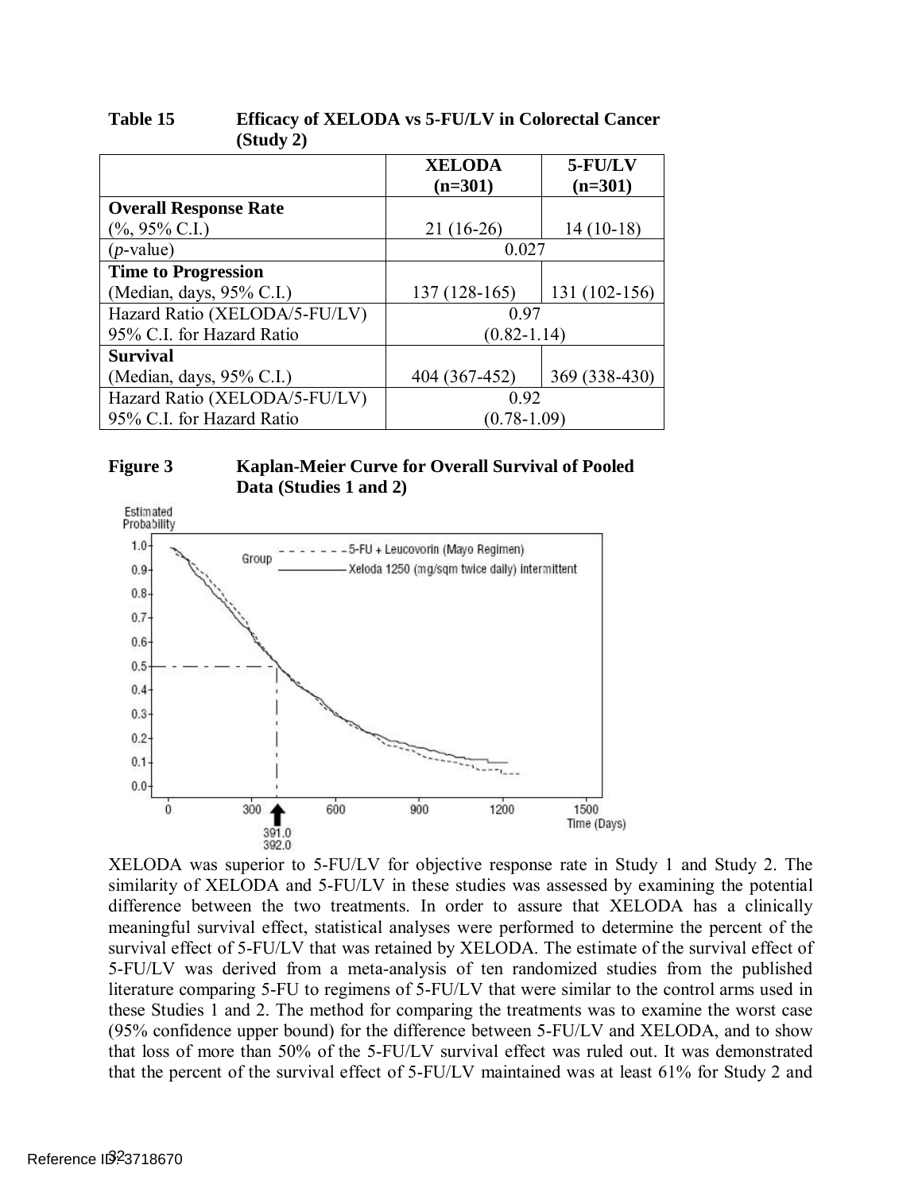|                               | <b>XELODA</b>   | 5-FU/LV       |
|-------------------------------|-----------------|---------------|
|                               | $(n=301)$       | $(n=301)$     |
| <b>Overall Response Rate</b>  |                 |               |
| $(\%$ , 95% C.I.)             | $21(16-26)$     | $14(10-18)$   |
| $(p$ -value)                  | 0.027           |               |
| <b>Time to Progression</b>    |                 |               |
| (Median, days, 95% C.I.)      | 137 (128-165)   | 131 (102-156) |
| Hazard Ratio (XELODA/5-FU/LV) | 0.97            |               |
| 95% C.I. for Hazard Ratio     | $(0.82 - 1.14)$ |               |
| <b>Survival</b>               |                 |               |
| (Median, days, 95% C.I.)      | 404 (367-452)   | 369 (338-430) |
| Hazard Ratio (XELODA/5-FU/LV) | 0.92            |               |
| 95% C.I. for Hazard Ratio     | $(0.78 - 1.09)$ |               |

#### <span id="page-31-0"></span>**Table 15 Efficacy of XELODA vs 5-FU/LV in Colorectal Cancer (Study 2)**

#### <span id="page-31-1"></span>**Figure 3 Kaplan-Meier Curve for Overall Survival of Pooled Data (Studies 1 and 2)**



 XELODA was superior to 5-FU/LV for objective response rate in Study 1 and Study 2. The similarity of XELODA and 5-FU/LV in these studies was assessed by examining the potential difference between the two treatments. In order to assure that XELODA has a clinically meaningful survival effect, statistical analyses were performed to determine the percent of the survival effect of 5-FU/LV that was retained by XELODA. The estimate of the survival effect of 5-FU/LV was derived from a meta-analysis of ten randomized studies from the published literature comparing 5-FU to regimens of 5-FU/LV that were similar to the control arms used in these Studies 1 and 2. The method for comparing the treatments was to examine the worst case (95% confidence upper bound) for the difference between 5-FU/LV and XELODA, and to show that loss of more than 50% of the 5-FU/LV survival effect was ruled out. It was demonstrated that the percent of the survival effect of 5-FU/LV maintained was at least 61% for Study 2 and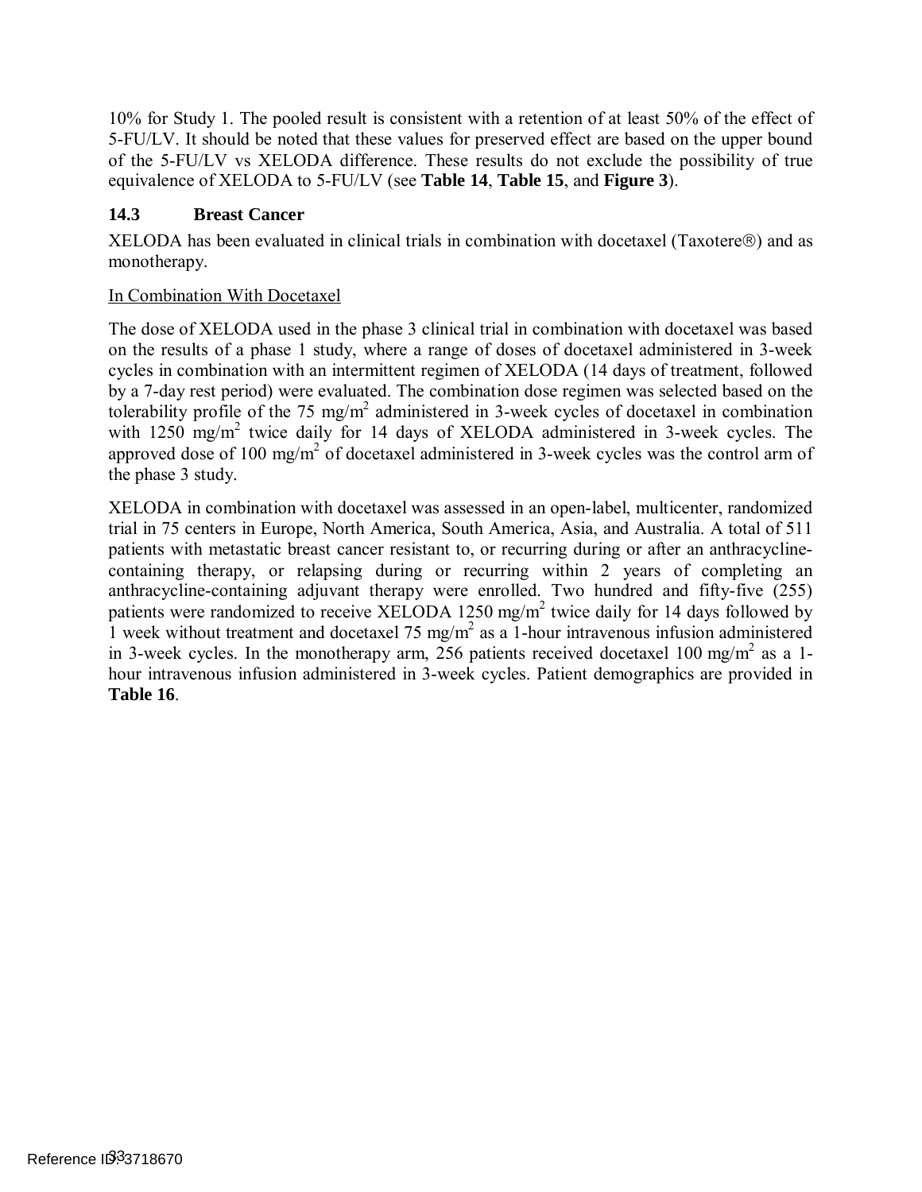10% for Study 1. The pooled result is consistent with a retention of at least 50% of the effect of 5-FU/LV. It should be noted that these values for preserved effect are based on the upper bound of the 5-FU/LV vs XELODA difference. These results do not exclude the possibility of true equivalence of XELODA to 5-FU/LV (see **[Table 14](#page-30-1)**, **[Table 15](#page-31-0)**, and **[Figure 3](#page-31-1)**).

## **14.3 Breast Cancer**

XELODA has been evaluated in clinical trials in combination with docetaxel (Taxotere®) and as monotherapy.

### In Combination With Docetaxel

 The dose of XELODA used in the phase 3 clinical trial in combination with docetaxel was based on the results of a phase 1 study, where a range of doses of docetaxel administered in 3-week cycles in combination with an intermittent regimen of XELODA (14 days of treatment, followed by a 7-day rest period) were evaluated. The combination dose regimen was selected based on the tolerability profile of the 75 mg/m<sup>2</sup> administered in 3-week cycles of docetaxel in combination with  $1250$  mg/m<sup>2</sup> twice daily for 14 days of XELODA administered in 3-week cycles. The approved dose of 100 mg/m<sup>2</sup> of docetaxel administered in 3-week cycles was the control arm of the phase 3 study.

 XELODA in combination with docetaxel was assessed in an open-label, multicenter, randomized trial in 75 centers in Europe, North America, South America, Asia, and Australia. A total of 511 patients with metastatic breast cancer resistant to, or recurring during or after an anthracycline- containing therapy, or relapsing during or recurring within 2 years of completing an anthracycline-containing adjuvant therapy were enrolled. Two hundred and fifty-five (255) patients were randomized to receive XELODA 1250 mg/m<sup>2</sup> twice daily for 14 days followed by 1 week without treatment and docetaxel 75 mg/m<sup>2</sup> as a 1-hour intravenous infusion administered in 3-week cycles. In the monotherapy arm, 256 patients received docetaxel 100 mg/m<sup>2</sup> as a 1- hour intravenous infusion administered in 3-week cycles. Patient demographics are provided in **[Table 16](#page-33-0)**.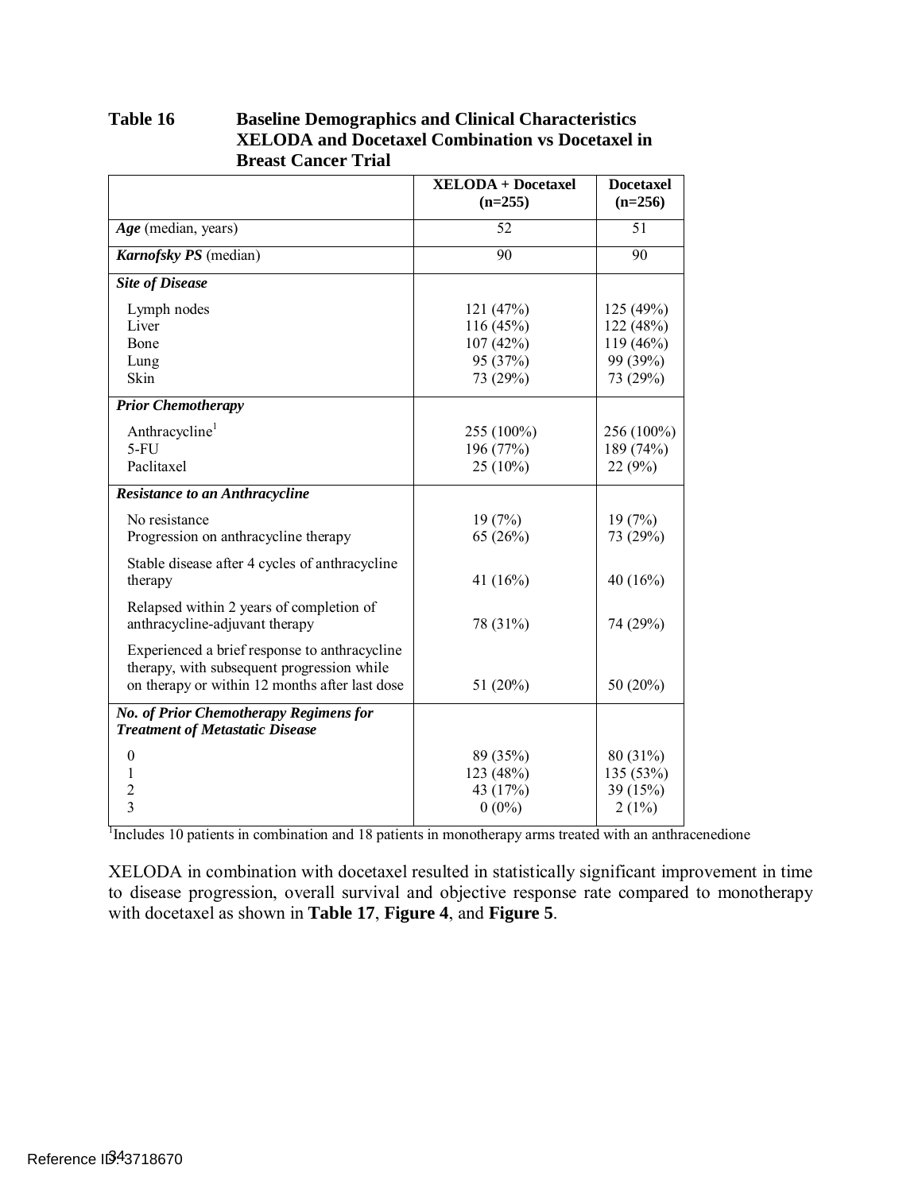| $\overline{51}$<br>Age (median, years)<br>52<br>$\overline{90}$<br>Karnofsky PS (median)<br>90<br><b>Site of Disease</b><br>Lymph nodes<br>121 (47%)<br>125 (49%)<br>116 (45%)<br>Liver<br>122 (48%)<br>107(42%)<br>Bone<br>119 (46%)<br>95 (37%)<br>99 (39%)<br>Lung<br>Skin<br>73 (29%)<br>73 (29%)<br><b>Prior Chemotherapy</b><br>Anthracycline <sup>1</sup><br>255 (100%)<br>256 (100%)<br>$5-FU$<br>196 (77%)<br>189 (74%)<br>Paclitaxel<br>$25(10\%)$<br>22(9%)<br><b>Resistance to an Anthracycline</b><br>No resistance<br>19(7%)<br>19(7%)<br>Progression on anthracycline therapy<br>65 (26%)<br>73 (29%)<br>Stable disease after 4 cycles of anthracycline<br>therapy<br>41 $(16%)$<br>40 $(16%)$<br>Relapsed within 2 years of completion of<br>anthracycline-adjuvant therapy<br>78 (31%)<br>74 (29%)<br>Experienced a brief response to anthracycline<br>therapy, with subsequent progression while<br>on therapy or within 12 months after last dose<br>50 (20%)<br>51 (20%)<br>No. of Prior Chemotherapy Regimens for<br><b>Treatment of Metastatic Disease</b><br>$\theta$<br>89 (35%)<br>80 (31%)<br>1<br>123 (48%)<br>135 (53%)<br>$\overline{c}$<br>39 (15%)<br>43 (17%)<br>$\overline{3}$<br>$0(0\%)$<br>2(1%) | <b>XELODA + Docetaxel</b><br>$(n=255)$ | <b>Docetaxel</b><br>$(n=256)$ |
|--------------------------------------------------------------------------------------------------------------------------------------------------------------------------------------------------------------------------------------------------------------------------------------------------------------------------------------------------------------------------------------------------------------------------------------------------------------------------------------------------------------------------------------------------------------------------------------------------------------------------------------------------------------------------------------------------------------------------------------------------------------------------------------------------------------------------------------------------------------------------------------------------------------------------------------------------------------------------------------------------------------------------------------------------------------------------------------------------------------------------------------------------------------------------------------------------------------------------------------|----------------------------------------|-------------------------------|
|                                                                                                                                                                                                                                                                                                                                                                                                                                                                                                                                                                                                                                                                                                                                                                                                                                                                                                                                                                                                                                                                                                                                                                                                                                      |                                        |                               |
|                                                                                                                                                                                                                                                                                                                                                                                                                                                                                                                                                                                                                                                                                                                                                                                                                                                                                                                                                                                                                                                                                                                                                                                                                                      |                                        |                               |
|                                                                                                                                                                                                                                                                                                                                                                                                                                                                                                                                                                                                                                                                                                                                                                                                                                                                                                                                                                                                                                                                                                                                                                                                                                      |                                        |                               |
|                                                                                                                                                                                                                                                                                                                                                                                                                                                                                                                                                                                                                                                                                                                                                                                                                                                                                                                                                                                                                                                                                                                                                                                                                                      |                                        |                               |
|                                                                                                                                                                                                                                                                                                                                                                                                                                                                                                                                                                                                                                                                                                                                                                                                                                                                                                                                                                                                                                                                                                                                                                                                                                      |                                        |                               |
|                                                                                                                                                                                                                                                                                                                                                                                                                                                                                                                                                                                                                                                                                                                                                                                                                                                                                                                                                                                                                                                                                                                                                                                                                                      |                                        |                               |
|                                                                                                                                                                                                                                                                                                                                                                                                                                                                                                                                                                                                                                                                                                                                                                                                                                                                                                                                                                                                                                                                                                                                                                                                                                      |                                        |                               |
|                                                                                                                                                                                                                                                                                                                                                                                                                                                                                                                                                                                                                                                                                                                                                                                                                                                                                                                                                                                                                                                                                                                                                                                                                                      |                                        |                               |
|                                                                                                                                                                                                                                                                                                                                                                                                                                                                                                                                                                                                                                                                                                                                                                                                                                                                                                                                                                                                                                                                                                                                                                                                                                      |                                        |                               |
|                                                                                                                                                                                                                                                                                                                                                                                                                                                                                                                                                                                                                                                                                                                                                                                                                                                                                                                                                                                                                                                                                                                                                                                                                                      |                                        |                               |
|                                                                                                                                                                                                                                                                                                                                                                                                                                                                                                                                                                                                                                                                                                                                                                                                                                                                                                                                                                                                                                                                                                                                                                                                                                      |                                        |                               |
|                                                                                                                                                                                                                                                                                                                                                                                                                                                                                                                                                                                                                                                                                                                                                                                                                                                                                                                                                                                                                                                                                                                                                                                                                                      |                                        |                               |
|                                                                                                                                                                                                                                                                                                                                                                                                                                                                                                                                                                                                                                                                                                                                                                                                                                                                                                                                                                                                                                                                                                                                                                                                                                      |                                        |                               |
|                                                                                                                                                                                                                                                                                                                                                                                                                                                                                                                                                                                                                                                                                                                                                                                                                                                                                                                                                                                                                                                                                                                                                                                                                                      |                                        |                               |
|                                                                                                                                                                                                                                                                                                                                                                                                                                                                                                                                                                                                                                                                                                                                                                                                                                                                                                                                                                                                                                                                                                                                                                                                                                      |                                        |                               |
|                                                                                                                                                                                                                                                                                                                                                                                                                                                                                                                                                                                                                                                                                                                                                                                                                                                                                                                                                                                                                                                                                                                                                                                                                                      |                                        |                               |
|                                                                                                                                                                                                                                                                                                                                                                                                                                                                                                                                                                                                                                                                                                                                                                                                                                                                                                                                                                                                                                                                                                                                                                                                                                      |                                        |                               |
|                                                                                                                                                                                                                                                                                                                                                                                                                                                                                                                                                                                                                                                                                                                                                                                                                                                                                                                                                                                                                                                                                                                                                                                                                                      |                                        |                               |
|                                                                                                                                                                                                                                                                                                                                                                                                                                                                                                                                                                                                                                                                                                                                                                                                                                                                                                                                                                                                                                                                                                                                                                                                                                      |                                        |                               |
|                                                                                                                                                                                                                                                                                                                                                                                                                                                                                                                                                                                                                                                                                                                                                                                                                                                                                                                                                                                                                                                                                                                                                                                                                                      |                                        |                               |
|                                                                                                                                                                                                                                                                                                                                                                                                                                                                                                                                                                                                                                                                                                                                                                                                                                                                                                                                                                                                                                                                                                                                                                                                                                      |                                        |                               |
|                                                                                                                                                                                                                                                                                                                                                                                                                                                                                                                                                                                                                                                                                                                                                                                                                                                                                                                                                                                                                                                                                                                                                                                                                                      |                                        |                               |
|                                                                                                                                                                                                                                                                                                                                                                                                                                                                                                                                                                                                                                                                                                                                                                                                                                                                                                                                                                                                                                                                                                                                                                                                                                      |                                        |                               |
|                                                                                                                                                                                                                                                                                                                                                                                                                                                                                                                                                                                                                                                                                                                                                                                                                                                                                                                                                                                                                                                                                                                                                                                                                                      |                                        |                               |
|                                                                                                                                                                                                                                                                                                                                                                                                                                                                                                                                                                                                                                                                                                                                                                                                                                                                                                                                                                                                                                                                                                                                                                                                                                      |                                        |                               |
|                                                                                                                                                                                                                                                                                                                                                                                                                                                                                                                                                                                                                                                                                                                                                                                                                                                                                                                                                                                                                                                                                                                                                                                                                                      |                                        |                               |
|                                                                                                                                                                                                                                                                                                                                                                                                                                                                                                                                                                                                                                                                                                                                                                                                                                                                                                                                                                                                                                                                                                                                                                                                                                      |                                        |                               |

#### <span id="page-33-0"></span>**Table 16 Baseline Demographics and Clinical Characteristics XELODA and Docetaxel Combination vs Docetaxel in Breast Cancer Trial**

<sup>1</sup>Includes 10 patients in combination and 18 patients in monotherapy arms treated with an anthracenedione

 XELODA in combination with docetaxel resulted in statistically significant improvement in time to disease progression, overall survival and objective response rate compared to monotherapy with docetaxel as shown in **[Table 17](#page-34-0)**, **[Figure 4](#page-34-1)**, and **[Figure 5](#page-35-0)**.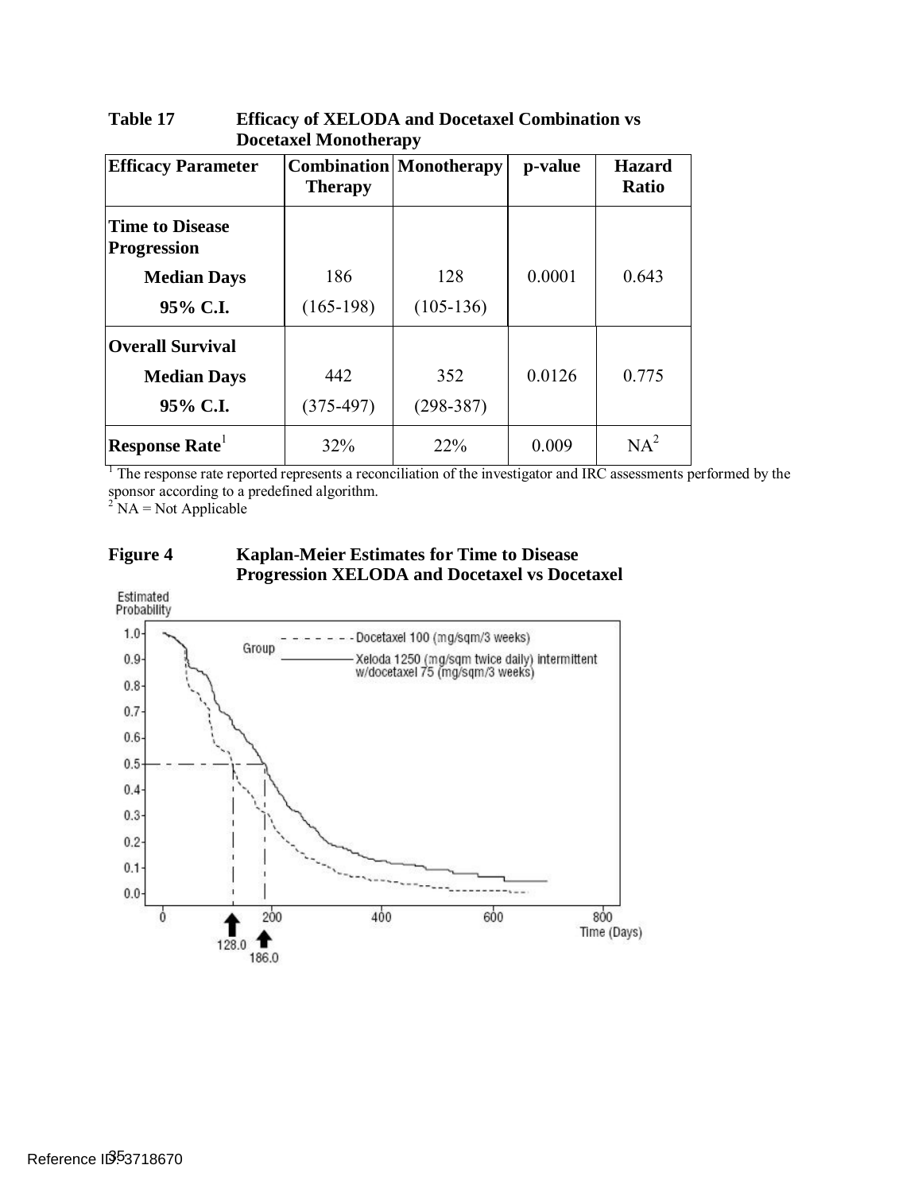| <b>Efficacy Parameter</b>                    | <b>Therapy</b> | <b>Combination</b> Monotherapy | p-value | <b>Hazard</b><br>Ratio |
|----------------------------------------------|----------------|--------------------------------|---------|------------------------|
| <b>Time to Disease</b><br><b>Progression</b> |                |                                |         |                        |
| <b>Median Days</b>                           | 186            | 128                            | 0.0001  | 0.643                  |
| 95% C.I.                                     | $(165-198)$    | $(105-136)$                    |         |                        |
| <b>Overall Survival</b>                      |                |                                |         |                        |
| <b>Median Days</b>                           | 442            | 352                            | 0.0126  | 0.775                  |
| 95% C.I.                                     | $(375-497)$    | $(298-387)$                    |         |                        |
| Response Rate                                | 32%            | 22%                            | 0.009   | $NA^2$                 |

#### <span id="page-34-0"></span>**Table 17 Efficacy of XELODA and Docetaxel Combination vs Docetaxel Monotherapy**

<sup>1</sup> The response rate reported represents a reconciliation of the investigator and IRC assessments performed by the sponsor according to a predefined algorithm.

 $2^2$  NA = Not Applicable

#### <span id="page-34-1"></span>**Figure 4 Kaplan-Meier Estimates for Time to Disease Progression XELODA and Docetaxel vs Docetaxel**

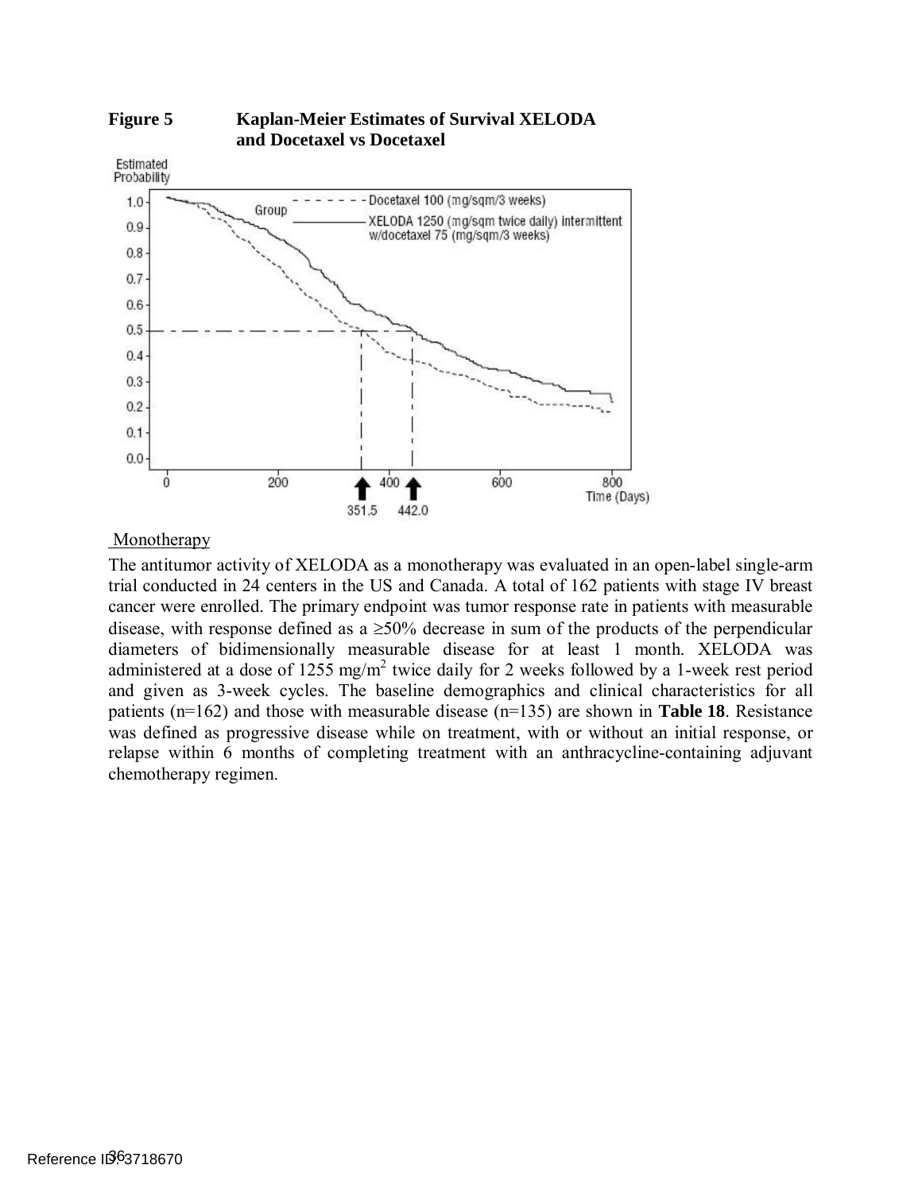

#### <span id="page-35-0"></span>**Figure 5 Kaplan-Meier Estimates of Survival XELODA and Docetaxel vs Docetaxel**

Monotherapy

Monotherapy<br>The antitumor activity of XELODA as a monotherapy was evaluated in an open-label single-arm trial conducted in 24 centers in the US and Canada. A total of 162 patients with stage IV breast cancer were enrolled. The primary endpoint was tumor response rate in patients with measurable disease, with response defined as a ≥50% decrease in sum of the products of the perpendicular diameters of bidimensionally measurable disease for at least 1 month. XELODA was administered at a dose of 1255 mg/m<sup>2</sup> twice daily for 2 weeks followed by a 1-week rest period and given as 3-week cycles. The baseline demographics and clinical characteristics for all patients (n=162) and those with measurable disease (n=135) are shown in **[Table 18](#page-36-0)**. Resistance was defined as progressive disease while on treatment, with or without an initial response, or relapse within 6 months of completing treatment with an anthracycline-containing adjuvant chemotherapy regimen.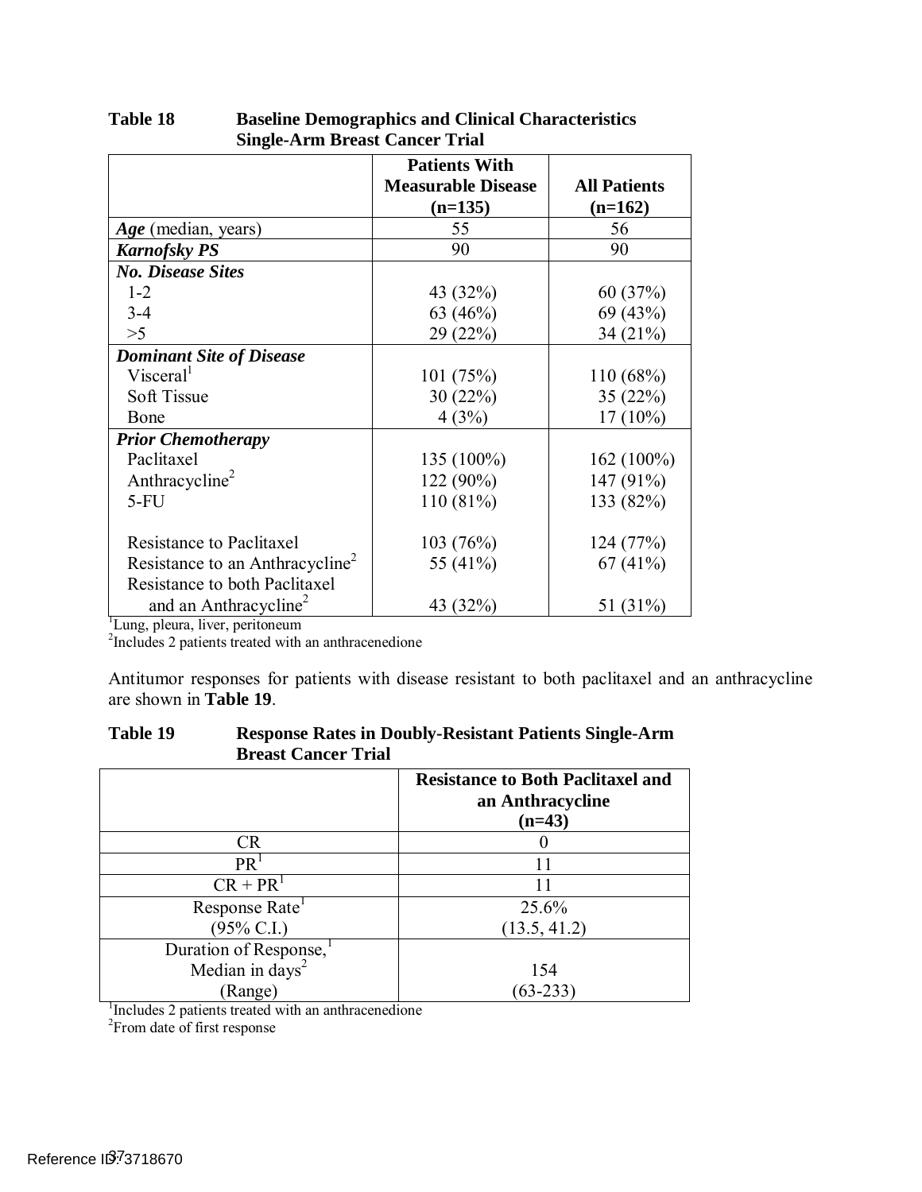|                                                                                                     | <b>Patients With</b><br><b>Measurable Disease</b><br>$(n=135)$ | <b>All Patients</b><br>$(n=162)$ |
|-----------------------------------------------------------------------------------------------------|----------------------------------------------------------------|----------------------------------|
| <i>Age</i> (median, years)                                                                          | 55                                                             | 56                               |
| <b>Karnofsky PS</b>                                                                                 | 90                                                             | 90                               |
| <b>No. Disease Sites</b>                                                                            |                                                                |                                  |
| $1 - 2$                                                                                             | 43 (32%)                                                       | 60(37%)                          |
| $3 - 4$                                                                                             | 63 $(46%)$                                                     | 69 (43%)                         |
| >5                                                                                                  | 29 (22%)                                                       | 34 (21%)                         |
| <b>Dominant Site of Disease</b>                                                                     |                                                                |                                  |
| Visceral <sup>1</sup>                                                                               | 101(75%)                                                       | 110(68%)                         |
| <b>Soft Tissue</b>                                                                                  | 30(22%)                                                        | 35(22%)                          |
| Bone                                                                                                | 4(3%)                                                          | $17(10\%)$                       |
| <b>Prior Chemotherapy</b>                                                                           |                                                                |                                  |
| Paclitaxel                                                                                          | 135 (100%)                                                     | $162(100\%)$                     |
| Anthracycline <sup>2</sup>                                                                          | 122 (90%)                                                      | 147 (91%)                        |
| $5-FU$                                                                                              | 110 (81%)                                                      | 133 (82%)                        |
| <b>Resistance to Paclitaxel</b>                                                                     | 103(76%)                                                       | 124 (77%)                        |
| Resistance to an Anthracycline <sup>2</sup>                                                         | 55 (41%)                                                       | 67(41%)                          |
| Resistance to both Paclitaxel                                                                       |                                                                |                                  |
| and an Anthracycline <sup>2</sup>                                                                   | 43 (32%)                                                       | 51 (31%)                         |
| Lung, pleura, liver, peritoneum<br><sup>2</sup> Includes 2 patients treated with an anthracenedione |                                                                |                                  |

<span id="page-36-0"></span>**Table 18 Table 18 Baseline Demographics and Clinical Characteristics Single-Arm Breast Cancer Trial** 

 Antitumor responses for patients with disease resistant to both paclitaxel and an anthracycline are shown in **[Table 19](#page-36-1)**.

<span id="page-36-1"></span>

| Table 19 | <b>Response Rates in Doubly-Resistant Patients Single-Arm</b> |
|----------|---------------------------------------------------------------|
|          | <b>Breast Cancer Trial</b>                                    |

|                                                     | <b>Resistance to Both Paclitaxel and</b><br>an Anthracycline<br>$(n=43)$ |  |
|-----------------------------------------------------|--------------------------------------------------------------------------|--|
| <b>CR</b>                                           |                                                                          |  |
| PR <sup>T</sup>                                     | 11                                                                       |  |
| $CR + PR1$                                          |                                                                          |  |
| Response Rate                                       | 25.6%                                                                    |  |
| $(95\% \text{ C.I.})$                               | (13.5, 41.2)                                                             |  |
| Duration of Response,                               |                                                                          |  |
| Median in days <sup>2</sup>                         | 154                                                                      |  |
| (Range)                                             | $(63-233)$                                                               |  |
| Includes 2 patients treated with an anthracenedione |                                                                          |  |
| <sup>2</sup> From date of first response            |                                                                          |  |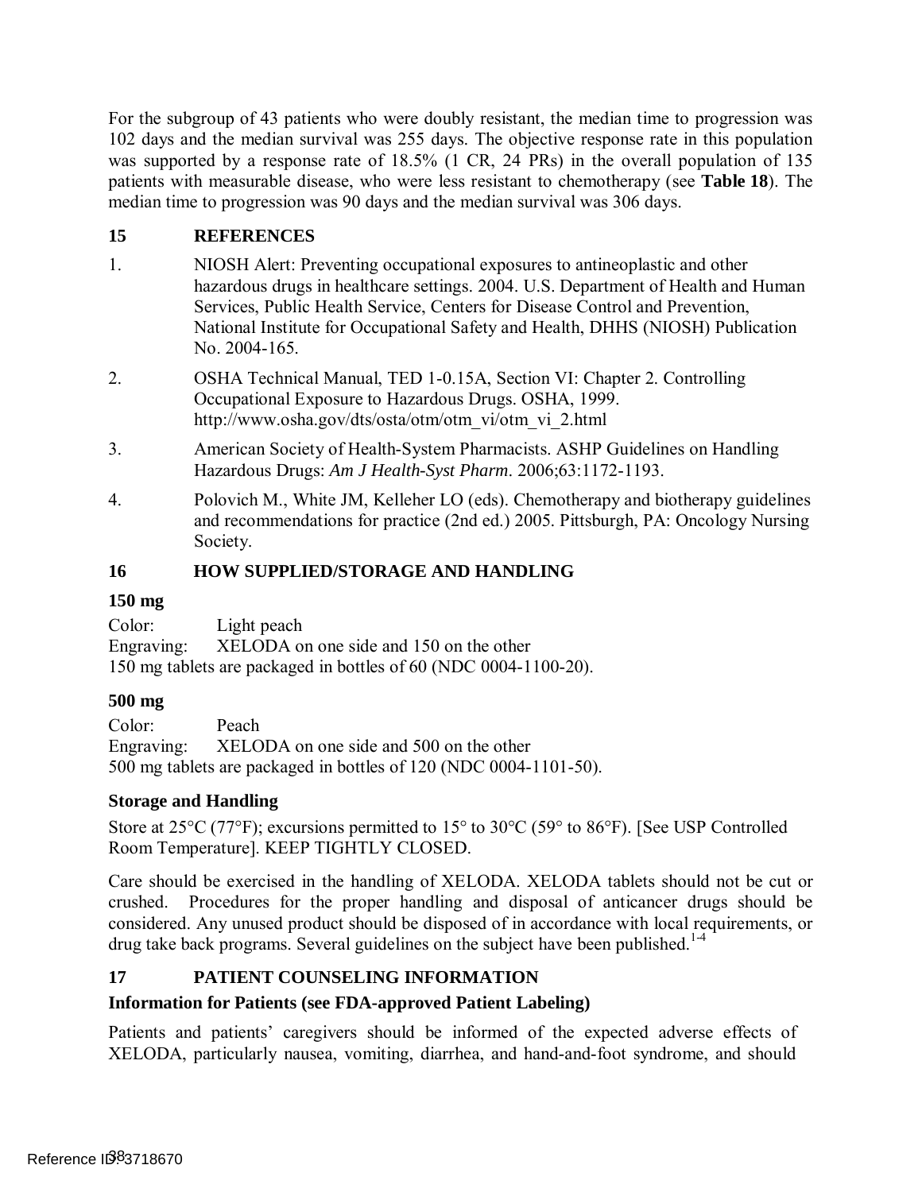For the subgroup of 43 patients who were doubly resistant, the median time to progression was 102 days and the median survival was 255 days. The objective response rate in this population was supported by a response rate of 18.5% (1 CR, 24 PRs) in the overall population of 135 patients with measurable disease, who were less resistant to chemotherapy (see **[Table 18](#page-36-0)**). The median time to progression was 90 days and the median survival was 306 days.

## **15 REFERENCES**

- 1. NIOSH Alert: Preventing occupational exposures to antineoplastic and other hazardous drugs in healthcare settings. 2004. U.S. Department of Health and Human Services, Public Health Service, Centers for Disease Control and Prevention, National Institute for Occupational Safety and Health, DHHS (NIOSH) Publication No. 2004-165.
- 2. OSHA Technical Manual, TED 1-0.15A, Section VI: Chapter 2. Controlling Occupational Exposure to Hazardous Drugs. OSHA, 1999. http://www.osha.gov/dts/osta/otm/otm\_vi/otm\_vi\_2.html
- 3. American Society of Health-System Pharmacists. ASHP Guidelines on Handling Hazardous Drugs: *Am J Health-Syst Pharm*. 2006;63:1172-1193.
- 4. Polovich M., White JM, Kelleher LO (eds). Chemotherapy and biotherapy guidelines and recommendations for practice (2nd ed.) 2005. Pittsburgh, PA: Oncology Nursing Society.

### **16 HOW SUPPLIED/STORAGE AND HANDLING**

#### **150 mg**

 Engraving: XELODA on one side and 150 on the other 150 mg tablets are packaged in bottles of 60 (NDC 0004-1100-20). Color: Light peach

### **500 mg**

 Engraving: XELODA on one side and 500 on the other 500 mg tablets are packaged in bottles of 120 (NDC 0004-1101-50). Color: Peach

### **Storage and Handling**

 Store at 25°C (77°F); excursions permitted to 15° to 30°C (59° to 86°F). [See USP Controlled Room Temperature]. KEEP TIGHTLY CLOSED.

 Care should be exercised in the handling of XELODA. XELODA tablets should not be cut or crushed. considered. Any unused product should be disposed of in accordance with local requirements, or drug take back programs. Several guidelines on the subject have been published.<sup>1-4</sup> Procedures for the proper handling and disposal of anticancer drugs should be

## <span id="page-37-0"></span>**17 PATIENT COUNSELING INFORMATION**

## **Information for Patients (see FDA-approved Patient Labeling)**

 Patients and patients' caregivers should be informed of the expected adverse effects of XELODA, particularly nausea, vomiting, diarrhea, and hand-and-foot syndrome, and should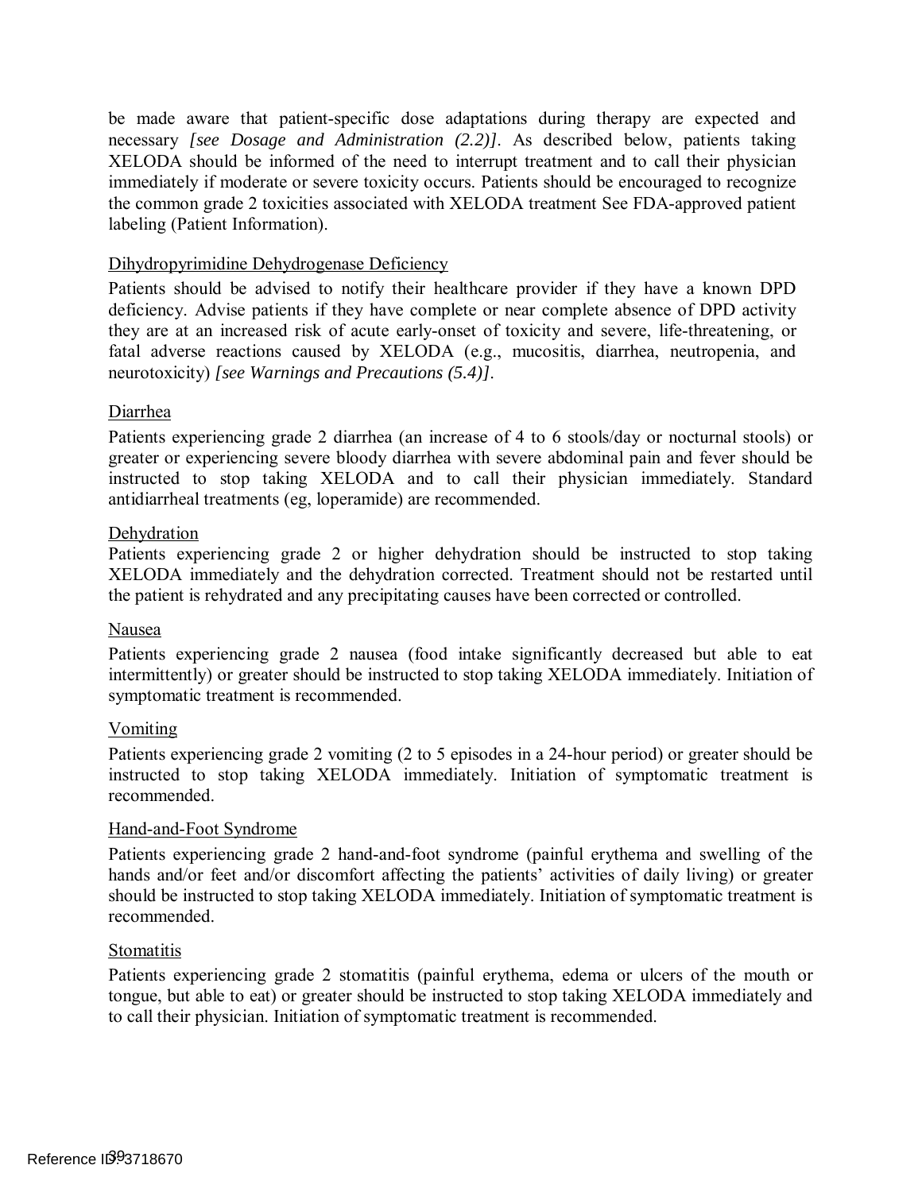be made aware that patient-specific dose adaptations during therapy are expected and necessary *[see Dosage and Administration [\(2.2\)\]](#page-3-2)*. As described below, patients taking XELODA should be informed of the need to interrupt treatment and to call their physician immediately if moderate or severe toxicity occurs. Patients should be encouraged to recognize the common grade 2 toxicities associated with XELODA treatment See FDA-approved patient labeling (Patient Information).

#### Dihydropyrimidine Dehydrogenase Deficiency

 Patients should be advised to notify their healthcare provider if they have a known DPD deficiency. Advise patients if they have complete or near complete absence of DPD activity they are at an increased risk of acute early-onset of toxicity and severe, life-threatening, or fatal adverse reactions caused by XELODA (e.g., mucositis, diarrhea, neutropenia, and neurotoxicity) *[see Warnings and Precautions (5.4)]*.

#### Diarrhea

 Patients experiencing grade 2 diarrhea (an increase of 4 to 6 stools/day or nocturnal stools) or greater or experiencing severe bloody diarrhea with severe abdominal pain and fever should be instructed to stop taking XELODA and to call their physician immediately. Standard antidiarrheal treatments (eg, loperamide) are recommended.

#### Dehydration

Dehydration<br>Patients experiencing grade 2 or higher dehydration should be instructed to stop taking XELODA immediately and the dehydration corrected. Treatment should not be restarted until the patient is rehydrated and any precipitating causes have been corrected or controlled.

#### Nausea

 Patients experiencing grade 2 nausea (food intake significantly decreased but able to eat intermittently) or greater should be instructed to stop taking XELODA immediately. Initiation of symptomatic treatment is recommended.

#### Vomiting

 Patients experiencing grade 2 vomiting (2 to 5 episodes in a 24-hour period) or greater should be instructed to stop taking XELODA immediately. Initiation of symptomatic treatment is recommended.

#### Hand-and-Foot Syndrome

 Patients experiencing grade 2 hand-and-foot syndrome (painful erythema and swelling of the hands and/or feet and/or discomfort affecting the patients' activities of daily living) or greater should be instructed to stop taking XELODA immediately. Initiation of symptomatic treatment is recommended.

#### **Stomatitis**

 Patients experiencing grade 2 stomatitis (painful erythema, edema or ulcers of the mouth or tongue, but able to eat) or greater should be instructed to stop taking XELODA immediately and to call their physician. Initiation of symptomatic treatment is recommended.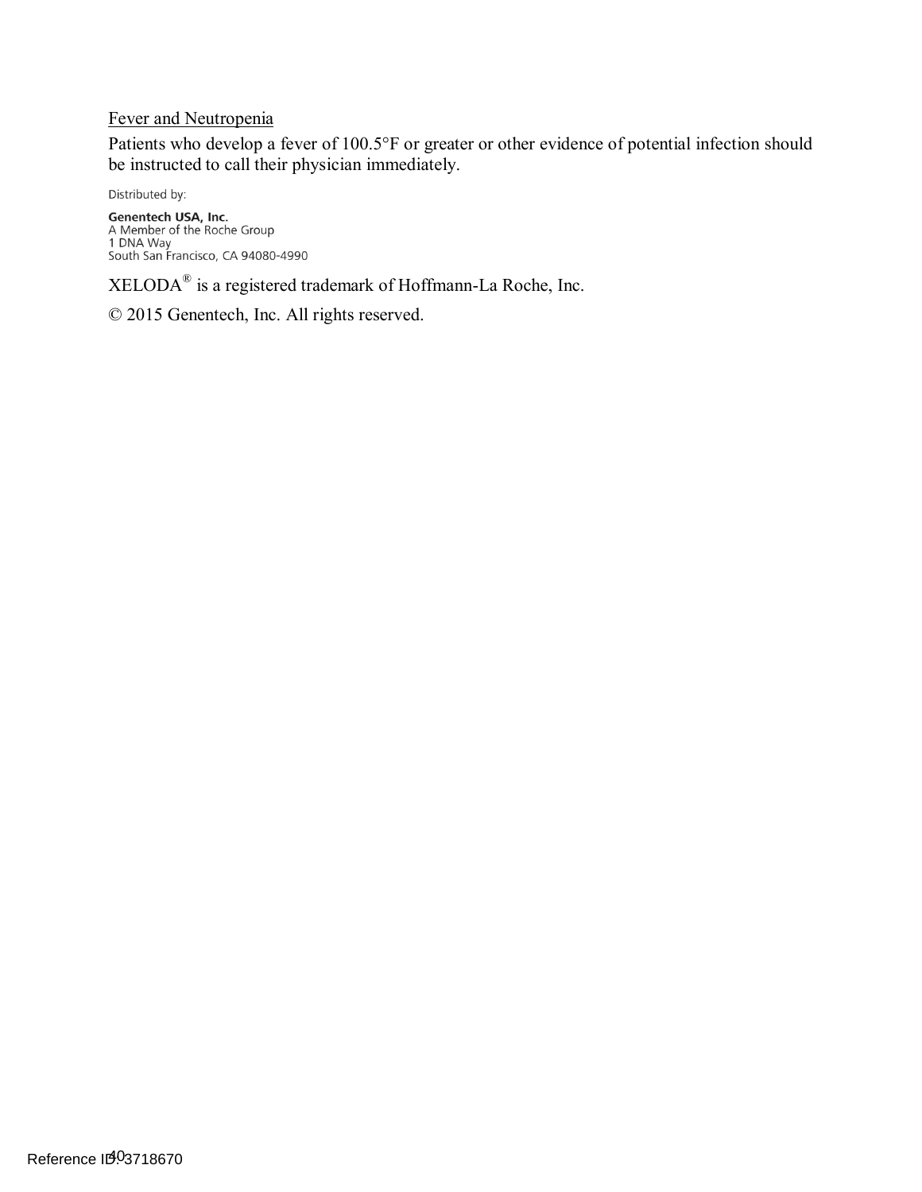#### Fever and Neutropenia

Patients who develop a fever of 100.5°F or greater or other evidence of potential infection should be instructed to call their physician immediately.

Distributed by:

**Genentech USA, Inc.**<br>A Member of the Roche Group<br>1 DNA Way<br>South San Francisco, CA 94080-4990

 $XELODA<sup>®</sup>$  is a registered trademark of Hoffmann-La Roche, Inc.

© 2015 Genentech, Inc. All rights reserved.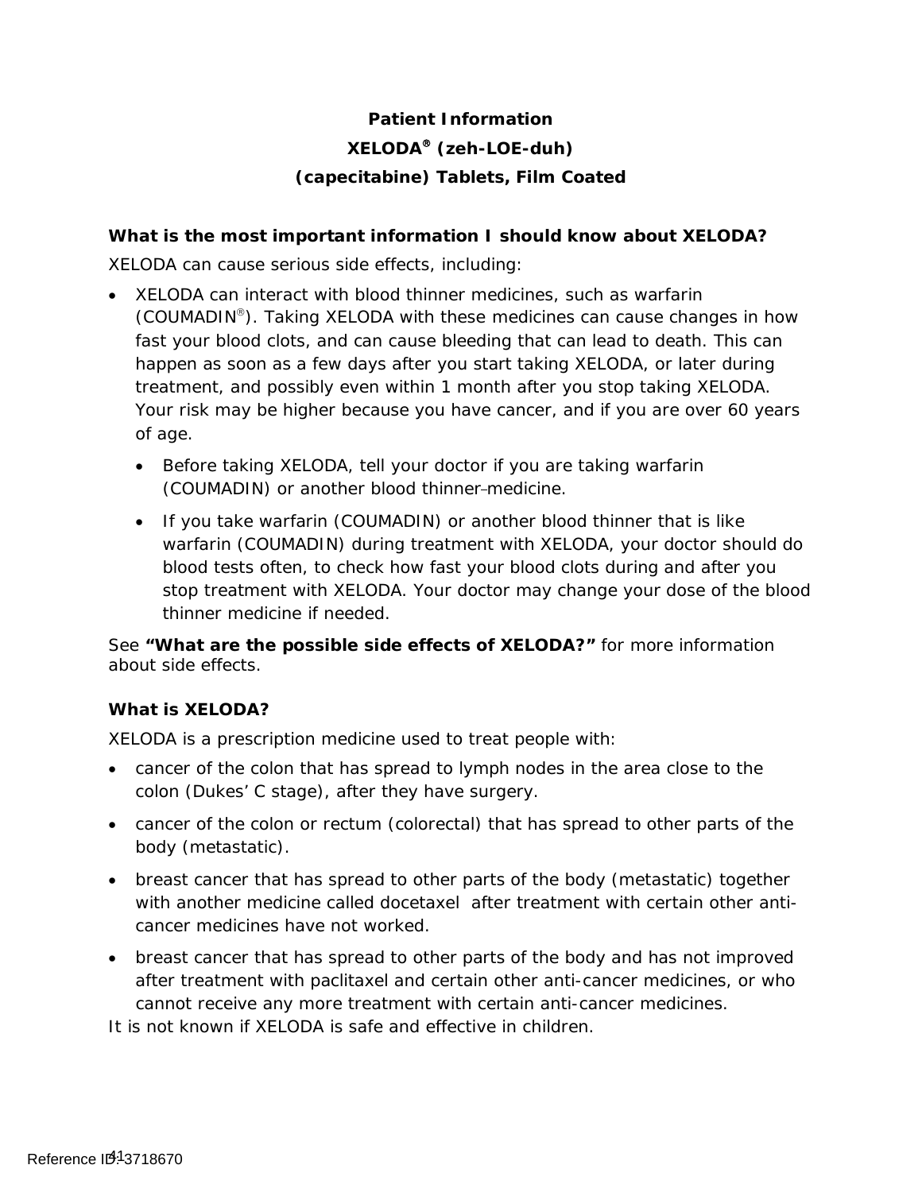# **Patient Information XELODA (zeh-LOE-duh) (capecitabine) Tablets, Film Coated**

### **What is the most important information I should know about XELODA?**

XELODA can cause serious side effects, including:

- XELODA can interact with blood thinner medicines, such as warfarin (COUMADIN<sup>®</sup>). Taking XELODA with these medicines can cause changes in how fast your blood clots, and can cause bleeding that can lead to death. This can happen as soon as a few days after you start taking XELODA, or later during treatment, and possibly even within 1 month after you stop taking XELODA. Your risk may be higher because you have cancer, and if you are over 60 years of age.
	- Before taking XELODA, tell your doctor if you are taking warfarin (COUMADIN) or another blood thinner-medicine.
	- warfarin (COUMADIN) during treatment with XELODA, your doctor should do • If you take warfarin (COUMADIN) or another blood thinner that is like blood tests often, to check how fast your blood clots during and after you stop treatment with XELODA. Your doctor may change your dose of the blood thinner medicine if needed.

See **"What are the possible side effects of XELODA?"** for more information about side effects.

## **What is XELODA?**

XELODA is a prescription medicine used to treat people with:

- cancer of the colon that has spread to lymph nodes in the area close to the colon (Dukes' C stage), after they have surgery.
- cancer of the colon or rectum (colorectal) that has spread to other parts of the body (metastatic).
- breast cancer that has spread to other parts of the body (metastatic) together with another medicine called docetaxel after treatment with certain other anticancer medicines have not worked.
- cannot receive any more treatment with certain anti-cancer medicines. • breast cancer that has spread to other parts of the body and has not improved after treatment with paclitaxel and certain other anti-cancer medicines, or who

It is not known if XELODA is safe and effective in children.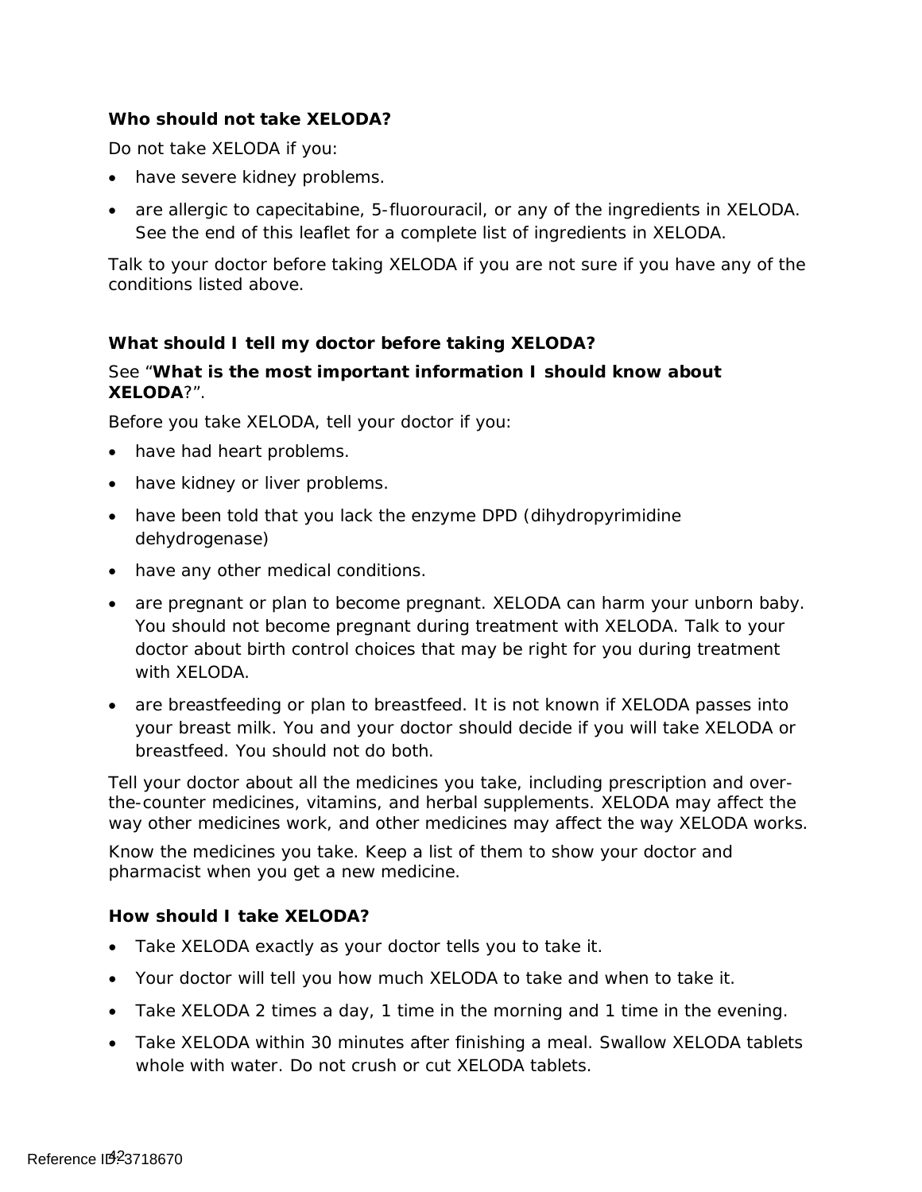#### **Who should not take XELODA?**

Do not take XELODA if you:

- have severe kidney problems.
- are allergic to capecitabine, 5-fluorouracil, or any of the ingredients in XELODA. See the end of this leaflet for a complete list of ingredients in XELODA.

Talk to your doctor before taking XELODA if you are not sure if you have any of the conditions listed above.

### **What should I tell my doctor before taking XELODA?**

#### See "**What is the most important information I should know about XELODA**?".

Before you take XELODA, tell your doctor if you:

- have had heart problems.
- have kidney or liver problems.
- have been told that you lack the enzyme DPD (dihydropyrimidine dehydrogenase)
- have any other medical conditions.
- are pregnant or plan to become pregnant. XELODA can harm your unborn baby. You should not become pregnant during treatment with XELODA. Talk to your doctor about birth control choices that may be right for you during treatment with XELODA.
- are breastfeeding or plan to breastfeed. It is not known if XELODA passes into your breast milk. You and your doctor should decide if you will take XELODA or breastfeed. You should not do both.

Tell your doctor about all the medicines you take, including prescription and overthe-counter medicines, vitamins, and herbal supplements. XELODA may affect the way other medicines work, and other medicines may affect the way XELODA works.

 Know the medicines you take. Keep a list of them to show your doctor and pharmacist when you get a new medicine.

#### **How should I take XELODA?**

- Take XELODA exactly as your doctor tells you to take it.
- Your doctor will tell you how much XELODA to take and when to take it.
- Take XELODA 2 times a day, 1 time in the morning and 1 time in the evening.
- Take XELODA within 30 minutes after finishing a meal. Swallow XELODA tablets whole with water. Do not crush or cut XELODA tablets.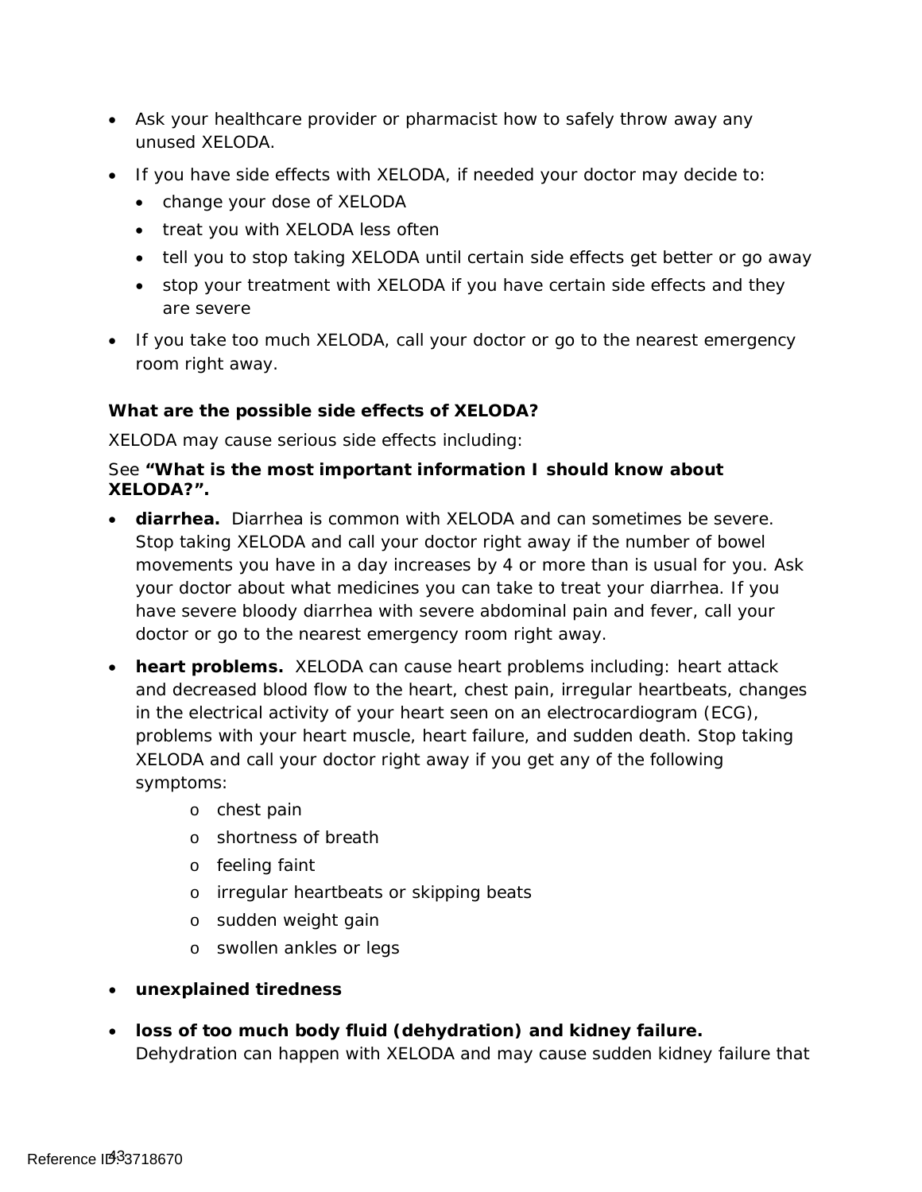- Ask your healthcare provider or pharmacist how to safely throw away any unused XELODA.
- If you have side effects with XELODA, if needed your doctor may decide to:
	- change your dose of XELODA
	- treat you with XELODA less often
	- tell you to stop taking XELODA until certain side effects get better or go away
	- stop your treatment with XELODA if you have certain side effects and they are severe
- room right away. • If you take too much XELODA, call your doctor or go to the nearest emergency

### **What are the possible side effects of XELODA?**

XELODA may cause serious side effects including:

#### See **"What is the most important information I should know about XELODA?".**

- • **diarrhea.** Diarrhea is common with XELODA and can sometimes be severe. Stop taking XELODA and call your doctor right away if the number of bowel movements you have in a day increases by 4 or more than is usual for you. Ask your doctor about what medicines you can take to treat your diarrhea. If you have severe bloody diarrhea with severe abdominal pain and fever, call your doctor or go to the nearest emergency room right away.
- **heart problems.** XELODA can cause heart problems including: heart attack and decreased blood flow to the heart, chest pain, irregular heartbeats, changes in the electrical activity of your heart seen on an electrocardiogram (ECG), problems with your heart muscle, heart failure, and sudden death. Stop taking XELODA and call your doctor right away if you get any of the following symptoms:
	- o chest pain
	- o shortness of breath
	- o feeling faint
	- o irregular heartbeats or skipping beats
	- o sudden weight gain
	- o swollen ankles or legs
- • **unexplained tiredness**
- • **loss of too much body fluid (dehydration) and kidney failure.**  Dehydration can happen with XELODA and may cause sudden kidney failure that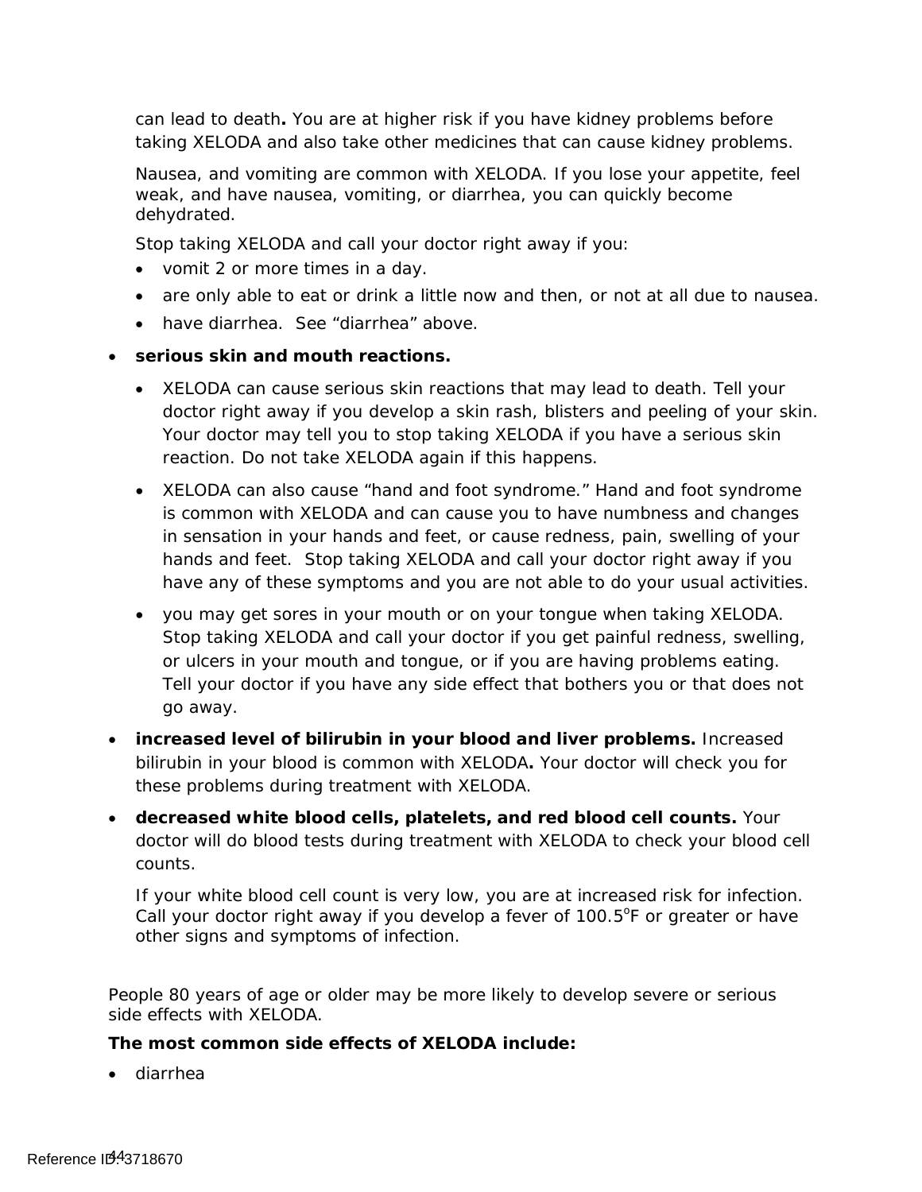can lead to death**.** You are at higher risk if you have kidney problems before taking XELODA and also take other medicines that can cause kidney problems.

 Nausea, and vomiting are common with XELODA. If you lose your appetite, feel weak, and have nausea, vomiting, or diarrhea, you can quickly become dehydrated.

Stop taking XELODA and call your doctor right away if you:

- vomit 2 or more times in a day.
- are only able to eat or drink a little now and then, or not at all due to nausea.
- have diarrhea. See "diarrhea" above.

#### • **serious skin and mouth reactions.**

- doctor right away if you develop a skin rash, blisters and peeling of your skin. • XELODA can cause serious skin reactions that may lead to death. Tell your Your doctor may tell you to stop taking XELODA if you have a serious skin reaction. Do not take XELODA again if this happens.
- is common with XELODA and can cause you to have numbness and changes hands and feet. Stop taking XELODA and call your doctor right away if you • XELODA can also cause "hand and foot syndrome." Hand and foot syndrome in sensation in your hands and feet, or cause redness, pain, swelling of your have any of these symptoms and you are not able to do your usual activities.
- you may get sores in your mouth or on your tongue when taking XELODA. Stop taking XELODA and call your doctor if you get painful redness, swelling, or ulcers in your mouth and tongue, or if you are having problems eating. Tell your doctor if you have any side effect that bothers you or that does not go away.
- • **increased level of bilirubin in your blood and liver problems.** Increased bilirubin in your blood is common with XELODA**.** Your doctor will check you for these problems during treatment with XELODA.
- • **decreased white blood cells, platelets, and red blood cell counts.** Your doctor will do blood tests during treatment with XELODA to check your blood cell counts.

If your white blood cell count is very low, you are at increased risk for infection. If your white blood cell count is very low, you are at increased risk for infection.<br>Call your doctor right away if you develop a fever of 100.5°F or greater or have other signs and symptoms of infection.

People 80 years of age or older may be more likely to develop severe or serious side effects with XELODA.

#### **The most common side effects of XELODA include:**

• diarrhea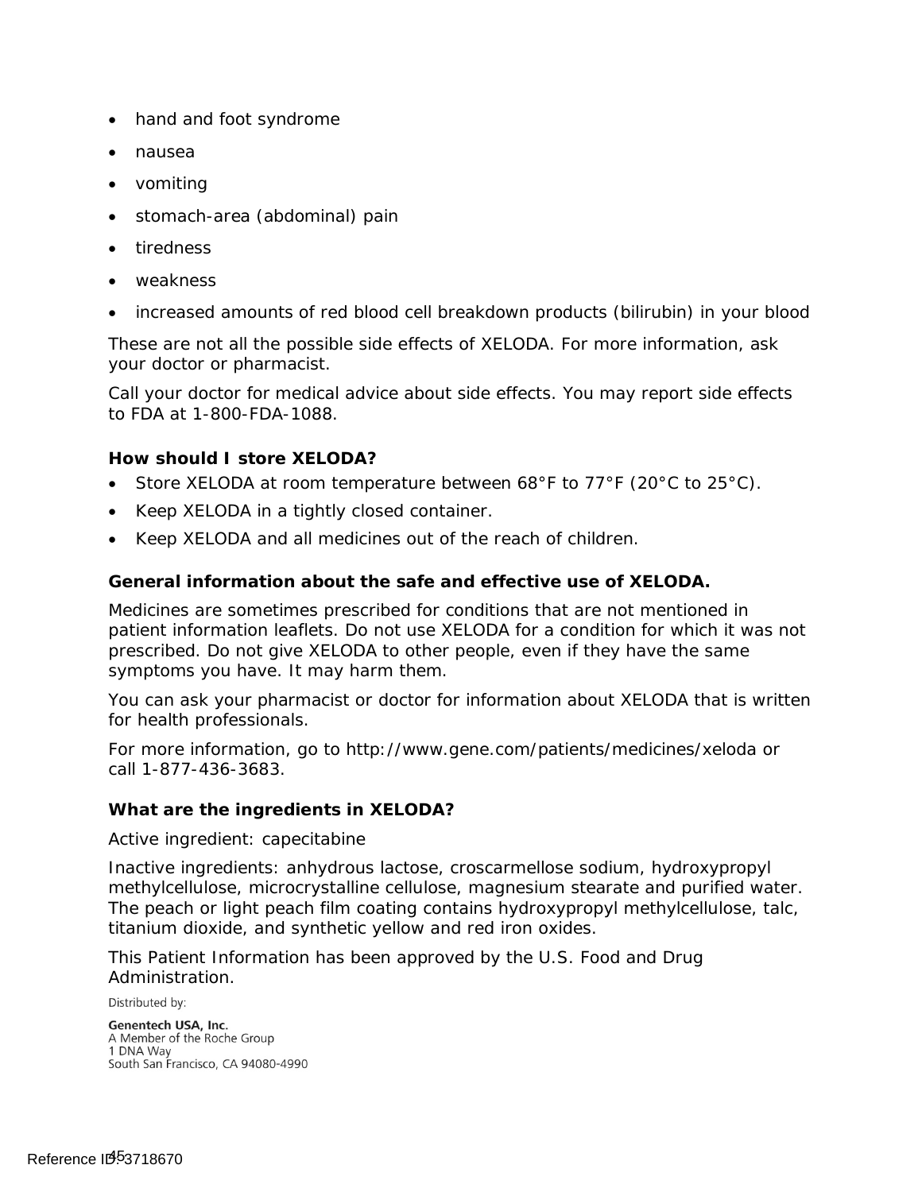- hand and foot syndrome
- nausea
- vomiting
- stomach-area (abdominal) pain
- tiredness
- weakness
- increased amounts of red blood cell breakdown products (bilirubin) in your blood

These are not all the possible side effects of XELODA. For more information, ask your doctor or pharmacist.

Call your doctor for medical advice about side effects. You may report side effects to FDA at 1-800-FDA-1088.

#### **How should I store XELODA?**

- Store XELODA at room temperature between 68°F to 77°F (20°C to 25°C).
- Keep XELODA in a tightly closed container.
- Keep XELODA and all medicines out of the reach of children.

#### **General information about the safe and effective use of XELODA.**

Medicines are sometimes prescribed for conditions that are not mentioned in patient information leaflets. Do not use XELODA for a condition for which it was not prescribed. Do not give XELODA to other people, even if they have the same symptoms you have. It may harm them.

You can ask your pharmacist or doctor for information about XELODA that is written for health professionals.

For more information, go to http://www.gene.com/patients/medicines/xeloda or call 1-877-436-3683.

#### **What are the ingredients in XELODA?**

Active ingredient: capecitabine

Inactive ingredients: anhydrous lactose, croscarmellose sodium, hydroxypropyl methylcellulose, microcrystalline cellulose, magnesium stearate and purified water. The peach or light peach film coating contains hydroxypropyl methylcellulose, talc, titanium dioxide, and synthetic yellow and red iron oxides.

This Patient Information has been approved by the U.S. Food and Drug Administration.

Distributed by:

Genentech USA, Inc. A Member of the Roche Group 1 DNA Way South San Francisco, CA 94080-4990